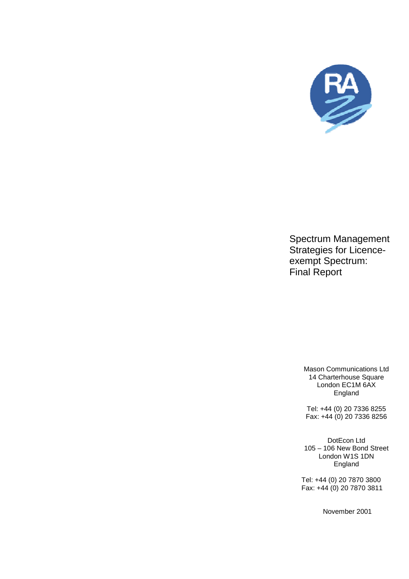

Spectrum Management Strategies for Licenceexempt Spectrum: Final Report

> Mason Communications Ltd 14 Charterhouse Square London EC1M 6AX England

Tel: +44 (0) 20 7336 8255 Fax: +44 (0) 20 7336 8256

DotEcon Ltd 105 – 106 New Bond Street London W1S 1DN England

 Tel: +44 (0) 20 7870 3800 Fax: +44 (0) 20 7870 3811

November 2001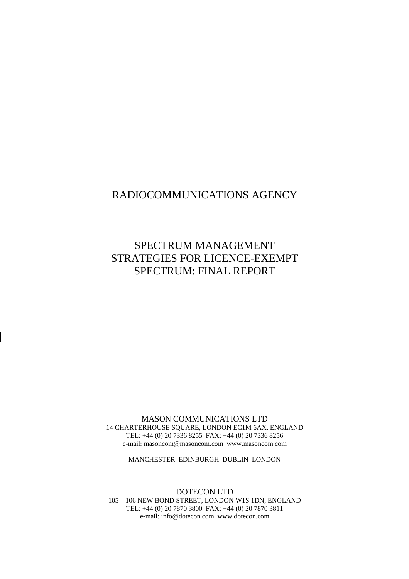## RADIOCOMMUNICATIONS AGENCY

# SPECTRUM MANAGEMENT STRATEGIES FOR LICENCE-EXEMPT SPECTRUM: FINAL REPORT

MASON COMMUNICATIONS LTD 14 CHARTERHOUSE SQUARE, LONDON EC1M 6AX. ENGLAND TEL: +44 (0) 20 7336 8255 FAX: +44 (0) 20 7336 8256 e-mail: masoncom@masoncom.com www.masoncom.com

MANCHESTER EDINBURGH DUBLIN LONDON

DOTECON LTD 105 – 106 NEW BOND STREET, LONDON W1S 1DN, ENGLAND TEL: +44 (0) 20 7870 3800 FAX: +44 (0) 20 7870 3811 e-mail: info@dotecon.com www.dotecon.com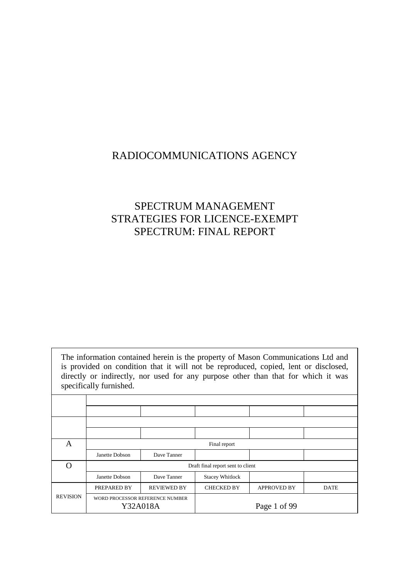## RADIOCOMMUNICATIONS AGENCY

# SPECTRUM MANAGEMENT STRATEGIES FOR LICENCE-EXEMPT SPECTRUM: FINAL REPORT

The information contained herein is the property of Mason Communications Ltd and is provided on condition that it will not be reproduced, copied, lent or disclosed, directly or indirectly, nor used for any purpose other than that for which it was specifically furnished. A Final report Janette Dobson Dave Tanner O Draft final report sent to client Janette Dobson Dave Tanner Stacey Whitlock PREPARED BY REVIEWED BY CHECKED BY APPROVED BY DATE REVISION WORD PROCESSOR REFERENCE NUMBER Y32A018A **Page 1 of 99**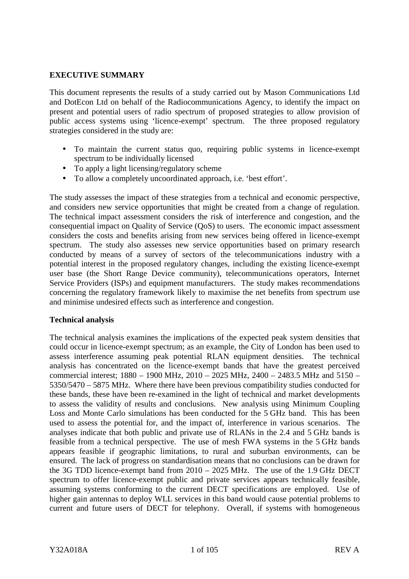## **EXECUTIVE SUMMARY**

This document represents the results of a study carried out by Mason Communications Ltd and DotEcon Ltd on behalf of the Radiocommunications Agency, to identify the impact on present and potential users of radio spectrum of proposed strategies to allow provision of public access systems using 'licence-exempt' spectrum. The three proposed regulatory strategies considered in the study are:

- To maintain the current status quo, requiring public systems in licence-exempt spectrum to be individually licensed
- To apply a light licensing/regulatory scheme
- To allow a completely uncoordinated approach, i.e. 'best effort'.

The study assesses the impact of these strategies from a technical and economic perspective, and considers new service opportunities that might be created from a change of regulation. The technical impact assessment considers the risk of interference and congestion, and the consequential impact on Quality of Service (QoS) to users. The economic impact assessment considers the costs and benefits arising from new services being offered in licence-exempt spectrum. The study also assesses new service opportunities based on primary research conducted by means of a survey of sectors of the telecommunications industry with a potential interest in the proposed regulatory changes, including the existing licence-exempt user base (the Short Range Device community), telecommunications operators, Internet Service Providers (ISPs) and equipment manufacturers. The study makes recommendations concerning the regulatory framework likely to maximise the net benefits from spectrum use and minimise undesired effects such as interference and congestion.

#### **Technical analysis**

The technical analysis examines the implications of the expected peak system densities that could occur in licence-exempt spectrum; as an example, the City of London has been used to assess interference assuming peak potential RLAN equipment densities. The technical analysis has concentrated on the licence-exempt bands that have the greatest perceived commercial interest; 1880 – 1900 MHz, 2010 – 2025 MHz, 2400 – 2483.5 MHz and 5150 – 5350/5470 – 5875 MHz. Where there have been previous compatibility studies conducted for these bands, these have been re-examined in the light of technical and market developments to assess the validity of results and conclusions. New analysis using Minimum Coupling Loss and Monte Carlo simulations has been conducted for the 5 GHz band. This has been used to assess the potential for, and the impact of, interference in various scenarios. The analyses indicate that both public and private use of RLANs in the 2.4 and 5 GHz bands is feasible from a technical perspective. The use of mesh FWA systems in the 5 GHz bands appears feasible if geographic limitations, to rural and suburban environments, can be ensured. The lack of progress on standardisation means that no conclusions can be drawn for the 3G TDD licence-exempt band from 2010 – 2025 MHz. The use of the 1.9 GHz DECT spectrum to offer licence-exempt public and private services appears technically feasible, assuming systems conforming to the current DECT specifications are employed. Use of higher gain antennas to deploy WLL services in this band would cause potential problems to current and future users of DECT for telephony. Overall, if systems with homogeneous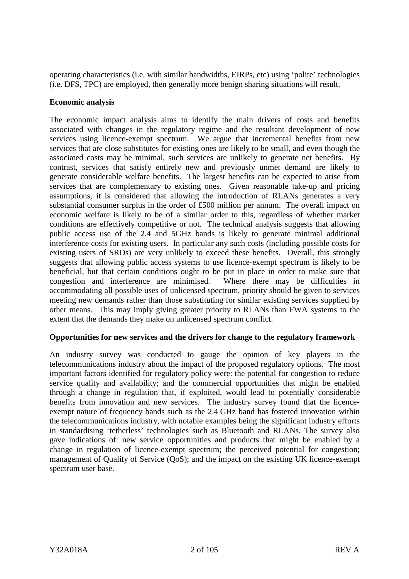operating characteristics (i.e. with similar bandwidths, EIRPs, etc) using 'polite' technologies (i.e. DFS, TPC) are employed, then generally more benign sharing situations will result.

## **Economic analysis**

The economic impact analysis aims to identify the main drivers of costs and benefits associated with changes in the regulatory regime and the resultant development of new services using licence-exempt spectrum. We argue that incremental benefits from new services that are close substitutes for existing ones are likely to be small, and even though the associated costs may be minimal, such services are unlikely to generate net benefits. By contrast, services that satisfy entirely new and previously unmet demand are likely to generate considerable welfare benefits. The largest benefits can be expected to arise from services that are complementary to existing ones. Given reasonable take-up and pricing assumptions, it is considered that allowing the introduction of RLANs generates a very substantial consumer surplus in the order of £500 million per annum. The overall impact on economic welfare is likely to be of a similar order to this, regardless of whether market conditions are effectively competitive or not. The technical analysis suggests that allowing public access use of the 2.4 and 5GHz bands is likely to generate minimal additional interference costs for existing users. In particular any such costs (including possible costs for existing users of SRDs) are very unlikely to exceed these benefits. Overall, this strongly suggests that allowing public access systems to use licence-exempt spectrum is likely to be beneficial, but that certain conditions ought to be put in place in order to make sure that congestion and interference are minimised. Where there may be difficulties in accommodating all possible uses of unlicensed spectrum, priority should be given to services meeting new demands rather than those substituting for similar existing services supplied by other means. This may imply giving greater priority to RLANs than FWA systems to the extent that the demands they make on unlicensed spectrum conflict.

## **Opportunities for new services and the drivers for change to the regulatory framework**

An industry survey was conducted to gauge the opinion of key players in the telecommunications industry about the impact of the proposed regulatory options. The most important factors identified for regulatory policy were: the potential for congestion to reduce service quality and availability; and the commercial opportunities that might be enabled through a change in regulation that, if exploited, would lead to potentially considerable benefits from innovation and new services. The industry survey found that the licenceexempt nature of frequency bands such as the 2.4 GHz band has fostered innovation within the telecommunications industry, with notable examples being the significant industry efforts in standardising 'tetherless' technologies such as Bluetooth and RLANs. The survey also gave indications of: new service opportunities and products that might be enabled by a change in regulation of licence-exempt spectrum; the perceived potential for congestion; management of Quality of Service (QoS); and the impact on the existing UK licence-exempt spectrum user base.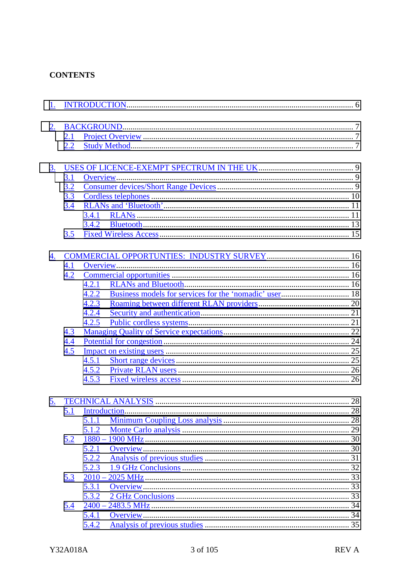## **CONTENTS**

| 2.        |            |          |  |
|-----------|------------|----------|--|
|           | <b>2.1</b> |          |  |
|           | 2.2        |          |  |
|           |            |          |  |
| <u>3.</u> |            |          |  |
|           | 3.1        |          |  |
|           | 3.2        |          |  |
|           | 3.3        |          |  |
|           | 3.4        |          |  |
|           |            | 3.4.1    |  |
|           |            | 3.4.2    |  |
|           | 3.5        |          |  |
|           |            |          |  |
| 4.        |            |          |  |
|           | 4.1        |          |  |
|           | 4.2        |          |  |
|           |            | 4.2.1    |  |
|           |            | 4.2.2    |  |
|           |            | 4.2.3    |  |
|           |            | 4.2.4    |  |
|           |            | 4.2.5    |  |
|           | 4.3        |          |  |
|           | 4.4        |          |  |
|           | 4.5        |          |  |
|           |            | 4.5.1    |  |
|           |            | 4.5.2    |  |
|           |            | 4.5.3    |  |
|           |            |          |  |
| 5.        |            |          |  |
|           | 5.1        |          |  |
|           |            | 5.1.1    |  |
|           |            | 5.1.2    |  |
|           | 5.2        |          |  |
|           |            | 5.2.1    |  |
|           |            | 5.2.2    |  |
|           |            | 5.2.3    |  |
|           | 5.3        | $2010 -$ |  |
|           |            | 5.3.1    |  |
|           |            | 5.3.2    |  |
|           | 5.4        | $2400 -$ |  |
|           |            | 5.4.1    |  |
|           |            | 5.4.2    |  |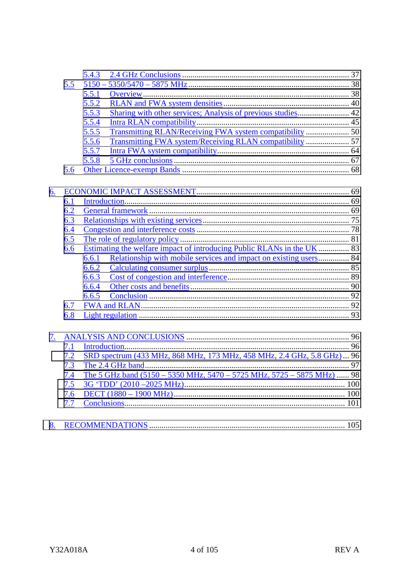|    |                   | 5.4.3                                                                      |     |
|----|-------------------|----------------------------------------------------------------------------|-----|
|    | 5.5               |                                                                            |     |
|    |                   | 5.5.1                                                                      |     |
|    |                   | 5.5.2                                                                      |     |
|    |                   | 5.5.3                                                                      |     |
|    |                   | 5.5.4                                                                      |     |
|    |                   | 5.5.5                                                                      |     |
|    |                   | 5.5.6                                                                      |     |
|    |                   | 5.5.7                                                                      |     |
|    |                   | 5.5.8                                                                      |     |
|    | 5.6               |                                                                            |     |
|    |                   |                                                                            |     |
| 6. |                   |                                                                            |     |
|    | 6.1               |                                                                            |     |
|    | 6.2               |                                                                            |     |
|    | 6.3               |                                                                            |     |
|    | 6.4               |                                                                            |     |
|    | 6.5               |                                                                            |     |
|    | 6.6               | 6.6.1                                                                      |     |
|    |                   | Relationship with mobile services and impact on existing users 84<br>6.6.2 |     |
|    |                   |                                                                            |     |
|    |                   | 6.6.3<br>6.6.4                                                             |     |
|    |                   | 6.6.5                                                                      |     |
|    |                   |                                                                            |     |
|    | <u>6.7</u><br>6.8 |                                                                            |     |
|    |                   |                                                                            |     |
| 7. |                   |                                                                            |     |
|    | 7.1               |                                                                            |     |
|    | 7.2               | SRD spectrum (433 MHz, 868 MHz, 173 MHz, 458 MHz, 2.4 GHz, 5.8 GHz)  96    |     |
|    | 7.3               |                                                                            |     |
|    | 7.4               | The 5 GHz band (5150 - 5350 MHz, 5470 - 5725 MHz, 5725 - 5875 MHz)  98     |     |
|    | 7.5               |                                                                            |     |
|    | 7.6               |                                                                            |     |
|    | 7.7               |                                                                            |     |
| 8. |                   | <b>RECOMMENDATIONS</b>                                                     | 105 |
|    |                   |                                                                            |     |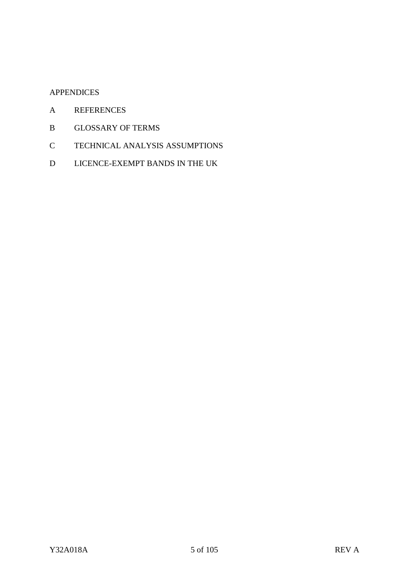## APPENDICES

- A REFERENCES
- B GLOSSARY OF TERMS
- C TECHNICAL ANALYSIS ASSUMPTIONS
- D LICENCE-EXEMPT BANDS IN THE UK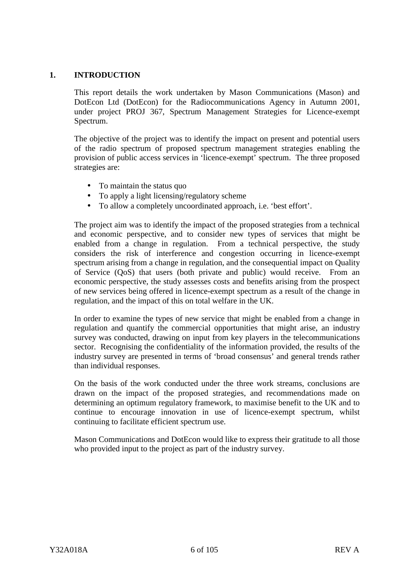## <span id="page-8-0"></span>**1. INTRODUCTION**

This report details the work undertaken by Mason Communications (Mason) and DotEcon Ltd (DotEcon) for the Radiocommunications Agency in Autumn 2001, under project PROJ 367, Spectrum Management Strategies for Licence-exempt Spectrum.

The objective of the project was to identify the impact on present and potential users of the radio spectrum of proposed spectrum management strategies enabling the provision of public access services in 'licence-exempt' spectrum. The three proposed strategies are:

- To maintain the status quo
- To apply a light licensing/regulatory scheme
- To allow a completely uncoordinated approach, i.e. 'best effort'.

The project aim was to identify the impact of the proposed strategies from a technical and economic perspective, and to consider new types of services that might be enabled from a change in regulation. From a technical perspective, the study considers the risk of interference and congestion occurring in licence-exempt spectrum arising from a change in regulation, and the consequential impact on Quality of Service (QoS) that users (both private and public) would receive. From an economic perspective, the study assesses costs and benefits arising from the prospect of new services being offered in licence-exempt spectrum as a result of the change in regulation, and the impact of this on total welfare in the UK.

In order to examine the types of new service that might be enabled from a change in regulation and quantify the commercial opportunities that might arise, an industry survey was conducted, drawing on input from key players in the telecommunications sector. Recognising the confidentiality of the information provided, the results of the industry survey are presented in terms of 'broad consensus' and general trends rather than individual responses.

On the basis of the work conducted under the three work streams, conclusions are drawn on the impact of the proposed strategies, and recommendations made on determining an optimum regulatory framework, to maximise benefit to the UK and to continue to encourage innovation in use of licence-exempt spectrum, whilst continuing to facilitate efficient spectrum use.

Mason Communications and DotEcon would like to express their gratitude to all those who provided input to the project as part of the industry survey.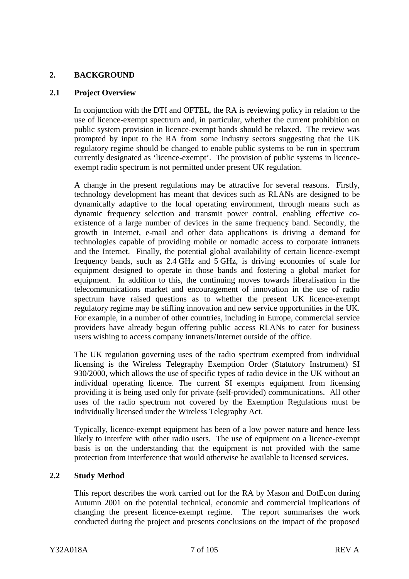## <span id="page-9-0"></span>**2. BACKGROUND**

#### **2.1 Project Overview**

In conjunction with the DTI and OFTEL, the RA is reviewing policy in relation to the use of licence-exempt spectrum and, in particular, whether the current prohibition on public system provision in licence-exempt bands should be relaxed. The review was prompted by input to the RA from some industry sectors suggesting that the UK regulatory regime should be changed to enable public systems to be run in spectrum currently designated as 'licence-exempt'. The provision of public systems in licenceexempt radio spectrum is not permitted under present UK regulation.

A change in the present regulations may be attractive for several reasons. Firstly, technology development has meant that devices such as RLANs are designed to be dynamically adaptive to the local operating environment, through means such as dynamic frequency selection and transmit power control, enabling effective coexistence of a large number of devices in the same frequency band. Secondly, the growth in Internet, e-mail and other data applications is driving a demand for technologies capable of providing mobile or nomadic access to corporate intranets and the Internet. Finally, the potential global availability of certain licence-exempt frequency bands, such as 2.4 GHz and 5 GHz, is driving economies of scale for equipment designed to operate in those bands and fostering a global market for equipment. In addition to this, the continuing moves towards liberalisation in the telecommunications market and encouragement of innovation in the use of radio spectrum have raised questions as to whether the present UK licence-exempt regulatory regime may be stifling innovation and new service opportunities in the UK. For example, in a number of other countries, including in Europe, commercial service providers have already begun offering public access RLANs to cater for business users wishing to access company intranets/Internet outside of the office.

The UK regulation governing uses of the radio spectrum exempted from individual licensing is the Wireless Telegraphy Exemption Order (Statutory Instrument) SI 930/2000, which allows the use of specific types of radio device in the UK without an individual operating licence. The current SI exempts equipment from licensing providing it is being used only for private (self-provided) communications. All other uses of the radio spectrum not covered by the Exemption Regulations must be individually licensed under the Wireless Telegraphy Act.

Typically, licence-exempt equipment has been of a low power nature and hence less likely to interfere with other radio users. The use of equipment on a licence-exempt basis is on the understanding that the equipment is not provided with the same protection from interference that would otherwise be available to licensed services.

## **2.2 Study Method**

This report describes the work carried out for the RA by Mason and DotEcon during Autumn 2001 on the potential technical, economic and commercial implications of changing the present licence-exempt regime. The report summarises the work conducted during the project and presents conclusions on the impact of the proposed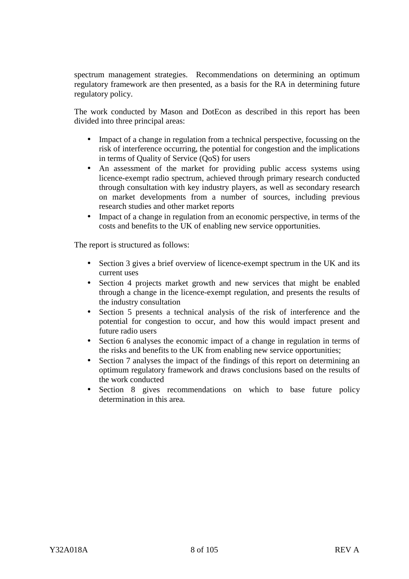spectrum management strategies. Recommendations on determining an optimum regulatory framework are then presented, as a basis for the RA in determining future regulatory policy.

The work conducted by Mason and DotEcon as described in this report has been divided into three principal areas:

- Impact of a change in regulation from a technical perspective, focussing on the risk of interference occurring, the potential for congestion and the implications in terms of Quality of Service (QoS) for users
- An assessment of the market for providing public access systems using licence-exempt radio spectrum, achieved through primary research conducted through consultation with key industry players, as well as secondary research on market developments from a number of sources, including previous research studies and other market reports
- Impact of a change in regulation from an economic perspective, in terms of the costs and benefits to the UK of enabling new service opportunities.

The report is structured as follows:

- Section 3 gives a brief overview of licence-exempt spectrum in the UK and its current uses
- Section 4 projects market growth and new services that might be enabled through a change in the licence-exempt regulation, and presents the results of the industry consultation
- Section 5 presents a technical analysis of the risk of interference and the potential for congestion to occur, and how this would impact present and future radio users
- Section 6 analyses the economic impact of a change in regulation in terms of the risks and benefits to the UK from enabling new service opportunities;
- Section 7 analyses the impact of the findings of this report on determining an optimum regulatory framework and draws conclusions based on the results of the work conducted
- Section 8 gives recommendations on which to base future policy determination in this area.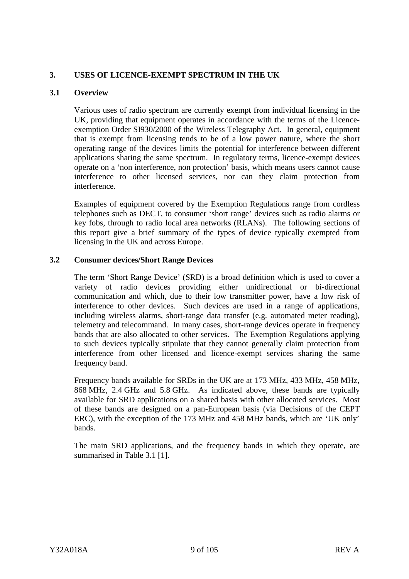## <span id="page-11-0"></span>**3. USES OF LICENCE-EXEMPT SPECTRUM IN THE UK**

## **3.1 Overview**

Various uses of radio spectrum are currently exempt from individual licensing in the UK, providing that equipment operates in accordance with the terms of the Licenceexemption Order SI930/2000 of the Wireless Telegraphy Act. In general, equipment that is exempt from licensing tends to be of a low power nature, where the short operating range of the devices limits the potential for interference between different applications sharing the same spectrum. In regulatory terms, licence-exempt devices operate on a 'non interference, non protection' basis, which means users cannot cause interference to other licensed services, nor can they claim protection from interference.

Examples of equipment covered by the Exemption Regulations range from cordless telephones such as DECT, to consumer 'short range' devices such as radio alarms or key fobs, through to radio local area networks (RLANs). The following sections of this report give a brief summary of the types of device typically exempted from licensing in the UK and across Europe.

## **3.2 Consumer devices/Short Range Devices**

The term 'Short Range Device' (SRD) is a broad definition which is used to cover a variety of radio devices providing either unidirectional or bi-directional communication and which, due to their low transmitter power, have a low risk of interference to other devices. Such devices are used in a range of applications, including wireless alarms, short-range data transfer (e.g. automated meter reading), telemetry and telecommand. In many cases, short-range devices operate in frequency bands that are also allocated to other services. The Exemption Regulations applying to such devices typically stipulate that they cannot generally claim protection from interference from other licensed and licence-exempt services sharing the same frequency band.

Frequency bands available for SRDs in the UK are at 173 MHz, 433 MHz, 458 MHz, 868 MHz, 2.4 GHz and 5.8 GHz. As indicated above, these bands are typically available for SRD applications on a shared basis with other allocated services. Most of these bands are designed on a pan-European basis (via Decisions of the CEPT ERC), with the exception of the 173 MHz and 458 MHz bands, which are 'UK only' bands.

The main SRD applications, and the frequency bands in which they operate, are summarised in Table 3.1 [1].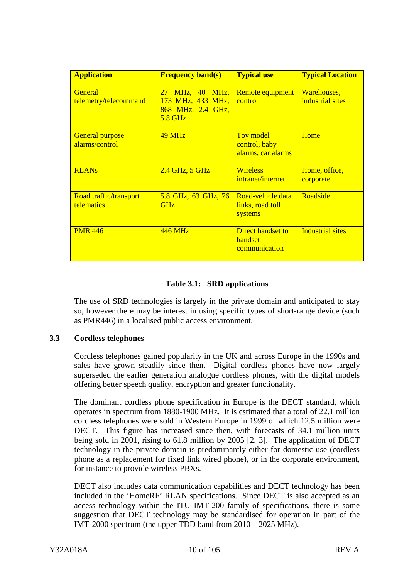<span id="page-12-0"></span>

| <b>Application</b>                       | <b>Frequency band(s)</b>                                             | <b>Typical use</b>                                   | <b>Typical Location</b>         |
|------------------------------------------|----------------------------------------------------------------------|------------------------------------------------------|---------------------------------|
| <b>General</b><br>telemetry/telecommand  | 27 MHz, 40 MHz,<br>173 MHz, 433 MHz,<br>868 MHz, 2.4 GHz,<br>5.8 GHz | Remote equipment<br>control                          | Warehouses,<br>industrial sites |
| <b>General purpose</b><br>alarms/control | <b>49 MHz</b>                                                        | Toy model<br>control, baby<br>alarms, car alarms     | Home                            |
| <b>RLANs</b>                             | 2.4 GHz, 5 GHz                                                       | <b>Wireless</b><br>intranet/internet                 | Home, office,<br>corporate      |
| Road traffic/transport<br>telematics     | 5.8 GHz, 63 GHz, 76<br><b>GHz</b>                                    | Road-vehicle data<br>links, road toll<br>systems     | Roadside                        |
| <b>PMR 446</b>                           | $446 \text{ MHz}$                                                    | <b>Direct handset to</b><br>handset<br>communication | <b>Industrial sites</b>         |

## **Table 3.1: SRD applications**

The use of SRD technologies is largely in the private domain and anticipated to stay so, however there may be interest in using specific types of short-range device (such as PMR446) in a localised public access environment.

#### **3.3 Cordless telephones**

Cordless telephones gained popularity in the UK and across Europe in the 1990s and sales have grown steadily since then. Digital cordless phones have now largely superseded the earlier generation analogue cordless phones, with the digital models offering better speech quality, encryption and greater functionality.

The dominant cordless phone specification in Europe is the DECT standard, which operates in spectrum from 1880-1900 MHz. It is estimated that a total of 22.1 million cordless telephones were sold in Western Europe in 1999 of which 12.5 million were DECT. This figure has increased since then, with forecasts of 34.1 million units being sold in 2001, rising to 61.8 million by 2005 [2, 3]. The application of DECT technology in the private domain is predominantly either for domestic use (cordless phone as a replacement for fixed link wired phone), or in the corporate environment, for instance to provide wireless PBXs.

DECT also includes data communication capabilities and DECT technology has been included in the 'HomeRF' RLAN specifications. Since DECT is also accepted as an access technology within the ITU IMT-200 family of specifications, there is some suggestion that DECT technology may be standardised for operation in part of the IMT-2000 spectrum (the upper TDD band from 2010 – 2025 MHz).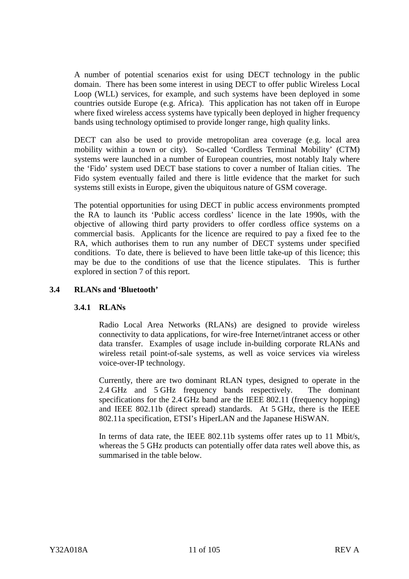<span id="page-13-0"></span>A number of potential scenarios exist for using DECT technology in the public domain. There has been some interest in using DECT to offer public Wireless Local Loop (WLL) services, for example, and such systems have been deployed in some countries outside Europe (e.g. Africa). This application has not taken off in Europe where fixed wireless access systems have typically been deployed in higher frequency bands using technology optimised to provide longer range, high quality links.

DECT can also be used to provide metropolitan area coverage (e.g. local area mobility within a town or city). So-called 'Cordless Terminal Mobility' (CTM) systems were launched in a number of European countries, most notably Italy where the 'Fido' system used DECT base stations to cover a number of Italian cities. The Fido system eventually failed and there is little evidence that the market for such systems still exists in Europe, given the ubiquitous nature of GSM coverage.

The potential opportunities for using DECT in public access environments prompted the RA to launch its 'Public access cordless' licence in the late 1990s, with the objective of allowing third party providers to offer cordless office systems on a commercial basis. Applicants for the licence are required to pay a fixed fee to the RA, which authorises them to run any number of DECT systems under specified conditions. To date, there is believed to have been little take-up of this licence; this may be due to the conditions of use that the licence stipulates. This is further explored in section 7 of this report.

## **3.4 RLANs and 'Bluetooth'**

#### **3.4.1 RLANs**

Radio Local Area Networks (RLANs) are designed to provide wireless connectivity to data applications, for wire-free Internet/intranet access or other data transfer. Examples of usage include in-building corporate RLANs and wireless retail point-of-sale systems, as well as voice services via wireless voice-over-IP technology.

Currently, there are two dominant RLAN types, designed to operate in the 2.4 GHz and 5 GHz frequency bands respectively. The dominant specifications for the 2.4 GHz band are the IEEE 802.11 (frequency hopping) and IEEE 802.11b (direct spread) standards. At 5 GHz, there is the IEEE 802.11a specification, ETSI's HiperLAN and the Japanese HiSWAN.

In terms of data rate, the IEEE 802.11b systems offer rates up to 11 Mbit/s, whereas the 5 GHz products can potentially offer data rates well above this, as summarised in the table below.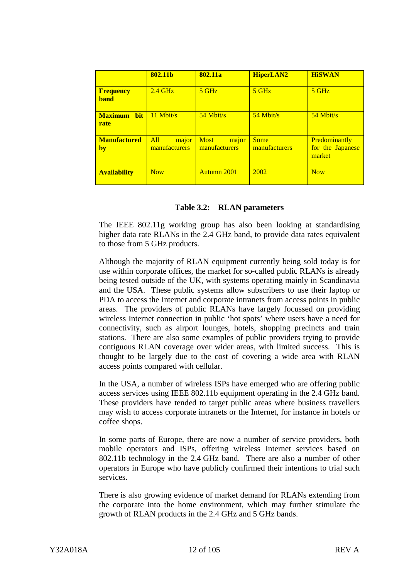|                                      | 802.11b                       | 802.11a                               | <b>HiperLAN2</b>             | <b>HiSWAN</b>                               |
|--------------------------------------|-------------------------------|---------------------------------------|------------------------------|---------------------------------------------|
| <b>Frequency</b><br><b>band</b>      | $2.4 \text{ GHz}$             | $5$ GHz                               | $5$ GHz                      | $5$ GHz                                     |
| <b>Maximum</b><br><b>bit</b><br>rate | 11 Mbit/s                     | $54$ Mbit/s                           | $54$ Mbit/s                  | $54$ Mbit/s                                 |
| <b>Manufactured</b><br>by            | All<br>major<br>manufacturers | major<br><b>Most</b><br>manufacturers | <b>Some</b><br>manufacturers | Predominantly<br>for the Japanese<br>market |
| <b>Availability</b>                  | <b>Now</b>                    | Autumn 2001                           | 2002                         | <b>Now</b>                                  |

#### **Table 3.2: RLAN parameters**

The IEEE 802.11g working group has also been looking at standardising higher data rate RLANs in the 2.4 GHz band, to provide data rates equivalent to those from 5 GHz products.

Although the majority of RLAN equipment currently being sold today is for use within corporate offices, the market for so-called public RLANs is already being tested outside of the UK, with systems operating mainly in Scandinavia and the USA. These public systems allow subscribers to use their laptop or PDA to access the Internet and corporate intranets from access points in public areas. The providers of public RLANs have largely focussed on providing wireless Internet connection in public 'hot spots' where users have a need for connectivity, such as airport lounges, hotels, shopping precincts and train stations. There are also some examples of public providers trying to provide contiguous RLAN coverage over wider areas, with limited success. This is thought to be largely due to the cost of covering a wide area with RLAN access points compared with cellular.

In the USA, a number of wireless ISPs have emerged who are offering public access services using IEEE 802.11b equipment operating in the 2.4 GHz band. These providers have tended to target public areas where business travellers may wish to access corporate intranets or the Internet, for instance in hotels or coffee shops.

In some parts of Europe, there are now a number of service providers, both mobile operators and ISPs, offering wireless Internet services based on 802.11b technology in the 2.4 GHz band. There are also a number of other operators in Europe who have publicly confirmed their intentions to trial such services.

There is also growing evidence of market demand for RLANs extending from the corporate into the home environment, which may further stimulate the growth of RLAN products in the 2.4 GHz and 5 GHz bands.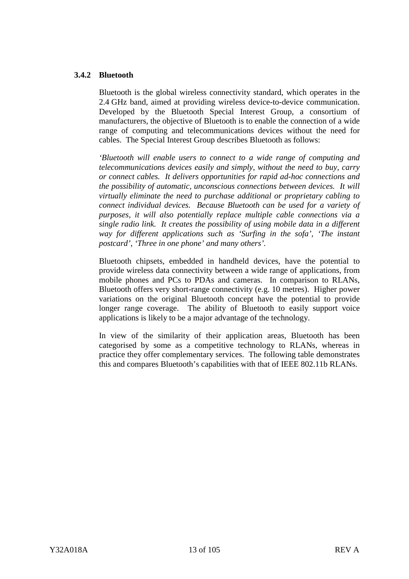## <span id="page-15-0"></span>**3.4.2 Bluetooth**

Bluetooth is the global wireless connectivity standard, which operates in the 2.4 GHz band, aimed at providing wireless device-to-device communication. Developed by the Bluetooth Special Interest Group, a consortium of manufacturers, the objective of Bluetooth is to enable the connection of a wide range of computing and telecommunications devices without the need for cables. The Special Interest Group describes Bluetooth as follows:

*'Bluetooth will enable users to connect to a wide range of computing and telecommunications devices easily and simply, without the need to buy, carry or connect cables. It delivers opportunities for rapid ad-hoc connections and the possibility of automatic, unconscious connections between devices. It will virtually eliminate the need to purchase additional or proprietary cabling to connect individual devices. Because Bluetooth can be used for a variety of purposes, it will also potentially replace multiple cable connections via a single radio link. It creates the possibility of using mobile data in a different way for different applications such as 'Surfing in the sofa', 'The instant postcard', 'Three in one phone' and many others'.*

Bluetooth chipsets, embedded in handheld devices, have the potential to provide wireless data connectivity between a wide range of applications, from mobile phones and PCs to PDAs and cameras. In comparison to RLANs, Bluetooth offers very short-range connectivity (e.g. 10 metres). Higher power variations on the original Bluetooth concept have the potential to provide longer range coverage. The ability of Bluetooth to easily support voice applications is likely to be a major advantage of the technology.

In view of the similarity of their application areas, Bluetooth has been categorised by some as a competitive technology to RLANs, whereas in practice they offer complementary services. The following table demonstrates this and compares Bluetooth's capabilities with that of IEEE 802.11b RLANs.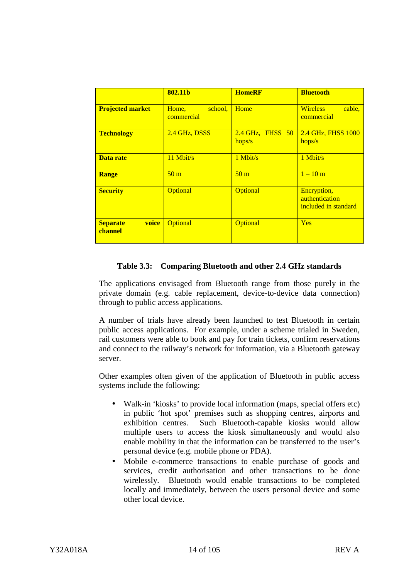|                                     | 802.11b                        | <b>HomeRF</b>                | <b>Bluetooth</b>                                      |
|-------------------------------------|--------------------------------|------------------------------|-------------------------------------------------------|
| <b>Projected market</b>             | school.<br>Home,<br>commercial | Home                         | <b>Wireless</b><br>cable.<br>commercial               |
| <b>Technology</b>                   | 2.4 GHz, DSSS                  | $2.4$ GHz, FHSS 50<br>hops/s | 2.4 GHz, FHSS 1000<br>hops/s                          |
| Data rate                           | $11$ Mbit/s                    | $1$ Mbit/s                   | $1$ Mbit/s                                            |
| <b>Range</b>                        | 50 <sub>m</sub>                | 50 <sub>m</sub>              | $1 - 10 m$                                            |
| <b>Security</b>                     | <b>Optional</b>                | <b>Optional</b>              | Encryption,<br>authentication<br>included in standard |
| voice<br><b>Separate</b><br>channel | Optional                       | Optional                     | <b>Yes</b>                                            |

## **Table 3.3: Comparing Bluetooth and other 2.4 GHz standards**

The applications envisaged from Bluetooth range from those purely in the private domain (e.g. cable replacement, device-to-device data connection) through to public access applications.

A number of trials have already been launched to test Bluetooth in certain public access applications. For example, under a scheme trialed in Sweden, rail customers were able to book and pay for train tickets, confirm reservations and connect to the railway's network for information, via a Bluetooth gateway server.

Other examples often given of the application of Bluetooth in public access systems include the following:

- Walk-in 'kiosks' to provide local information (maps, special offers etc) in public 'hot spot' premises such as shopping centres, airports and exhibition centres. Such Bluetooth-capable kiosks would allow multiple users to access the kiosk simultaneously and would also enable mobility in that the information can be transferred to the user's personal device (e.g. mobile phone or PDA).
- Mobile e-commerce transactions to enable purchase of goods and services, credit authorisation and other transactions to be done wirelessly. Bluetooth would enable transactions to be completed locally and immediately, between the users personal device and some other local device.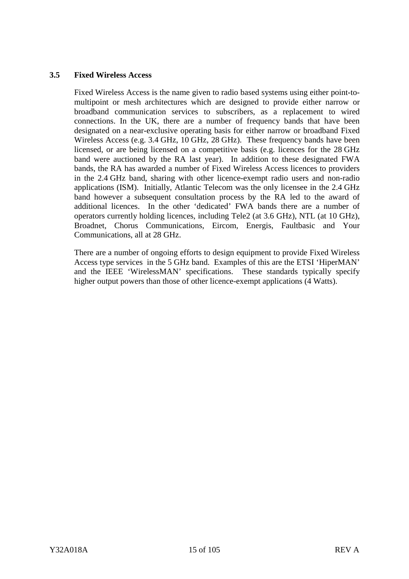## <span id="page-17-0"></span>**3.5 Fixed Wireless Access**

Fixed Wireless Access is the name given to radio based systems using either point-tomultipoint or mesh architectures which are designed to provide either narrow or broadband communication services to subscribers, as a replacement to wired connections. In the UK, there are a number of frequency bands that have been designated on a near-exclusive operating basis for either narrow or broadband Fixed Wireless Access (e.g. 3.4 GHz, 10 GHz, 28 GHz). These frequency bands have been licensed, or are being licensed on a competitive basis (e.g. licences for the 28 GHz band were auctioned by the RA last year). In addition to these designated FWA bands, the RA has awarded a number of Fixed Wireless Access licences to providers in the 2.4 GHz band, sharing with other licence-exempt radio users and non-radio applications (ISM). Initially, Atlantic Telecom was the only licensee in the 2.4 GHz band however a subsequent consultation process by the RA led to the award of additional licences. In the other 'dedicated' FWA bands there are a number of operators currently holding licences, including Tele2 (at 3.6 GHz), NTL (at 10 GHz), Broadnet, Chorus Communications, Eircom, Energis, Faultbasic and Your Communications, all at 28 GHz.

There are a number of ongoing efforts to design equipment to provide Fixed Wireless Access type services in the 5 GHz band. Examples of this are the ETSI 'HiperMAN' and the IEEE 'WirelessMAN' specifications. These standards typically specify higher output powers than those of other licence-exempt applications (4 Watts).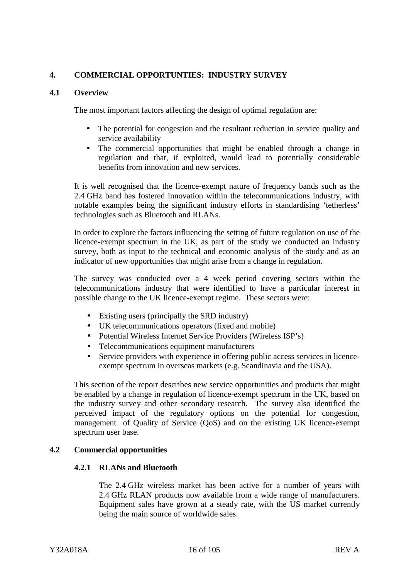## <span id="page-18-0"></span>**4. COMMERCIAL OPPORTUNTIES: INDUSTRY SURVEY**

#### **4.1 Overview**

The most important factors affecting the design of optimal regulation are:

- The potential for congestion and the resultant reduction in service quality and service availability
- The commercial opportunities that might be enabled through a change in regulation and that, if exploited, would lead to potentially considerable benefits from innovation and new services.

It is well recognised that the licence-exempt nature of frequency bands such as the 2.4 GHz band has fostered innovation within the telecommunications industry, with notable examples being the significant industry efforts in standardising 'tetherless' technologies such as Bluetooth and RLANs.

In order to explore the factors influencing the setting of future regulation on use of the licence-exempt spectrum in the UK, as part of the study we conducted an industry survey, both as input to the technical and economic analysis of the study and as an indicator of new opportunities that might arise from a change in regulation.

The survey was conducted over a 4 week period covering sectors within the telecommunications industry that were identified to have a particular interest in possible change to the UK licence-exempt regime. These sectors were:

- Existing users (principally the SRD industry)
- UK telecommunications operators (fixed and mobile)
- Potential Wireless Internet Service Providers (Wireless ISP's)
- Telecommunications equipment manufacturers
- Service providers with experience in offering public access services in licenceexempt spectrum in overseas markets (e.g. Scandinavia and the USA).

This section of the report describes new service opportunities and products that might be enabled by a change in regulation of licence-exempt spectrum in the UK, based on the industry survey and other secondary research. The survey also identified the perceived impact of the regulatory options on the potential for congestion, management of Quality of Service (QoS) and on the existing UK licence-exempt spectrum user base.

## **4.2 Commercial opportunities**

#### **4.2.1 RLANs and Bluetooth**

The 2.4 GHz wireless market has been active for a number of years with 2.4 GHz RLAN products now available from a wide range of manufacturers. Equipment sales have grown at a steady rate, with the US market currently being the main source of worldwide sales.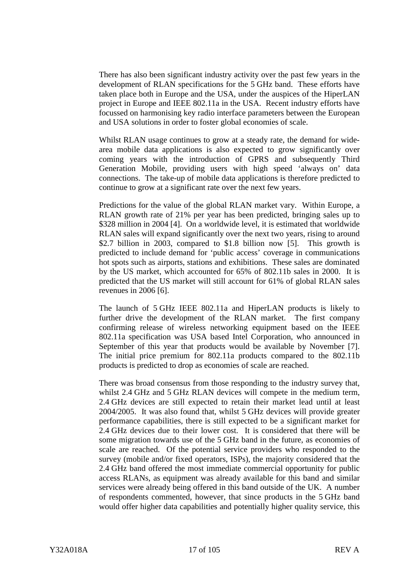There has also been significant industry activity over the past few years in the development of RLAN specifications for the 5 GHz band. These efforts have taken place both in Europe and the USA, under the auspices of the HiperLAN project in Europe and IEEE 802.11a in the USA. Recent industry efforts have focussed on harmonising key radio interface parameters between the European and USA solutions in order to foster global economies of scale.

Whilst RLAN usage continues to grow at a steady rate, the demand for widearea mobile data applications is also expected to grow significantly over coming years with the introduction of GPRS and subsequently Third Generation Mobile, providing users with high speed 'always on' data connections. The take-up of mobile data applications is therefore predicted to continue to grow at a significant rate over the next few years.

Predictions for the value of the global RLAN market vary. Within Europe, a RLAN growth rate of 21% per year has been predicted, bringing sales up to \$328 million in 2004 [4]. On a worldwide level, it is estimated that worldwide RLAN sales will expand significantly over the next two years, rising to around \$2.7 billion in 2003, compared to \$1.8 billion now [5]. This growth is predicted to include demand for 'public access' coverage in communications hot spots such as airports, stations and exhibitions. These sales are dominated by the US market, which accounted for 65% of 802.11b sales in 2000. It is predicted that the US market will still account for 61% of global RLAN sales revenues in 2006 [6].

The launch of 5 GHz IEEE 802.11a and HiperLAN products is likely to further drive the development of the RLAN market. The first company confirming release of wireless networking equipment based on the IEEE 802.11a specification was USA based Intel Corporation, who announced in September of this year that products would be available by November [7]. The initial price premium for 802.11a products compared to the 802.11b products is predicted to drop as economies of scale are reached.

There was broad consensus from those responding to the industry survey that, whilst 2.4 GHz and 5 GHz RLAN devices will compete in the medium term, 2.4 GHz devices are still expected to retain their market lead until at least 2004/2005. It was also found that, whilst 5 GHz devices will provide greater performance capabilities, there is still expected to be a significant market for 2.4 GHz devices due to their lower cost. It is considered that there will be some migration towards use of the 5 GHz band in the future, as economies of scale are reached. Of the potential service providers who responded to the survey (mobile and/or fixed operators, ISPs), the majority considered that the 2.4 GHz band offered the most immediate commercial opportunity for public access RLANs, as equipment was already available for this band and similar services were already being offered in this band outside of the UK. A number of respondents commented, however, that since products in the 5 GHz band would offer higher data capabilities and potentially higher quality service, this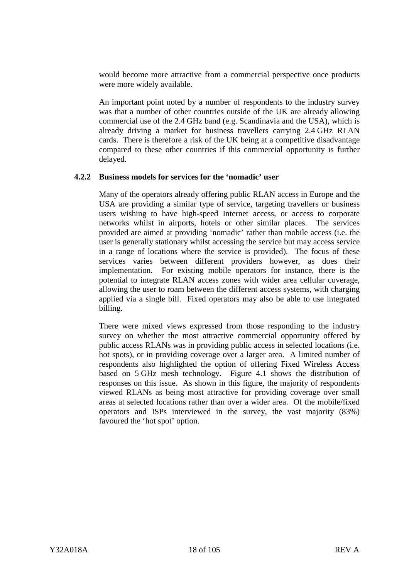<span id="page-20-0"></span>would become more attractive from a commercial perspective once products were more widely available.

An important point noted by a number of respondents to the industry survey was that a number of other countries outside of the UK are already allowing commercial use of the 2.4 GHz band (e.g. Scandinavia and the USA), which is already driving a market for business travellers carrying 2.4 GHz RLAN cards. There is therefore a risk of the UK being at a competitive disadvantage compared to these other countries if this commercial opportunity is further delayed.

#### **4.2.2 Business models for services for the 'nomadic' user**

Many of the operators already offering public RLAN access in Europe and the USA are providing a similar type of service, targeting travellers or business users wishing to have high-speed Internet access, or access to corporate networks whilst in airports, hotels or other similar places. The services provided are aimed at providing 'nomadic' rather than mobile access (i.e. the user is generally stationary whilst accessing the service but may access service in a range of locations where the service is provided). The focus of these services varies between different providers however, as does their implementation. For existing mobile operators for instance, there is the potential to integrate RLAN access zones with wider area cellular coverage, allowing the user to roam between the different access systems, with charging applied via a single bill. Fixed operators may also be able to use integrated billing.

There were mixed views expressed from those responding to the industry survey on whether the most attractive commercial opportunity offered by public access RLANs was in providing public access in selected locations (i.e. hot spots), or in providing coverage over a larger area. A limited number of respondents also highlighted the option of offering Fixed Wireless Access based on 5 GHz mesh technology. Figure 4.1 shows the distribution of responses on this issue. As shown in this figure, the majority of respondents viewed RLANs as being most attractive for providing coverage over small areas at selected locations rather than over a wider area. Of the mobile/fixed operators and ISPs interviewed in the survey, the vast majority (83%) favoured the 'hot spot' option.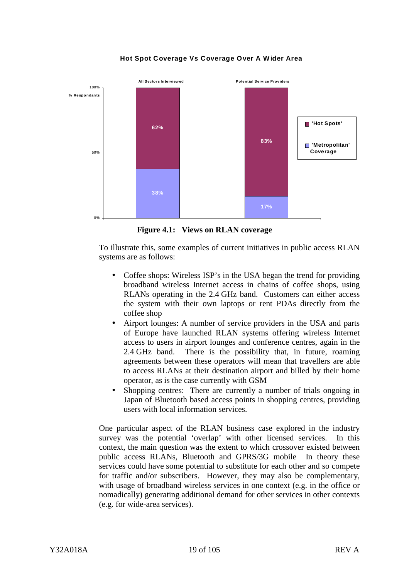

**Hot Spot Coverage Vs Coverage Over A Wider Area**

**Figure 4.1: Views on RLAN coverage**

To illustrate this, some examples of current initiatives in public access RLAN systems are as follows:

- Coffee shops: Wireless ISP's in the USA began the trend for providing broadband wireless Internet access in chains of coffee shops, using RLANs operating in the 2.4 GHz band. Customers can either access the system with their own laptops or rent PDAs directly from the coffee shop
- Airport lounges: A number of service providers in the USA and parts of Europe have launched RLAN systems offering wireless Internet access to users in airport lounges and conference centres, again in the 2.4 GHz band. There is the possibility that, in future, roaming agreements between these operators will mean that travellers are able to access RLANs at their destination airport and billed by their home operator, as is the case currently with GSM
- Shopping centres: There are currently a number of trials ongoing in Japan of Bluetooth based access points in shopping centres, providing users with local information services.

One particular aspect of the RLAN business case explored in the industry survey was the potential 'overlap' with other licensed services. In this context, the main question was the extent to which crossover existed between public access RLANs, Bluetooth and GPRS/3G mobile In theory these services could have some potential to substitute for each other and so compete for traffic and/or subscribers. However, they may also be complementary, with usage of broadband wireless services in one context (e.g. in the office or nomadically) generating additional demand for other services in other contexts (e.g. for wide-area services).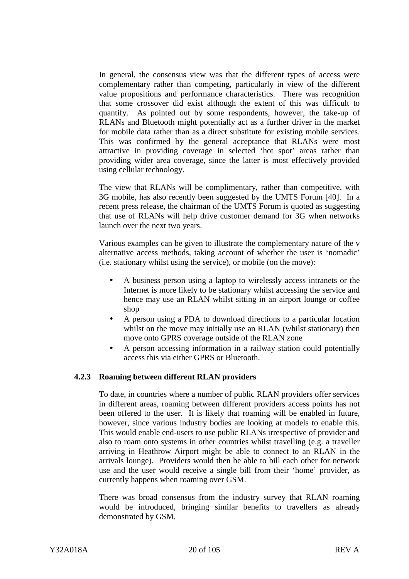<span id="page-22-0"></span>In general, the consensus view was that the different types of access were complementary rather than competing, particularly in view of the different value propositions and performance characteristics. There was recognition that some crossover did exist although the extent of this was difficult to quantify. As pointed out by some respondents, however, the take-up of RLANs and Bluetooth might potentially act as a further driver in the market for mobile data rather than as a direct substitute for existing mobile services. This was confirmed by the general acceptance that RLANs were most attractive in providing coverage in selected 'hot spot' areas rather than providing wider area coverage, since the latter is most effectively provided using cellular technology.

The view that RLANs will be complimentary, rather than competitive, with 3G mobile, has also recently been suggested by the UMTS Forum [40]. In a recent press release, the chairman of the UMTS Forum is quoted as suggesting that use of RLANs will help drive customer demand for 3G when networks launch over the next two years.

Various examples can be given to illustrate the complementary nature of the v alternative access methods, taking account of whether the user is 'nomadic' (i.e. stationary whilst using the service), or mobile (on the move):

- A business person using a laptop to wirelessly access intranets or the Internet is more likely to be stationary whilst accessing the service and hence may use an RLAN whilst sitting in an airport lounge or coffee shop
- A person using a PDA to download directions to a particular location whilst on the move may initially use an RLAN (whilst stationary) then move onto GPRS coverage outside of the RLAN zone
- A person accessing information in a railway station could potentially access this via either GPRS or Bluetooth.

#### **4.2.3 Roaming between different RLAN providers**

To date, in countries where a number of public RLAN providers offer services in different areas, roaming between different providers access points has not been offered to the user. It is likely that roaming will be enabled in future, however, since various industry bodies are looking at models to enable this. This would enable end-users to use public RLANs irrespective of provider and also to roam onto systems in other countries whilst travelling (e.g. a traveller arriving in Heathrow Airport might be able to connect to an RLAN in the arrivals lounge). Providers would then be able to bill each other for network use and the user would receive a single bill from their 'home' provider, as currently happens when roaming over GSM.

There was broad consensus from the industry survey that RLAN roaming would be introduced, bringing similar benefits to travellers as already demonstrated by GSM.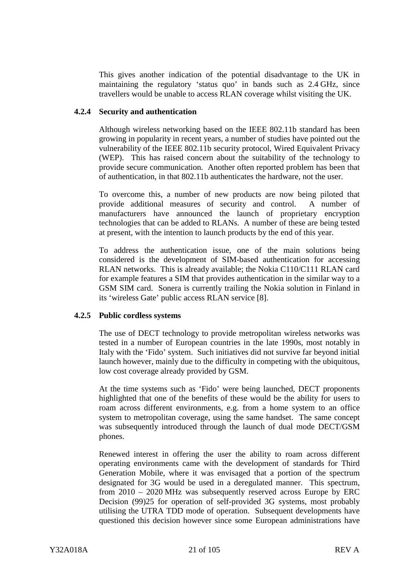<span id="page-23-0"></span>This gives another indication of the potential disadvantage to the UK in maintaining the regulatory 'status quo' in bands such as 2.4 GHz, since travellers would be unable to access RLAN coverage whilst visiting the UK.

#### **4.2.4 Security and authentication**

Although wireless networking based on the IEEE 802.11b standard has been growing in popularity in recent years, a number of studies have pointed out the vulnerability of the IEEE 802.11b security protocol, Wired Equivalent Privacy (WEP). This has raised concern about the suitability of the technology to provide secure communication. Another often reported problem has been that of authentication, in that 802.11b authenticates the hardware, not the user.

To overcome this, a number of new products are now being piloted that provide additional measures of security and control. A number of manufacturers have announced the launch of proprietary encryption technologies that can be added to RLANs. A number of these are being tested at present, with the intention to launch products by the end of this year.

To address the authentication issue, one of the main solutions being considered is the development of SIM-based authentication for accessing RLAN networks. This is already available; the Nokia C110/C111 RLAN card for example features a SIM that provides authentication in the similar way to a GSM SIM card. Sonera is currently trailing the Nokia solution in Finland in its 'wireless Gate' public access RLAN service [8].

#### **4.2.5 Public cordless systems**

The use of DECT technology to provide metropolitan wireless networks was tested in a number of European countries in the late 1990s, most notably in Italy with the 'Fido' system. Such initiatives did not survive far beyond initial launch however, mainly due to the difficulty in competing with the ubiquitous, low cost coverage already provided by GSM.

At the time systems such as 'Fido' were being launched, DECT proponents highlighted that one of the benefits of these would be the ability for users to roam across different environments, e.g. from a home system to an office system to metropolitan coverage, using the same handset. The same concept was subsequently introduced through the launch of dual mode DECT/GSM phones.

Renewed interest in offering the user the ability to roam across different operating environments came with the development of standards for Third Generation Mobile, where it was envisaged that a portion of the spectrum designated for 3G would be used in a deregulated manner. This spectrum, from 2010 – 2020 MHz was subsequently reserved across Europe by ERC Decision (99)25 for operation of self-provided 3G systems, most probably utilising the UTRA TDD mode of operation. Subsequent developments have questioned this decision however since some European administrations have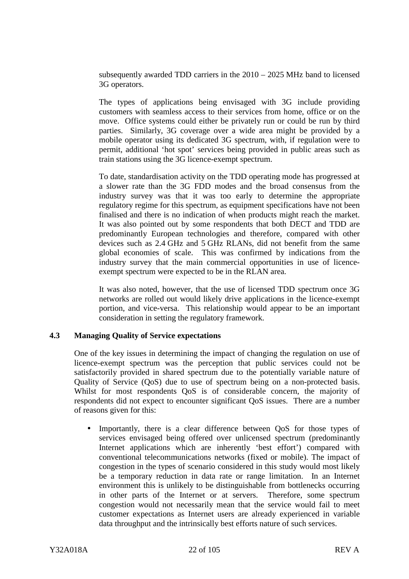<span id="page-24-0"></span>subsequently awarded TDD carriers in the  $2010 - 2025$  MHz band to licensed 3G operators.

The types of applications being envisaged with 3G include providing customers with seamless access to their services from home, office or on the move. Office systems could either be privately run or could be run by third parties. Similarly, 3G coverage over a wide area might be provided by a mobile operator using its dedicated 3G spectrum, with, if regulation were to permit, additional 'hot spot' services being provided in public areas such as train stations using the 3G licence-exempt spectrum.

To date, standardisation activity on the TDD operating mode has progressed at a slower rate than the 3G FDD modes and the broad consensus from the industry survey was that it was too early to determine the appropriate regulatory regime for this spectrum, as equipment specifications have not been finalised and there is no indication of when products might reach the market. It was also pointed out by some respondents that both DECT and TDD are predominantly European technologies and therefore, compared with other devices such as 2.4 GHz and 5 GHz RLANs, did not benefit from the same global economies of scale. This was confirmed by indications from the industry survey that the main commercial opportunities in use of licenceexempt spectrum were expected to be in the RLAN area.

It was also noted, however, that the use of licensed TDD spectrum once 3G networks are rolled out would likely drive applications in the licence-exempt portion, and vice-versa. This relationship would appear to be an important consideration in setting the regulatory framework.

#### **4.3 Managing Quality of Service expectations**

One of the key issues in determining the impact of changing the regulation on use of licence-exempt spectrum was the perception that public services could not be satisfactorily provided in shared spectrum due to the potentially variable nature of Quality of Service (QoS) due to use of spectrum being on a non-protected basis. Whilst for most respondents  $\cos$  is of considerable concern, the majority of respondents did not expect to encounter significant QoS issues. There are a number of reasons given for this:

• Importantly, there is a clear difference between QoS for those types of services envisaged being offered over unlicensed spectrum (predominantly Internet applications which are inherently 'best effort') compared with conventional telecommunications networks (fixed or mobile). The impact of congestion in the types of scenario considered in this study would most likely be a temporary reduction in data rate or range limitation. In an Internet environment this is unlikely to be distinguishable from bottlenecks occurring in other parts of the Internet or at servers. Therefore, some spectrum congestion would not necessarily mean that the service would fail to meet customer expectations as Internet users are already experienced in variable data throughput and the intrinsically best efforts nature of such services.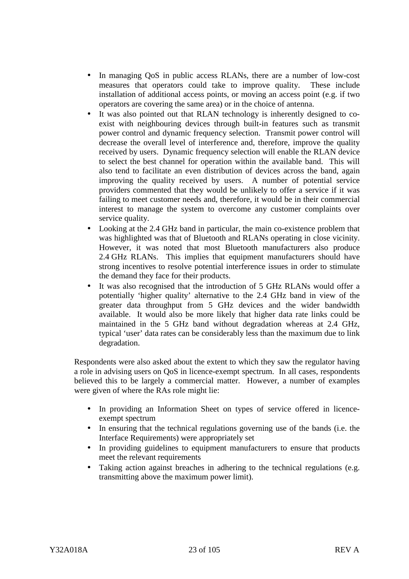- In managing QoS in public access RLANs, there are a number of low-cost measures that operators could take to improve quality. These include installation of additional access points, or moving an access point (e.g. if two operators are covering the same area) or in the choice of antenna.
- It was also pointed out that RLAN technology is inherently designed to coexist with neighbouring devices through built-in features such as transmit power control and dynamic frequency selection. Transmit power control will decrease the overall level of interference and, therefore, improve the quality received by users. Dynamic frequency selection will enable the RLAN device to select the best channel for operation within the available band. This will also tend to facilitate an even distribution of devices across the band, again improving the quality received by users. A number of potential service providers commented that they would be unlikely to offer a service if it was failing to meet customer needs and, therefore, it would be in their commercial interest to manage the system to overcome any customer complaints over service quality.
- Looking at the 2.4 GHz band in particular, the main co-existence problem that was highlighted was that of Bluetooth and RLANs operating in close vicinity. However, it was noted that most Bluetooth manufacturers also produce 2.4 GHz RLANs. This implies that equipment manufacturers should have strong incentives to resolve potential interference issues in order to stimulate the demand they face for their products.
- It was also recognised that the introduction of 5 GHz RLANs would offer a potentially 'higher quality' alternative to the 2.4 GHz band in view of the greater data throughput from 5 GHz devices and the wider bandwidth available. It would also be more likely that higher data rate links could be maintained in the 5 GHz band without degradation whereas at 2.4 GHz, typical 'user' data rates can be considerably less than the maximum due to link degradation.

Respondents were also asked about the extent to which they saw the regulator having a role in advising users on QoS in licence-exempt spectrum. In all cases, respondents believed this to be largely a commercial matter. However, a number of examples were given of where the RAs role might lie:

- In providing an Information Sheet on types of service offered in licenceexempt spectrum
- In ensuring that the technical regulations governing use of the bands (i.e. the Interface Requirements) were appropriately set
- In providing guidelines to equipment manufacturers to ensure that products meet the relevant requirements
- Taking action against breaches in adhering to the technical regulations (e.g. transmitting above the maximum power limit).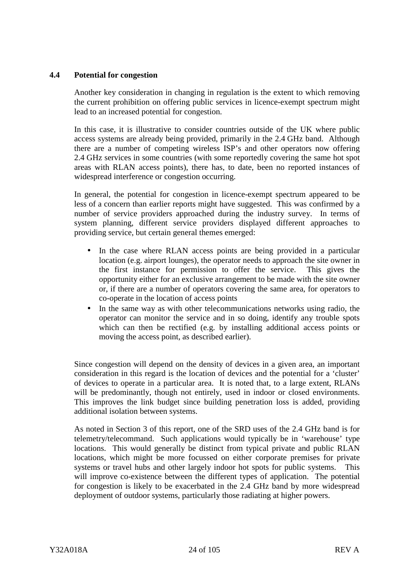## <span id="page-26-0"></span>**4.4 Potential for congestion**

Another key consideration in changing in regulation is the extent to which removing the current prohibition on offering public services in licence-exempt spectrum might lead to an increased potential for congestion.

In this case, it is illustrative to consider countries outside of the UK where public access systems are already being provided, primarily in the 2.4 GHz band. Although there are a number of competing wireless ISP's and other operators now offering 2.4 GHz services in some countries (with some reportedly covering the same hot spot areas with RLAN access points), there has, to date, been no reported instances of widespread interference or congestion occurring.

In general, the potential for congestion in licence-exempt spectrum appeared to be less of a concern than earlier reports might have suggested. This was confirmed by a number of service providers approached during the industry survey. In terms of system planning, different service providers displayed different approaches to providing service, but certain general themes emerged:

- In the case where RLAN access points are being provided in a particular location (e.g. airport lounges), the operator needs to approach the site owner in the first instance for permission to offer the service. This gives the opportunity either for an exclusive arrangement to be made with the site owner or, if there are a number of operators covering the same area, for operators to co-operate in the location of access points
- In the same way as with other telecommunications networks using radio, the operator can monitor the service and in so doing, identify any trouble spots which can then be rectified (e.g. by installing additional access points or moving the access point, as described earlier).

Since congestion will depend on the density of devices in a given area, an important consideration in this regard is the location of devices and the potential for a 'cluster' of devices to operate in a particular area. It is noted that, to a large extent, RLANs will be predominantly, though not entirely, used in indoor or closed environments. This improves the link budget since building penetration loss is added, providing additional isolation between systems.

As noted in Section 3 of this report, one of the SRD uses of the 2.4 GHz band is for telemetry/telecommand. Such applications would typically be in 'warehouse' type locations. This would generally be distinct from typical private and public RLAN locations, which might be more focussed on either corporate premises for private systems or travel hubs and other largely indoor hot spots for public systems. This will improve co-existence between the different types of application. The potential for congestion is likely to be exacerbated in the 2.4 GHz band by more widespread deployment of outdoor systems, particularly those radiating at higher powers.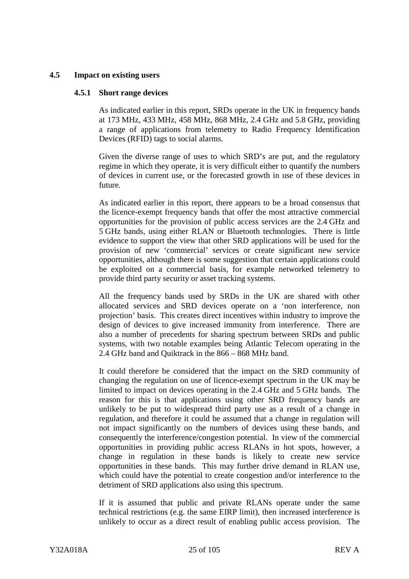## <span id="page-27-0"></span>**4.5 Impact on existing users**

#### **4.5.1 Short range devices**

As indicated earlier in this report, SRDs operate in the UK in frequency bands at 173 MHz, 433 MHz, 458 MHz, 868 MHz, 2.4 GHz and 5.8 GHz, providing a range of applications from telemetry to Radio Frequency Identification Devices (RFID) tags to social alarms.

Given the diverse range of uses to which SRD's are put, and the regulatory regime in which they operate, it is very difficult either to quantify the numbers of devices in current use, or the forecasted growth in use of these devices in future.

As indicated earlier in this report, there appears to be a broad consensus that the licence-exempt frequency bands that offer the most attractive commercial opportunities for the provision of public access services are the 2.4 GHz and 5 GHz bands, using either RLAN or Bluetooth technologies. There is little evidence to support the view that other SRD applications will be used for the provision of new 'commercial' services or create significant new service opportunities, although there is some suggestion that certain applications could be exploited on a commercial basis, for example networked telemetry to provide third party security or asset tracking systems.

All the frequency bands used by SRDs in the UK are shared with other allocated services and SRD devices operate on a 'non interference, non projection' basis. This creates direct incentives within industry to improve the design of devices to give increased immunity from interference. There are also a number of precedents for sharing spectrum between SRDs and public systems, with two notable examples being Atlantic Telecom operating in the 2.4 GHz band and Quiktrack in the 866 – 868 MHz band.

It could therefore be considered that the impact on the SRD community of changing the regulation on use of licence-exempt spectrum in the UK may be limited to impact on devices operating in the 2.4 GHz and 5 GHz bands. The reason for this is that applications using other SRD frequency bands are unlikely to be put to widespread third party use as a result of a change in regulation, and therefore it could be assumed that a change in regulation will not impact significantly on the numbers of devices using these bands, and consequently the interference/congestion potential. In view of the commercial opportunities in providing public access RLANs in hot spots, however, a change in regulation in these bands is likely to create new service opportunities in these bands. This may further drive demand in RLAN use, which could have the potential to create congestion and/or interference to the detriment of SRD applications also using this spectrum.

If it is assumed that public and private RLANs operate under the same technical restrictions (e.g. the same EIRP limit), then increased interference is unlikely to occur as a direct result of enabling public access provision. The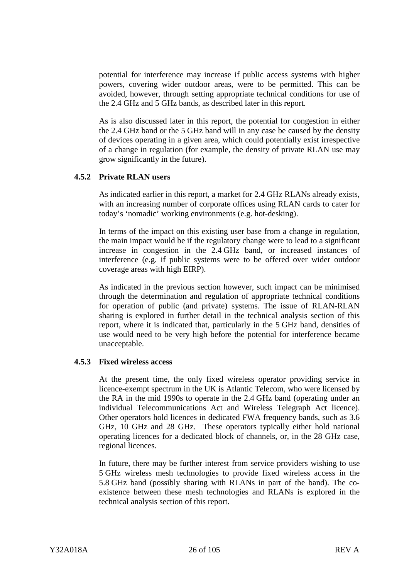<span id="page-28-0"></span>potential for interference may increase if public access systems with higher powers, covering wider outdoor areas, were to be permitted. This can be avoided, however, through setting appropriate technical conditions for use of the 2.4 GHz and 5 GHz bands, as described later in this report.

As is also discussed later in this report, the potential for congestion in either the 2.4 GHz band or the 5 GHz band will in any case be caused by the density of devices operating in a given area, which could potentially exist irrespective of a change in regulation (for example, the density of private RLAN use may grow significantly in the future).

## **4.5.2 Private RLAN users**

As indicated earlier in this report, a market for 2.4 GHz RLANs already exists, with an increasing number of corporate offices using RLAN cards to cater for today's 'nomadic' working environments (e.g. hot-desking).

In terms of the impact on this existing user base from a change in regulation, the main impact would be if the regulatory change were to lead to a significant increase in congestion in the 2.4 GHz band, or increased instances of interference (e.g. if public systems were to be offered over wider outdoor coverage areas with high EIRP).

As indicated in the previous section however, such impact can be minimised through the determination and regulation of appropriate technical conditions for operation of public (and private) systems. The issue of RLAN-RLAN sharing is explored in further detail in the technical analysis section of this report, where it is indicated that, particularly in the 5 GHz band, densities of use would need to be very high before the potential for interference became unacceptable.

#### **4.5.3 Fixed wireless access**

At the present time, the only fixed wireless operator providing service in licence-exempt spectrum in the UK is Atlantic Telecom, who were licensed by the RA in the mid 1990s to operate in the 2.4 GHz band (operating under an individual Telecommunications Act and Wireless Telegraph Act licence). Other operators hold licences in dedicated FWA frequency bands, such as 3.6 GHz, 10 GHz and 28 GHz. These operators typically either hold national operating licences for a dedicated block of channels, or, in the 28 GHz case, regional licences.

In future, there may be further interest from service providers wishing to use 5 GHz wireless mesh technologies to provide fixed wireless access in the 5.8 GHz band (possibly sharing with RLANs in part of the band). The coexistence between these mesh technologies and RLANs is explored in the technical analysis section of this report.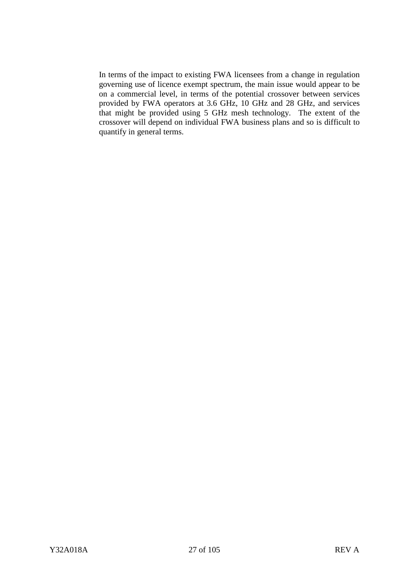In terms of the impact to existing FWA licensees from a change in regulation governing use of licence exempt spectrum, the main issue would appear to be on a commercial level, in terms of the potential crossover between services provided by FWA operators at 3.6 GHz, 10 GHz and 28 GHz, and services that might be provided using 5 GHz mesh technology. The extent of the crossover will depend on individual FWA business plans and so is difficult to quantify in general terms.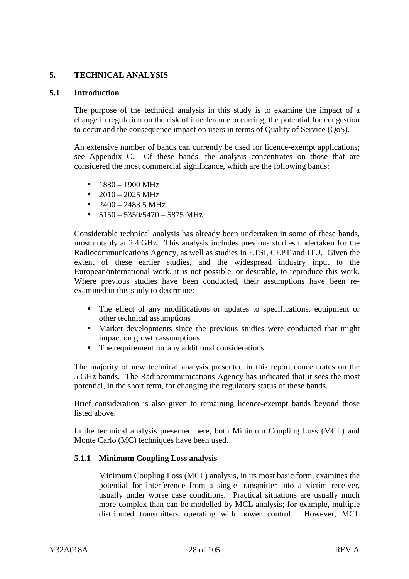## <span id="page-30-0"></span>**5. TECHNICAL ANALYSIS**

#### **5.1 Introduction**

The purpose of the technical analysis in this study is to examine the impact of a change in regulation on the risk of interference occurring, the potential for congestion to occur and the consequence impact on users in terms of Quality of Service (QoS).

An extensive number of bands can currently be used for licence-exempt applications; see Appendix C. Of these bands, the analysis concentrates on those that are considered the most commercial significance, which are the following bands:

- $1880 1900$  MHz
- $2010 2025 \text{ MHz}$
- $2400 2483.5 \text{ MHz}$
- $5150 5350/5470 5875$  MHz.

Considerable technical analysis has already been undertaken in some of these bands, most notably at 2.4 GHz. This analysis includes previous studies undertaken for the Radiocommunications Agency, as well as studies in ETSI, CEPT and ITU. Given the extent of these earlier studies, and the widespread industry input to the European/international work, it is not possible, or desirable, to reproduce this work. Where previous studies have been conducted, their assumptions have been reexamined in this study to determine:

- The effect of any modifications or updates to specifications, equipment or other technical assumptions
- Market developments since the previous studies were conducted that might impact on growth assumptions
- The requirement for any additional considerations.

The majority of new technical analysis presented in this report concentrates on the 5 GHz bands. The Radiocommunications Agency has indicated that it sees the most potential, in the short term, for changing the regulatory status of these bands.

Brief consideration is also given to remaining licence-exempt bands beyond those listed above.

In the technical analysis presented here, both Minimum Coupling Loss (MCL) and Monte Carlo (MC) techniques have been used.

#### **5.1.1 Minimum Coupling Loss analysis**

Minimum Coupling Loss (MCL) analysis, in its most basic form, examines the potential for interference from a single transmitter into a victim receiver, usually under worse case conditions. Practical situations are usually much more complex than can be modelled by MCL analysis; for example, multiple distributed transmitters operating with power control. However, MCL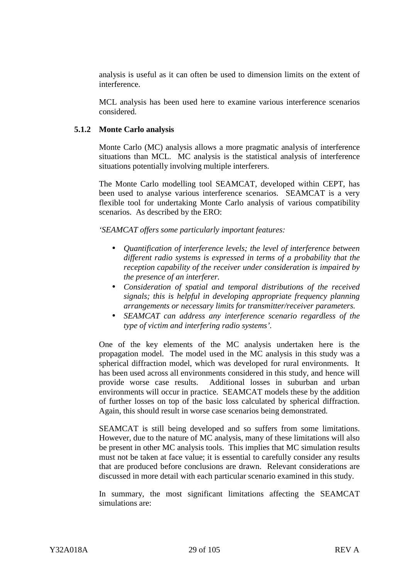<span id="page-31-0"></span>analysis is useful as it can often be used to dimension limits on the extent of interference.

MCL analysis has been used here to examine various interference scenarios considered.

#### **5.1.2 Monte Carlo analysis**

Monte Carlo (MC) analysis allows a more pragmatic analysis of interference situations than MCL. MC analysis is the statistical analysis of interference situations potentially involving multiple interferers.

The Monte Carlo modelling tool SEAMCAT, developed within CEPT, has been used to analyse various interference scenarios. SEAMCAT is a very flexible tool for undertaking Monte Carlo analysis of various compatibility scenarios. As described by the ERO:

*'SEAMCAT offers some particularly important features:*

- *Quantification of interference levels; the level of interference between different radio systems is expressed in terms of a probability that the reception capability of the receiver under consideration is impaired by the presence of an interferer.*
- *Consideration of spatial and temporal distributions of the received signals; this is helpful in developing appropriate frequency planning arrangements or necessary limits for transmitter/receiver parameters.*
- *SEAMCAT can address any interference scenario regardless of the type of victim and interfering radio systems'.*

One of the key elements of the MC analysis undertaken here is the propagation model. The model used in the MC analysis in this study was a spherical diffraction model, which was developed for rural environments. It has been used across all environments considered in this study, and hence will provide worse case results. Additional losses in suburban and urban environments will occur in practice. SEAMCAT models these by the addition of further losses on top of the basic loss calculated by spherical diffraction. Again, this should result in worse case scenarios being demonstrated.

SEAMCAT is still being developed and so suffers from some limitations. However, due to the nature of MC analysis, many of these limitations will also be present in other MC analysis tools. This implies that MC simulation results must not be taken at face value; it is essential to carefully consider any results that are produced before conclusions are drawn. Relevant considerations are discussed in more detail with each particular scenario examined in this study.

In summary, the most significant limitations affecting the SEAMCAT simulations are: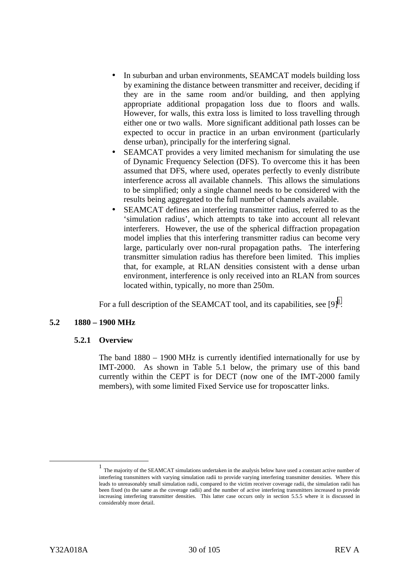- <span id="page-32-0"></span>• In suburban and urban environments, SEAMCAT models building loss by examining the distance between transmitter and receiver, deciding if they are in the same room and/or building, and then applying appropriate additional propagation loss due to floors and walls. However, for walls, this extra loss is limited to loss travelling through either one or two walls. More significant additional path losses can be expected to occur in practice in an urban environment (particularly dense urban), principally for the interfering signal.
- SEAMCAT provides a very limited mechanism for simulating the use of Dynamic Frequency Selection (DFS). To overcome this it has been assumed that DFS, where used, operates perfectly to evenly distribute interference across all available channels. This allows the simulations to be simplified; only a single channel needs to be considered with the results being aggregated to the full number of channels available.
- SEAMCAT defines an interfering transmitter radius, referred to as the 'simulation radius', which attempts to take into account all relevant interferers. However, the use of the spherical diffraction propagation model implies that this interfering transmitter radius can become very large, particularly over non-rural propagation paths. The interfering transmitter simulation radius has therefore been limited. This implies that, for example, at RLAN densities consistent with a dense urban environment, interference is only received into an RLAN from sources located within, typically, no more than 250m.

For a full description of the SEAMCAT tool, and its capabilities, see  $[9]$ <sup>1</sup>.

#### **5.2 1880 – 1900 MHz**

#### **5.2.1 Overview**

The band 1880 – 1900 MHz is currently identified internationally for use by IMT-2000. As shown in Table 5.1 below, the primary use of this band currently within the CEPT is for DECT (now one of the IMT-2000 family members), with some limited Fixed Service use for troposcatter links.

 <sup>1</sup> <sup>1</sup> The majority of the SEAMCAT simulations undertaken in the analysis below have used a constant active number of interfering transmitters with varying simulation radii to provide varying interfering transmitter densities. Where this leads to unreasonably small simulation radii, compared to the victim receiver coverage radii, the simulation radii has been fixed (to the same as the coverage radii) and the number of active interfering transmitters increased to provide increasing interfering transmitter densities. This latter case occurs only in section 5.5.5 where it is discussed in considerably more detail.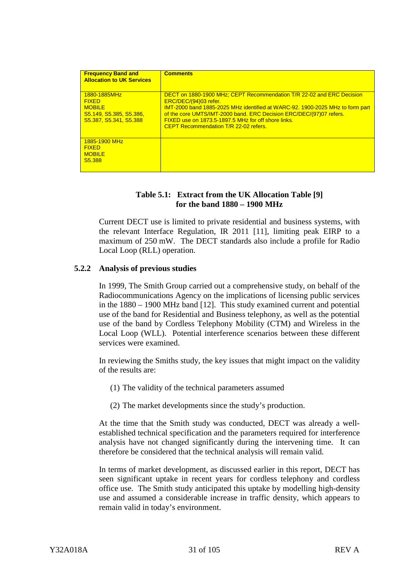<span id="page-33-0"></span>

| <b>Frequency Band and</b><br><b>Allocation to UK Services</b>                                      | <b>Comments</b>                                                                                                                                                                                                                                                                                                                                               |
|----------------------------------------------------------------------------------------------------|---------------------------------------------------------------------------------------------------------------------------------------------------------------------------------------------------------------------------------------------------------------------------------------------------------------------------------------------------------------|
| 1880-1885MHz<br><b>FIXED</b><br><b>MOBILE</b><br>S5.149, S5.385, S5.386.<br>S5.387, S5.341, S5.388 | DECT on 1880-1900 MHz; CEPT Recommendation T/R 22-02 and ERC Decision<br>ERC/DEC/(94)03 refer.<br>IMT-2000 band 1885-2025 MHz identified at WARC-92, 1900-2025 MHz to form part<br>of the core UMTS/IMT-2000 band. ERC Decision ERC/DEC/(97)07 refers.<br>FIXED use on 1873.5-1897.5 MHz for off shore links.<br><b>CEPT Recommendation T/R 22-02 refers.</b> |
| 1885-1900 MHz<br><b>FIXED</b><br><b>MOBILE</b><br>S <sub>5.388</sub>                               |                                                                                                                                                                                                                                                                                                                                                               |

## **Table 5.1: Extract from the UK Allocation Table [9] for the band 1880 – 1900 MHz**

Current DECT use is limited to private residential and business systems, with the relevant Interface Regulation, IR 2011 [11], limiting peak EIRP to a maximum of 250 mW. The DECT standards also include a profile for Radio Local Loop (RLL) operation.

#### **5.2.2 Analysis of previous studies**

In 1999, The Smith Group carried out a comprehensive study, on behalf of the Radiocommunications Agency on the implications of licensing public services in the 1880 – 1900 MHz band [12]. This study examined current and potential use of the band for Residential and Business telephony, as well as the potential use of the band by Cordless Telephony Mobility (CTM) and Wireless in the Local Loop (WLL). Potential interference scenarios between these different services were examined.

In reviewing the Smiths study, the key issues that might impact on the validity of the results are:

- (1) The validity of the technical parameters assumed
- (2) The market developments since the study's production.

At the time that the Smith study was conducted, DECT was already a wellestablished technical specification and the parameters required for interference analysis have not changed significantly during the intervening time. It can therefore be considered that the technical analysis will remain valid.

In terms of market development, as discussed earlier in this report, DECT has seen significant uptake in recent years for cordless telephony and cordless office use. The Smith study anticipated this uptake by modelling high-density use and assumed a considerable increase in traffic density, which appears to remain valid in today's environment.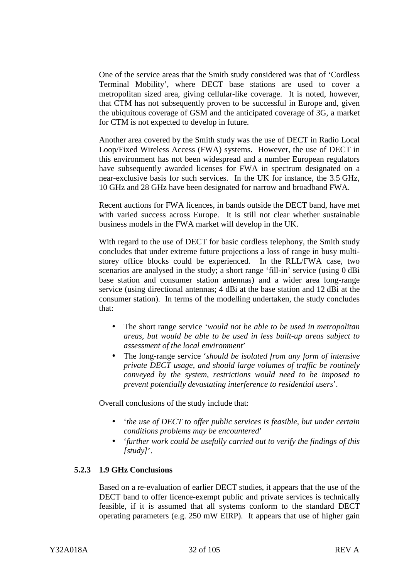<span id="page-34-0"></span>One of the service areas that the Smith study considered was that of 'Cordless Terminal Mobility', where DECT base stations are used to cover a metropolitan sized area, giving cellular-like coverage. It is noted, however, that CTM has not subsequently proven to be successful in Europe and, given the ubiquitous coverage of GSM and the anticipated coverage of 3G, a market for CTM is not expected to develop in future.

Another area covered by the Smith study was the use of DECT in Radio Local Loop/Fixed Wireless Access (FWA) systems. However, the use of DECT in this environment has not been widespread and a number European regulators have subsequently awarded licenses for FWA in spectrum designated on a near-exclusive basis for such services. In the UK for instance, the 3.5 GHz, 10 GHz and 28 GHz have been designated for narrow and broadband FWA.

Recent auctions for FWA licences, in bands outside the DECT band, have met with varied success across Europe. It is still not clear whether sustainable business models in the FWA market will develop in the UK.

With regard to the use of DECT for basic cordless telephony, the Smith study concludes that under extreme future projections a loss of range in busy multistorey office blocks could be experienced. In the RLL/FWA case, two scenarios are analysed in the study; a short range 'fill-in' service (using 0 dBi base station and consumer station antennas) and a wider area long-range service (using directional antennas; 4 dBi at the base station and 12 dBi at the consumer station). In terms of the modelling undertaken, the study concludes that:

- The short range service '*would not be able to be used in metropolitan areas, but would be able to be used in less built-up areas subject to assessment of the local environment*'
- The long-range service '*should be isolated from any form of intensive private DECT usage, and should large volumes of traffic be routinely conveyed by the system, restrictions would need to be imposed to prevent potentially devastating interference to residential users*'.

Overall conclusions of the study include that:

- '*the use of DECT to offer public services is feasible, but under certain conditions problems may be encountered*'
- '*further work could be usefully carried out to verify the findings of this [study]*'.

#### **5.2.3 1.9 GHz Conclusions**

Based on a re-evaluation of earlier DECT studies, it appears that the use of the DECT band to offer licence-exempt public and private services is technically feasible, if it is assumed that all systems conform to the standard DECT operating parameters (e.g. 250 mW EIRP). It appears that use of higher gain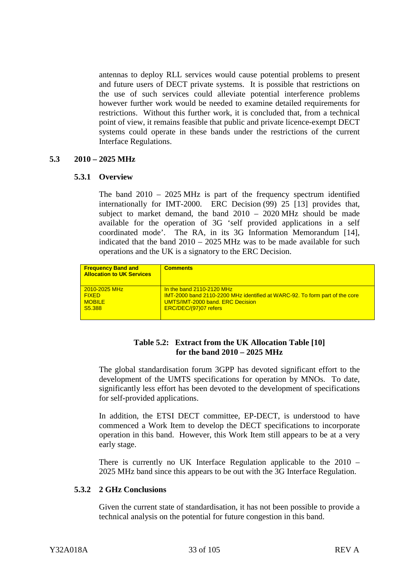<span id="page-35-0"></span>antennas to deploy RLL services would cause potential problems to present and future users of DECT private systems. It is possible that restrictions on the use of such services could alleviate potential interference problems however further work would be needed to examine detailed requirements for restrictions. Without this further work, it is concluded that, from a technical point of view, it remains feasible that public and private licence-exempt DECT systems could operate in these bands under the restrictions of the current Interface Regulations.

#### **5.3 2010 – 2025 MHz**

#### **5.3.1 Overview**

The band  $2010 - 2025 \text{ MHz}$  is part of the frequency spectrum identified internationally for IMT-2000. ERC Decision (99) 25 [13] provides that, subject to market demand, the band 2010 – 2020 MHz should be made available for the operation of 3G 'self provided applications in a self coordinated mode'. The RA, in its 3G Information Memorandum [14], indicated that the band 2010 – 2025 MHz was to be made available for such operations and the UK is a signatory to the ERC Decision.

| <b>Frequency Band and</b><br><b>Allocation to UK Services</b> | <b>Comments</b>                                                                    |
|---------------------------------------------------------------|------------------------------------------------------------------------------------|
| $\sqrt{2010-2025}$ MHz                                        | In the band $2110-2120$ MHz                                                        |
| <b>FIXED</b>                                                  | <b>IMT-2000 band 2110-2200 MHz identified at WARC-92. To form part of the core</b> |
| <b>MOBILE</b>                                                 | UMTS/IMT-2000 band, ERC Decision                                                   |
| S5.388                                                        | ERC/DEC/(97)07 refers                                                              |
|                                                               |                                                                                    |

## **Table 5.2: Extract from the UK Allocation Table [10] for the band 2010 – 2025 MHz**

The global standardisation forum 3GPP has devoted significant effort to the development of the UMTS specifications for operation by MNOs. To date, significantly less effort has been devoted to the development of specifications for self-provided applications.

In addition, the ETSI DECT committee, EP-DECT, is understood to have commenced a Work Item to develop the DECT specifications to incorporate operation in this band. However, this Work Item still appears to be at a very early stage.

There is currently no UK Interface Regulation applicable to the 2010 – 2025 MHz band since this appears to be out with the 3G Interface Regulation.

#### **5.3.2 2 GHz Conclusions**

Given the current state of standardisation, it has not been possible to provide a technical analysis on the potential for future congestion in this band.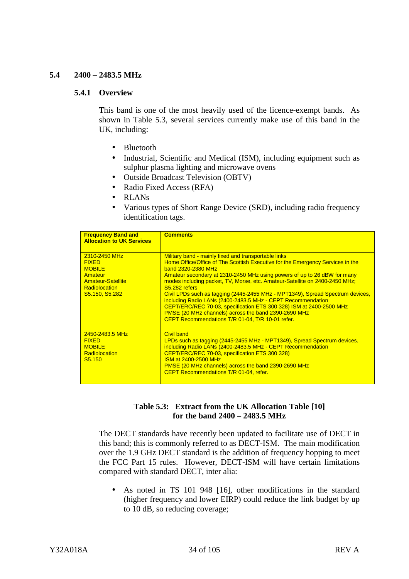## **5.4 2400 – 2483.5 MHz**

#### **5.4.1 Overview**

This band is one of the most heavily used of the licence-exempt bands. As shown in Table 5.3, several services currently make use of this band in the UK, including:

- Bluetooth
- Industrial, Scientific and Medical (ISM), including equipment such as sulphur plasma lighting and microwave ovens
- Outside Broadcast Television (OBTV)
- Radio Fixed Access (RFA)
- RLANs
- Various types of Short Range Device (SRD), including radio frequency identification tags.

| <b>Frequency Band and</b><br><b>Allocation to UK Services</b>                                                                   | <b>Comments</b>                                                                                                                                                                                                                                                                                                                                                                                                                                                                                                                                                                                                                                                              |
|---------------------------------------------------------------------------------------------------------------------------------|------------------------------------------------------------------------------------------------------------------------------------------------------------------------------------------------------------------------------------------------------------------------------------------------------------------------------------------------------------------------------------------------------------------------------------------------------------------------------------------------------------------------------------------------------------------------------------------------------------------------------------------------------------------------------|
| 2310-2450 MHz<br><b>FIXED</b><br><b>MOBILE</b><br>Amateur<br><b>Amateur-Satellite</b><br><b>Radiolocation</b><br>S5.150, S5.282 | Military band - mainly fixed and transportable links<br>Home Office/Office of The Scottish Executive for the Emergency Services in the<br>band 2320-2380 MHz<br>Amateur secondary at 2310-2450 MHz using powers of up to 26 dBW for many<br>modes including packet, TV, Morse, etc. Amateur-Satellite on 2400-2450 MHz;<br>S5.282 refers<br>Civil LPDs such as tagging (2445-2455 MHz - MPT1349), Spread Spectrum devices,<br>including Radio LANs (2400-2483.5 MHz - CEPT Recommendation<br>CEPT/ERC/REC 70-03, specification ETS 300 328) ISM at 2400-2500 MHz<br>PMSE (20 MHz channels) across the band 2390-2690 MHz<br>CEPT Recommendations T/R 01-04, T/R 10-01 refer. |
| 2450-2483.5 MHz<br><b>FIXED</b><br><b>MOBILE</b><br><b>Radiolocation</b><br>S <sub>5.150</sub>                                  | <b>Civil band</b><br>LPDs such as tagging (2445-2455 MHz - MPT1349), Spread Spectrum devices,<br>including Radio LANs (2400-2483.5 MHz - CEPT Recommendation<br>CEPT/ERC/REC 70-03, specification ETS 300 328)<br><b>ISM at 2400-2500 MHz</b><br>PMSE (20 MHz channels) across the band 2390-2690 MHz<br>CEPT Recommendations T/R 01-04, refer.                                                                                                                                                                                                                                                                                                                              |

## **Table 5.3: Extract from the UK Allocation Table [10] for the band 2400 – 2483.5 MHz**

The DECT standards have recently been updated to facilitate use of DECT in this band; this is commonly referred to as DECT-ISM. The main modification over the 1.9 GHz DECT standard is the addition of frequency hopping to meet the FCC Part 15 rules. However, DECT-ISM will have certain limitations compared with standard DECT, inter alia:

• As noted in TS 101 948 [16], other modifications in the standard (higher frequency and lower EIRP) could reduce the link budget by up to 10 dB, so reducing coverage;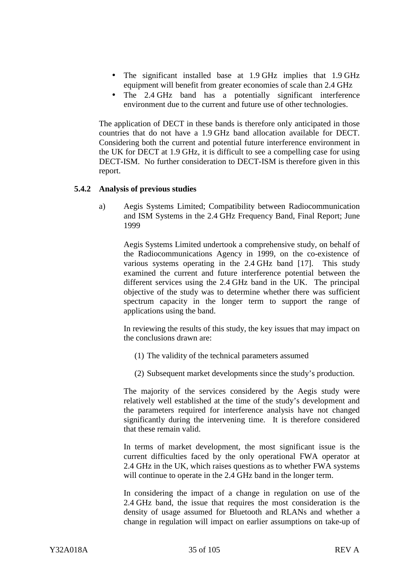- The significant installed base at 1.9 GHz implies that 1.9 GHz equipment will benefit from greater economies of scale than 2.4 GHz
- The 2.4 GHz band has a potentially significant interference environment due to the current and future use of other technologies.

The application of DECT in these bands is therefore only anticipated in those countries that do not have a 1.9 GHz band allocation available for DECT. Considering both the current and potential future interference environment in the UK for DECT at 1.9 GHz, it is difficult to see a compelling case for using DECT-ISM. No further consideration to DECT-ISM is therefore given in this report.

## **5.4.2 Analysis of previous studies**

a) Aegis Systems Limited; Compatibility between Radiocommunication and ISM Systems in the 2.4 GHz Frequency Band, Final Report; June 1999

Aegis Systems Limited undertook a comprehensive study, on behalf of the Radiocommunications Agency in 1999, on the co-existence of various systems operating in the 2.4 GHz band [17]. This study examined the current and future interference potential between the different services using the 2.4 GHz band in the UK. The principal objective of the study was to determine whether there was sufficient spectrum capacity in the longer term to support the range of applications using the band.

In reviewing the results of this study, the key issues that may impact on the conclusions drawn are:

- (1) The validity of the technical parameters assumed
- (2) Subsequent market developments since the study's production.

The majority of the services considered by the Aegis study were relatively well established at the time of the study's development and the parameters required for interference analysis have not changed significantly during the intervening time. It is therefore considered that these remain valid.

In terms of market development, the most significant issue is the current difficulties faced by the only operational FWA operator at 2.4 GHz in the UK, which raises questions as to whether FWA systems will continue to operate in the 2.4 GHz band in the longer term.

In considering the impact of a change in regulation on use of the 2.4 GHz band, the issue that requires the most consideration is the density of usage assumed for Bluetooth and RLANs and whether a change in regulation will impact on earlier assumptions on take-up of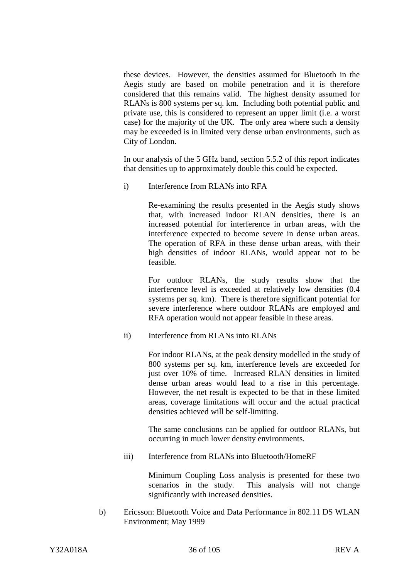these devices. However, the densities assumed for Bluetooth in the Aegis study are based on mobile penetration and it is therefore considered that this remains valid. The highest density assumed for RLANs is 800 systems per sq. km. Including both potential public and private use, this is considered to represent an upper limit (i.e. a worst case) for the majority of the UK. The only area where such a density may be exceeded is in limited very dense urban environments, such as City of London.

In our analysis of the 5 GHz band, section 5.5.2 of this report indicates that densities up to approximately double this could be expected.

i) Interference from RLANs into RFA

Re-examining the results presented in the Aegis study shows that, with increased indoor RLAN densities, there is an increased potential for interference in urban areas, with the interference expected to become severe in dense urban areas. The operation of RFA in these dense urban areas, with their high densities of indoor RLANs, would appear not to be feasible.

For outdoor RLANs, the study results show that the interference level is exceeded at relatively low densities (0.4 systems per sq. km). There is therefore significant potential for severe interference where outdoor RLANs are employed and RFA operation would not appear feasible in these areas.

ii) Interference from RLANs into RLANs

For indoor RLANs, at the peak density modelled in the study of 800 systems per sq. km, interference levels are exceeded for just over 10% of time. Increased RLAN densities in limited dense urban areas would lead to a rise in this percentage. However, the net result is expected to be that in these limited areas, coverage limitations will occur and the actual practical densities achieved will be self-limiting.

The same conclusions can be applied for outdoor RLANs, but occurring in much lower density environments.

iii) Interference from RLANs into Bluetooth/HomeRF

Minimum Coupling Loss analysis is presented for these two scenarios in the study. This analysis will not change significantly with increased densities.

b) Ericsson: Bluetooth Voice and Data Performance in 802.11 DS WLAN Environment; May 1999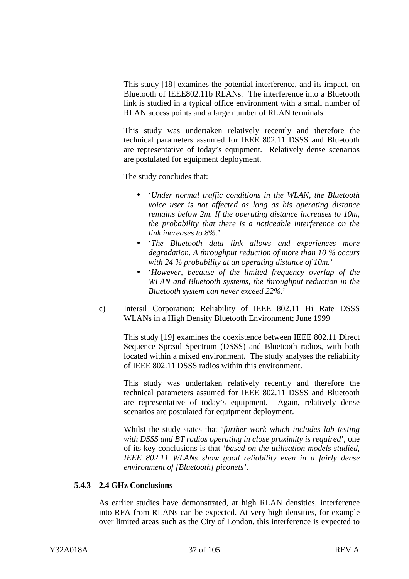This study [18] examines the potential interference, and its impact, on Bluetooth of IEEE802.11b RLANs. The interference into a Bluetooth link is studied in a typical office environment with a small number of RLAN access points and a large number of RLAN terminals.

This study was undertaken relatively recently and therefore the technical parameters assumed for IEEE 802.11 DSSS and Bluetooth are representative of today's equipment. Relatively dense scenarios are postulated for equipment deployment.

The study concludes that:

- '*Under normal traffic conditions in the WLAN, the Bluetooth voice user is not affected as long as his operating distance remains below 2m. If the operating distance increases to 10m, the probability that there is a noticeable interference on the link increases to 8%.*'
- '*The Bluetooth data link allows and experiences more degradation. A throughput reduction of more than 10 % occurs with 24 % probability at an operating distance of 10m.*'
- '*However, because of the limited frequency overlap of the WLAN and Bluetooth systems, the throughput reduction in the Bluetooth system can never exceed 22%.*'
- c) Intersil Corporation; Reliability of IEEE 802.11 Hi Rate DSSS WLANs in a High Density Bluetooth Environment; June 1999

This study [19] examines the coexistence between IEEE 802.11 Direct Sequence Spread Spectrum (DSSS) and Bluetooth radios, with both located within a mixed environment. The study analyses the reliability of IEEE 802.11 DSSS radios within this environment.

This study was undertaken relatively recently and therefore the technical parameters assumed for IEEE 802.11 DSSS and Bluetooth are representative of today's equipment. Again, relatively dense scenarios are postulated for equipment deployment.

Whilst the study states that '*further work which includes lab testing with DSSS and BT radios operating in close proximity is required*', one of its key conclusions is that '*based on the utilisation models studied, IEEE 802.11 WLANs show good reliability even in a fairly dense environment of [Bluetooth] piconets'*.

#### **5.4.3 2.4 GHz Conclusions**

As earlier studies have demonstrated, at high RLAN densities, interference into RFA from RLANs can be expected. At very high densities, for example over limited areas such as the City of London, this interference is expected to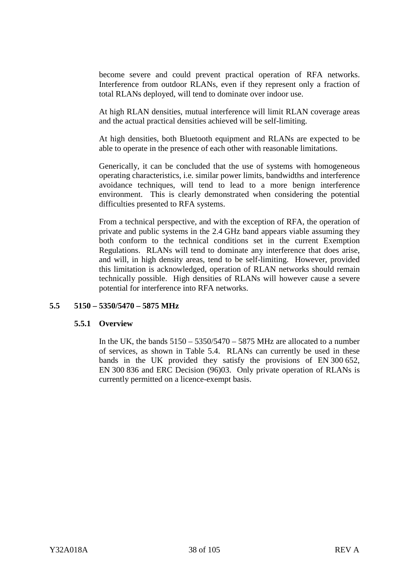become severe and could prevent practical operation of RFA networks. Interference from outdoor RLANs, even if they represent only a fraction of total RLANs deployed, will tend to dominate over indoor use.

At high RLAN densities, mutual interference will limit RLAN coverage areas and the actual practical densities achieved will be self-limiting.

At high densities, both Bluetooth equipment and RLANs are expected to be able to operate in the presence of each other with reasonable limitations.

Generically, it can be concluded that the use of systems with homogeneous operating characteristics, i.e. similar power limits, bandwidths and interference avoidance techniques, will tend to lead to a more benign interference environment. This is clearly demonstrated when considering the potential difficulties presented to RFA systems.

From a technical perspective, and with the exception of RFA, the operation of private and public systems in the 2.4 GHz band appears viable assuming they both conform to the technical conditions set in the current Exemption Regulations. RLANs will tend to dominate any interference that does arise, and will, in high density areas, tend to be self-limiting. However, provided this limitation is acknowledged, operation of RLAN networks should remain technically possible. High densities of RLANs will however cause a severe potential for interference into RFA networks.

## **5.5 5150 – 5350/5470 – 5875 MHz**

## **5.5.1 Overview**

In the UK, the bands  $5150 - 5350/5470 - 5875$  MHz are allocated to a number of services, as shown in Table 5.4. RLANs can currently be used in these bands in the UK provided they satisfy the provisions of EN 300 652, EN 300 836 and ERC Decision (96)03. Only private operation of RLANs is currently permitted on a licence-exempt basis.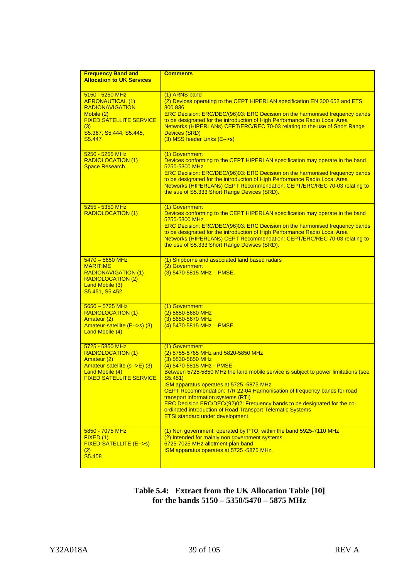| <b>Frequency Band and</b>                                                                                                                                                    | <b>Comments</b>                                                                                                                                                                                                                                                                                                                                                                                                                                                                                                                                                     |
|------------------------------------------------------------------------------------------------------------------------------------------------------------------------------|---------------------------------------------------------------------------------------------------------------------------------------------------------------------------------------------------------------------------------------------------------------------------------------------------------------------------------------------------------------------------------------------------------------------------------------------------------------------------------------------------------------------------------------------------------------------|
| <b>Allocation to UK Services</b>                                                                                                                                             |                                                                                                                                                                                                                                                                                                                                                                                                                                                                                                                                                                     |
| 5150 - 5250 MHz<br><b>AERONAUTICAL (1)</b><br><b>RADIONAVIGATION</b><br>Mobile (2)<br><b>FIXED SATELLITE SERVICE</b><br>(3)<br>S5.367, S5.444, S5.445,<br>S <sub>5.447</sub> | (1) ARNS band<br>(2) Devices operating to the CEPT HIPERLAN specification EN 300 652 and ETS<br>300 836<br>ERC Decision: ERC/DEC/(96)03: ERC Decision on the harmonised frequency bands<br>to be designated for the introduction of High Performance Radio Local Area<br>Networks (HIPERLANs) CEPT/ERC/REC 70-03 relating to the use of Short Range<br>Devices (SRD)<br>(3) MSS feeder Links (E-->s)                                                                                                                                                                |
| 5250 - 5255 MHz<br><b>RADIOLOCATION (1)</b><br><b>Space Research</b>                                                                                                         | (1) Government<br>Devices conforming to the CEPT HIPERLAN specification may operate in the band<br>5250-5300 MHz<br>ERC Decision: ERC/DEC/(96)03: ERC Decision on the harmonised frequency bands<br>to be designated for the introduction of High Performance Radio Local Area<br>Networks (HIPERLANs) CEPT Recommendation: CEPT/ERC/REC 70-03 relating to<br>the sue of S5.333 Short Range Devices (SRD).                                                                                                                                                          |
| 5255 - 5350 MHz<br><b>RADIOLOCATION (1)</b>                                                                                                                                  | (1) Government<br>Devices conforming to the CEPT HIPERLAN specification may operate in the band<br>5250-5300 MHz<br>ERC Decision: ERC/DEC/(96)03: ERC Decision on the harmonised frequency bands<br>to be designated for the introduction of High Performance Radio Local Area<br>Networks (HIPERLANs) CEPT Recommendation: CEPT/ERC/REC 70-03 relating to<br>the use of S5.333 Short Range Devises (SRD).                                                                                                                                                          |
| $5470 - 5650$ MHz<br><b>MARITIME</b><br><b>RADIONAVIGATION (1)</b><br><b>RADIOLOCATION (2)</b><br>Land Mobile (3)<br><u>S5.451, S5.452</u>                                   | (1) Shipborne and associated land based radars<br>(2) Government<br>(3) 5470-5815 MHz - PMSE.                                                                                                                                                                                                                                                                                                                                                                                                                                                                       |
| $5650 - 5725$ MHz<br><b>RADIOLOCATION (1)</b><br>Amateur (2)<br>Amateur-satellite (E-->s) (3)<br>Land Mobile (4)                                                             | (1) Government<br>(2) 5650-5680 MHz<br>(3) 5650-5670 MHz<br>(4) 5470-5815 MHz - PMSE.                                                                                                                                                                                                                                                                                                                                                                                                                                                                               |
| 5725 - 5850 MHz<br><b>RADIOLOCATION (1)</b><br>Amateur (2)<br>Amateur-satellite (s-->E) (3)<br>Land Mobile (4)<br><u>FIXED SATELLITE SERVICE</u>                             | (1) Government<br>(2) 5755-5765 MHz and 5820-5850 MHz<br>(3) 5830-5850 MHz<br><u>(4) 5470-5815 MHz - PMSE</u><br>Between 5725-5850 MHz the land mobile service is subject to power limitations (see<br>S5.451)<br>ISM apparatus operates at 5725 -5875 MHz<br>CEPT Recommendation: T/R 22-04 Harmonisation of frequency bands for road<br>transport information systems (RTI)<br>ERC Decision ERC/DEC/(92)02: Frequency bands to be designated for the co-<br>ordinated introduction of Road Transport Telematic Systems<br><b>ETSI standard under development.</b> |
| 5850 - 7075 MHz<br>FIXED(1)<br>FIXED-SATELLITE (E-->s)<br>(2)<br>S5.458                                                                                                      | (1) Non government, operated by PTO, within the band 5925-7110 MHz<br>(2) Intended for mainly non government systems<br>6725-7025 MHz allotment plan band<br>ISM apparatus operates at 5725 -5875 MHz.                                                                                                                                                                                                                                                                                                                                                              |

**Table 5.4: Extract from the UK Allocation Table [10] for the bands 5150 – 5350/5470 – 5875 MHz**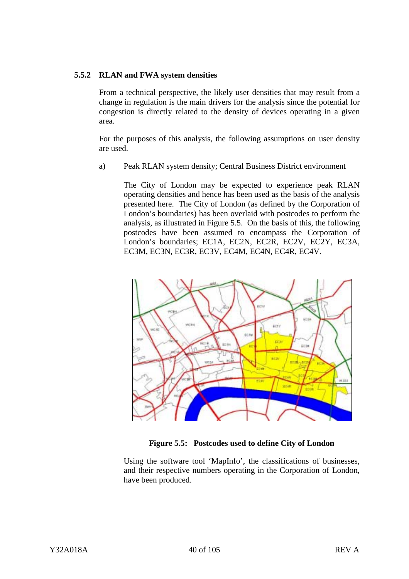## **5.5.2 RLAN and FWA system densities**

From a technical perspective, the likely user densities that may result from a change in regulation is the main drivers for the analysis since the potential for congestion is directly related to the density of devices operating in a given area.

For the purposes of this analysis, the following assumptions on user density are used.

a) Peak RLAN system density; Central Business District environment

The City of London may be expected to experience peak RLAN operating densities and hence has been used as the basis of the analysis presented here. The City of London (as defined by the Corporation of London's boundaries) has been overlaid with postcodes to perform the analysis, as illustrated in Figure 5.5. On the basis of this, the following postcodes have been assumed to encompass the Corporation of London's boundaries; EC1A, EC2N, EC2R, EC2V, EC2Y, EC3A, EC3M, EC3N, EC3R, EC3V, EC4M, EC4N, EC4R, EC4V.





Using the software tool 'MapInfo', the classifications of businesses, and their respective numbers operating in the Corporation of London, have been produced.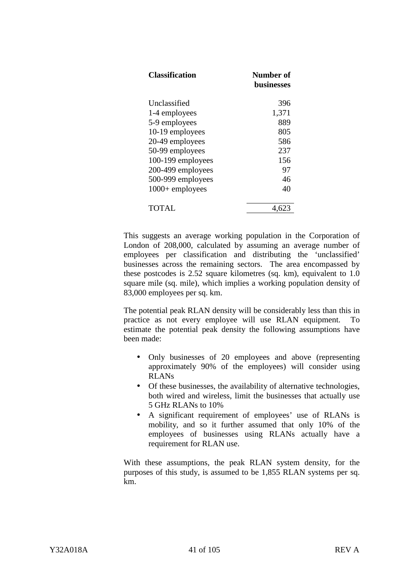| <b>Classification</b>         | Number of<br>husinesses |
|-------------------------------|-------------------------|
| Unclassified<br>1-4 employees | 396<br>1,371            |
| 5-9 employees                 | 889                     |
| 10-19 employees               | 805                     |
| 20-49 employees               | 586                     |
| 50-99 employees               | 237                     |
| 100-199 employees             | 156                     |
| 200-499 employees             | 97                      |
| 500-999 employees             | 46                      |
| $1000+$ employees             | 40                      |
| TOTAL                         |                         |

This suggests an average working population in the Corporation of London of 208,000, calculated by assuming an average number of employees per classification and distributing the 'unclassified' businesses across the remaining sectors. The area encompassed by these postcodes is 2.52 square kilometres (sq. km), equivalent to 1.0 square mile (sq. mile), which implies a working population density of 83,000 employees per sq. km.

The potential peak RLAN density will be considerably less than this in practice as not every employee will use RLAN equipment. To estimate the potential peak density the following assumptions have been made:

- Only businesses of 20 employees and above (representing approximately 90% of the employees) will consider using RLANs
- Of these businesses, the availability of alternative technologies, both wired and wireless, limit the businesses that actually use 5 GHz RLANs to 10%
- A significant requirement of employees' use of RLANs is mobility, and so it further assumed that only 10% of the employees of businesses using RLANs actually have a requirement for RLAN use.

With these assumptions, the peak RLAN system density, for the purposes of this study, is assumed to be 1,855 RLAN systems per sq. km.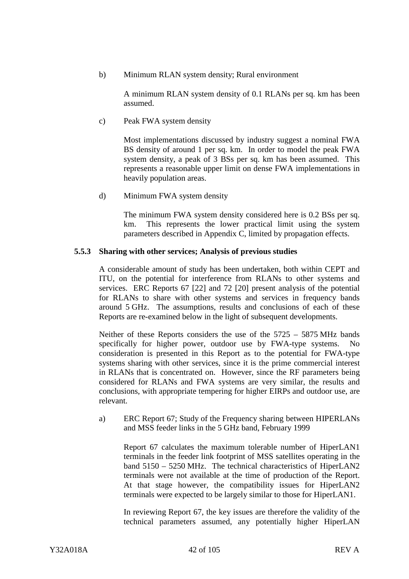b) Minimum RLAN system density; Rural environment

A minimum RLAN system density of 0.1 RLANs per sq. km has been assumed.

c) Peak FWA system density

Most implementations discussed by industry suggest a nominal FWA BS density of around 1 per sq. km. In order to model the peak FWA system density, a peak of 3 BSs per sq. km has been assumed. This represents a reasonable upper limit on dense FWA implementations in heavily population areas.

d) Minimum FWA system density

The minimum FWA system density considered here is 0.2 BSs per sq. km. This represents the lower practical limit using the system parameters described in Appendix C, limited by propagation effects.

## **5.5.3 Sharing with other services; Analysis of previous studies**

A considerable amount of study has been undertaken, both within CEPT and ITU, on the potential for interference from RLANs to other systems and services. ERC Reports 67 [22] and 72 [20] present analysis of the potential for RLANs to share with other systems and services in frequency bands around 5 GHz. The assumptions, results and conclusions of each of these Reports are re-examined below in the light of subsequent developments.

Neither of these Reports considers the use of the 5725 – 5875 MHz bands specifically for higher power, outdoor use by FWA-type systems. No consideration is presented in this Report as to the potential for FWA-type systems sharing with other services, since it is the prime commercial interest in RLANs that is concentrated on. However, since the RF parameters being considered for RLANs and FWA systems are very similar, the results and conclusions, with appropriate tempering for higher EIRPs and outdoor use, are relevant.

a) ERC Report 67; Study of the Frequency sharing between HIPERLANs and MSS feeder links in the 5 GHz band, February 1999

Report 67 calculates the maximum tolerable number of HiperLAN1 terminals in the feeder link footprint of MSS satellites operating in the band 5150 – 5250 MHz. The technical characteristics of HiperLAN2 terminals were not available at the time of production of the Report. At that stage however, the compatibility issues for HiperLAN2 terminals were expected to be largely similar to those for HiperLAN1.

In reviewing Report 67, the key issues are therefore the validity of the technical parameters assumed, any potentially higher HiperLAN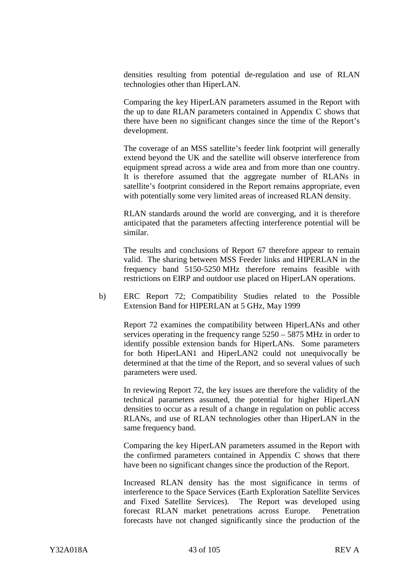densities resulting from potential de-regulation and use of RLAN technologies other than HiperLAN.

Comparing the key HiperLAN parameters assumed in the Report with the up to date RLAN parameters contained in Appendix C shows that there have been no significant changes since the time of the Report's development.

The coverage of an MSS satellite's feeder link footprint will generally extend beyond the UK and the satellite will observe interference from equipment spread across a wide area and from more than one country. It is therefore assumed that the aggregate number of RLANs in satellite's footprint considered in the Report remains appropriate, even with potentially some very limited areas of increased RLAN density.

RLAN standards around the world are converging, and it is therefore anticipated that the parameters affecting interference potential will be similar.

The results and conclusions of Report 67 therefore appear to remain valid. The sharing between MSS Feeder links and HIPERLAN in the frequency band 5150-5250 MHz therefore remains feasible with restrictions on EIRP and outdoor use placed on HiperLAN operations.

b) ERC Report 72; Compatibility Studies related to the Possible Extension Band for HIPERLAN at 5 GHz, May 1999

Report 72 examines the compatibility between HiperLANs and other services operating in the frequency range 5250 – 5875 MHz in order to identify possible extension bands for HiperLANs. Some parameters for both HiperLAN1 and HiperLAN2 could not unequivocally be determined at that the time of the Report, and so several values of such parameters were used.

In reviewing Report 72, the key issues are therefore the validity of the technical parameters assumed, the potential for higher HiperLAN densities to occur as a result of a change in regulation on public access RLANs, and use of RLAN technologies other than HiperLAN in the same frequency band.

Comparing the key HiperLAN parameters assumed in the Report with the confirmed parameters contained in Appendix C shows that there have been no significant changes since the production of the Report.

Increased RLAN density has the most significance in terms of interference to the Space Services (Earth Exploration Satellite Services and Fixed Satellite Services). The Report was developed using forecast RLAN market penetrations across Europe. Penetration forecasts have not changed significantly since the production of the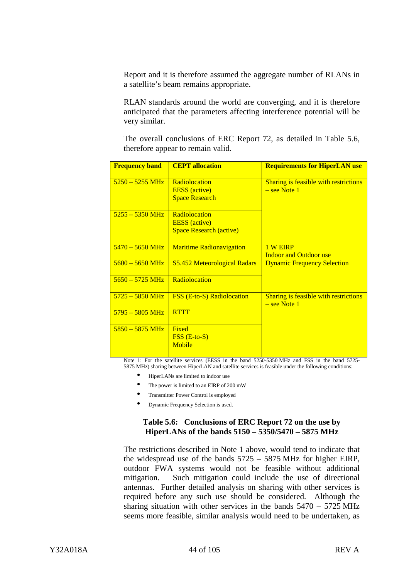Report and it is therefore assumed the aggregate number of RLANs in a satellite's beam remains appropriate.

RLAN standards around the world are converging, and it is therefore anticipated that the parameters affecting interference potential will be very similar.

The overall conclusions of ERC Report 72, as detailed in Table 5.6, therefore appear to remain valid.

| <b>Frequency band</b>     | <b>CEPT</b> allocation                       | <b>Requirements for HiperLAN use</b>                    |
|---------------------------|----------------------------------------------|---------------------------------------------------------|
| $5250 - 5255 \text{ MHz}$ | <b>Radiolocation</b><br><b>EESS</b> (active) | Sharing is feasible with restrictions<br>$-$ see Note 1 |
|                           | <b>Space Research</b>                        |                                                         |
| $5255 - 5350 \text{ MHz}$ | Radiolocation                                |                                                         |
|                           | <b>EESS</b> (active)                         |                                                         |
|                           | <b>Space Research (active)</b>               |                                                         |
| $5470 - 5650 \text{ MHz}$ | <b>Maritime Radionavigation</b>              | 1 W EIRP                                                |
|                           |                                              | <b>Indoor and Outdoor use</b>                           |
| $5600 - 5650 \text{ MHz}$ | <b>S5.452 Meteorological Radars</b>          | <b>Dynamic Frequency Selection</b>                      |
| $5650 - 5725 \text{ MHz}$ | <b>Radiolocation</b>                         |                                                         |
| $5725 - 5850 \text{ MHz}$ | <b>FSS (E-to-S) Radiolocation</b>            | Sharing is feasible with restrictions                   |
|                           |                                              | $-$ see Note 1                                          |
| $5795 - 5805 \text{ MHz}$ | <b>RTTT</b>                                  |                                                         |
| $5850 - 5875 \text{ MHz}$ | <b>Fixed</b>                                 |                                                         |
|                           | $\overline{FSS}$ (E-to-S)                    |                                                         |
|                           | <b>Mobile</b>                                |                                                         |
|                           |                                              |                                                         |

Note 1: For the satellite services (EESS in the band 5250-5350 MHz and FSS in the band 5725- 5875 MHz) sharing between HiperLAN and satellite services is feasible under the following conditions:

- HiperLANs are limited to indoor use
- The power is limited to an EIRP of 200 mW
- Transmitter Power Control is employed
- Dynamic Frequency Selection is used.

## **Table 5.6: Conclusions of ERC Report 72 on the use by HiperLANs of the bands 5150 – 5350/5470 – 5875 MHz**

The restrictions described in Note 1 above, would tend to indicate that the widespread use of the bands 5725 – 5875 MHz for higher EIRP, outdoor FWA systems would not be feasible without additional mitigation. Such mitigation could include the use of directional antennas. Further detailed analysis on sharing with other services is required before any such use should be considered. Although the sharing situation with other services in the bands 5470 – 5725 MHz seems more feasible, similar analysis would need to be undertaken, as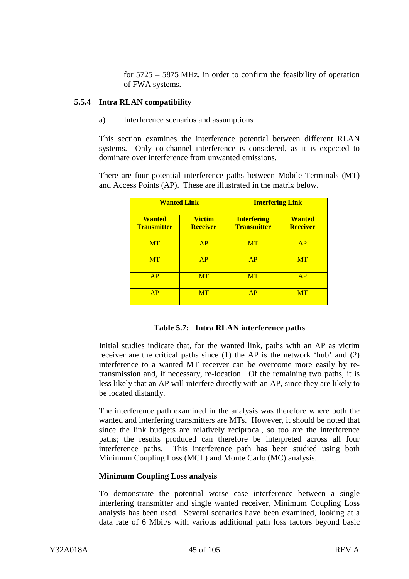for 5725 – 5875 MHz, in order to confirm the feasibility of operation of FWA systems.

#### **5.5.4 Intra RLAN compatibility**

a) Interference scenarios and assumptions

This section examines the interference potential between different RLAN systems. Only co-channel interference is considered, as it is expected to dominate over interference from unwanted emissions.

There are four potential interference paths between Mobile Terminals (MT) and Access Points (AP). These are illustrated in the matrix below.

| <b>Wanted Link</b>                  |                                  | <b>Interfering Link</b>                  |                                  |
|-------------------------------------|----------------------------------|------------------------------------------|----------------------------------|
| <b>Wanted</b><br><b>Transmitter</b> | <b>Victim</b><br><b>Receiver</b> | <b>Interfering</b><br><b>Transmitter</b> | <b>Wanted</b><br><b>Receiver</b> |
| <b>MT</b>                           | AP                               | <b>MT</b>                                | AP                               |
| <b>MT</b>                           | AP                               | AP                                       | <b>MT</b>                        |
| AP                                  | <b>MT</b>                        | <b>MT</b>                                | AP                               |
| AP                                  | <b>MT</b>                        | AP                                       | <b>MT</b>                        |

|  | Table 5.7: Intra RLAN interference paths |  |
|--|------------------------------------------|--|
|--|------------------------------------------|--|

Initial studies indicate that, for the wanted link, paths with an AP as victim receiver are the critical paths since (1) the AP is the network 'hub' and (2) interference to a wanted MT receiver can be overcome more easily by retransmission and, if necessary, re-location. Of the remaining two paths, it is less likely that an AP will interfere directly with an AP, since they are likely to be located distantly.

The interference path examined in the analysis was therefore where both the wanted and interfering transmitters are MTs. However, it should be noted that since the link budgets are relatively reciprocal, so too are the interference paths; the results produced can therefore be interpreted across all four interference paths. This interference path has been studied using both Minimum Coupling Loss (MCL) and Monte Carlo (MC) analysis.

## **Minimum Coupling Loss analysis**

To demonstrate the potential worse case interference between a single interfering transmitter and single wanted receiver, Minimum Coupling Loss analysis has been used. Several scenarios have been examined, looking at a data rate of 6 Mbit/s with various additional path loss factors beyond basic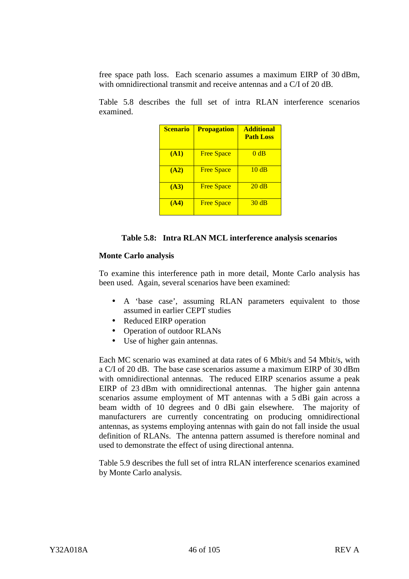free space path loss. Each scenario assumes a maximum EIRP of 30 dBm, with omnidirectional transmit and receive antennas and a C/I of 20 dB.

Table 5.8 describes the full set of intra RLAN interference scenarios examined.

| <b>Scenario</b> | <b>Propagation</b> | <b>Additional</b><br><b>Path Loss</b> |
|-----------------|--------------------|---------------------------------------|
| <b>(A1)</b>     | <b>Free Space</b>  | 0dB                                   |
| (A2)            | <b>Free Space</b>  | 10dB                                  |
| (A3)            | <b>Free Space</b>  | 20dB                                  |
| (A4)            | <b>Free Space</b>  | 30dB                                  |

#### **Table 5.8: Intra RLAN MCL interference analysis scenarios**

## **Monte Carlo analysis**

To examine this interference path in more detail, Monte Carlo analysis has been used. Again, several scenarios have been examined:

- A 'base case', assuming RLAN parameters equivalent to those assumed in earlier CEPT studies
- Reduced EIRP operation
- Operation of outdoor RLANs
- Use of higher gain antennas.

Each MC scenario was examined at data rates of 6 Mbit/s and 54 Mbit/s, with a C/I of 20 dB. The base case scenarios assume a maximum EIRP of 30 dBm with omnidirectional antennas. The reduced EIRP scenarios assume a peak EIRP of 23 dBm with omnidirectional antennas. The higher gain antenna scenarios assume employment of MT antennas with a 5 dBi gain across a beam width of 10 degrees and 0 dBi gain elsewhere. The majority of manufacturers are currently concentrating on producing omnidirectional antennas, as systems employing antennas with gain do not fall inside the usual definition of RLANs. The antenna pattern assumed is therefore nominal and used to demonstrate the effect of using directional antenna.

Table 5.9 describes the full set of intra RLAN interference scenarios examined by Monte Carlo analysis.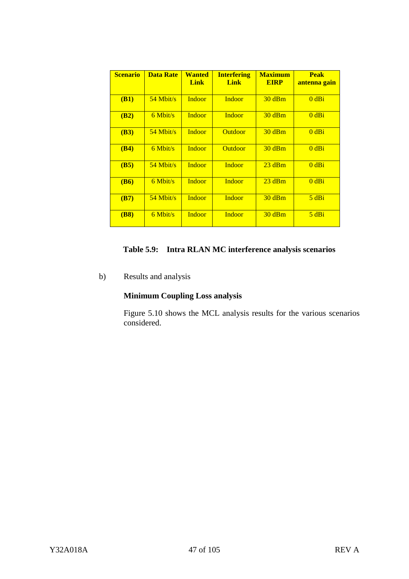| <b>Scenario</b> | <b>Data Rate</b> | <b>Wanted</b><br><b>Link</b> | <b>Interfering</b><br><b>Link</b> | <b>Maximum</b><br><b>EIRP</b> | <b>Peak</b><br>antenna gain |
|-----------------|------------------|------------------------------|-----------------------------------|-------------------------------|-----------------------------|
| (B1)            | $54$ Mbit/s      | Indoor                       | <b>Indoor</b>                     | 30dBm                         | $0$ dBi                     |
| (B2)            | $6$ Mbit/s       | <b>Indoor</b>                | <b>Indoor</b>                     | 30dBm                         | $0$ dBi                     |
| (B3)            | $54$ Mbit/s      | <b>Indoor</b>                | <b>Outdoor</b>                    | 30dBm                         | $0$ dBi                     |
| (B4)            | $6$ Mbit/s       | Indoor                       | <b>Outdoor</b>                    | 30dBm                         | $0$ dBi                     |
| (B5)            | $54$ Mbit/s      | <b>Indoor</b>                | Indoor                            | 23 dBm                        | $0$ dBi                     |
| <b>(B6)</b>     | $6$ Mbit/s       | Indoor                       | <b>Indoor</b>                     | 23 dBm                        | $0$ dBi                     |
| (B7)            | $54$ Mbit/s      | <b>Indoor</b>                | Indoor                            | $30$ dBm                      | 5 dBi                       |
| (B8)            | $6$ Mbit/s       | <b>Indoor</b>                | Indoor                            | 30dBm                         | 5 dBi                       |

# **Table 5.9: Intra RLAN MC interference analysis scenarios**

b) Results and analysis

# **Minimum Coupling Loss analysis**

Figure 5.10 shows the MCL analysis results for the various scenarios considered.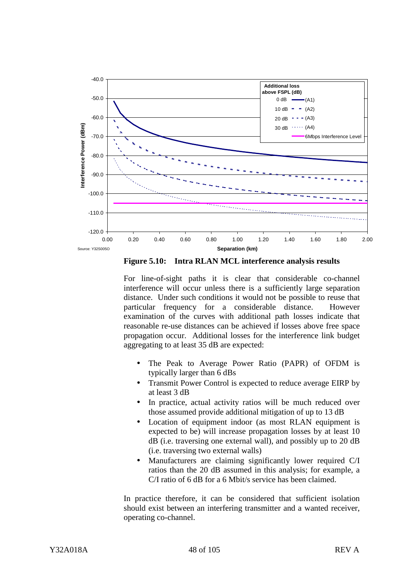

**Figure 5.10: Intra RLAN MCL interference analysis results**

For line-of-sight paths it is clear that considerable co-channel interference will occur unless there is a sufficiently large separation distance. Under such conditions it would not be possible to reuse that particular frequency for a considerable distance. However examination of the curves with additional path losses indicate that reasonable re-use distances can be achieved if losses above free space propagation occur. Additional losses for the interference link budget aggregating to at least 35 dB are expected:

- The Peak to Average Power Ratio (PAPR) of OFDM is typically larger than 6 dBs
- Transmit Power Control is expected to reduce average EIRP by at least 3 dB
- In practice, actual activity ratios will be much reduced over those assumed provide additional mitigation of up to 13 dB
- Location of equipment indoor (as most RLAN equipment is expected to be) will increase propagation losses by at least 10 dB (i.e. traversing one external wall), and possibly up to 20 dB (i.e. traversing two external walls)
- Manufacturers are claiming significantly lower required C/I ratios than the 20 dB assumed in this analysis; for example, a C/I ratio of 6 dB for a 6 Mbit/s service has been claimed.

In practice therefore, it can be considered that sufficient isolation should exist between an interfering transmitter and a wanted receiver, operating co-channel.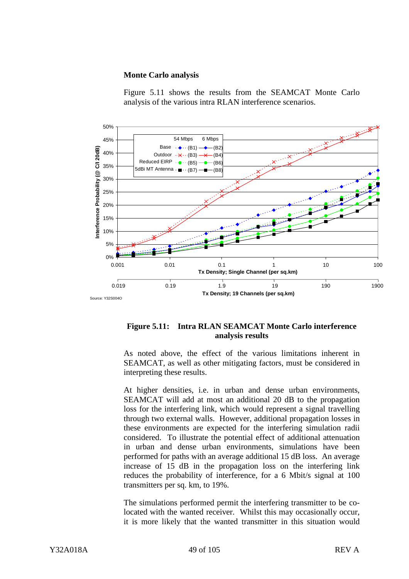#### **Monte Carlo analysis**



Figure 5.11 shows the results from the SEAMCAT Monte Carlo analysis of the various intra RLAN interference scenarios.

## **Figure 5.11: Intra RLAN SEAMCAT Monte Carlo interference analysis results**

As noted above, the effect of the various limitations inherent in SEAMCAT, as well as other mitigating factors, must be considered in interpreting these results.

At higher densities, i.e. in urban and dense urban environments, SEAMCAT will add at most an additional 20 dB to the propagation loss for the interfering link, which would represent a signal travelling through two external walls. However, additional propagation losses in these environments are expected for the interfering simulation radii considered. To illustrate the potential effect of additional attenuation in urban and dense urban environments, simulations have been performed for paths with an average additional 15 dB loss. An average increase of 15 dB in the propagation loss on the interfering link reduces the probability of interference, for a 6 Mbit/s signal at 100 transmitters per sq. km, to 19%.

The simulations performed permit the interfering transmitter to be colocated with the wanted receiver. Whilst this may occasionally occur, it is more likely that the wanted transmitter in this situation would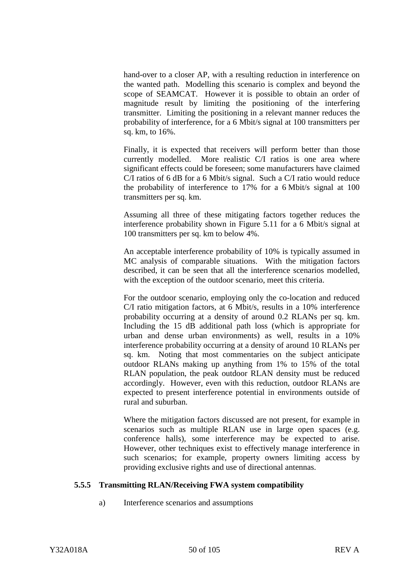hand-over to a closer AP, with a resulting reduction in interference on the wanted path. Modelling this scenario is complex and beyond the scope of SEAMCAT. However it is possible to obtain an order of magnitude result by limiting the positioning of the interfering transmitter. Limiting the positioning in a relevant manner reduces the probability of interference, for a 6 Mbit/s signal at 100 transmitters per sq. km, to 16%.

Finally, it is expected that receivers will perform better than those currently modelled. More realistic C/I ratios is one area where significant effects could be foreseen; some manufacturers have claimed C/I ratios of 6 dB for a 6 Mbit/s signal. Such a C/I ratio would reduce the probability of interference to 17% for a 6 Mbit/s signal at 100 transmitters per sq. km.

Assuming all three of these mitigating factors together reduces the interference probability shown in Figure 5.11 for a 6 Mbit/s signal at 100 transmitters per sq. km to below 4%.

An acceptable interference probability of 10% is typically assumed in MC analysis of comparable situations. With the mitigation factors described, it can be seen that all the interference scenarios modelled, with the exception of the outdoor scenario, meet this criteria.

For the outdoor scenario, employing only the co-location and reduced C/I ratio mitigation factors, at 6 Mbit/s, results in a 10% interference probability occurring at a density of around 0.2 RLANs per sq. km. Including the 15 dB additional path loss (which is appropriate for urban and dense urban environments) as well, results in a 10% interference probability occurring at a density of around 10 RLANs per sq. km. Noting that most commentaries on the subject anticipate outdoor RLANs making up anything from 1% to 15% of the total RLAN population, the peak outdoor RLAN density must be reduced accordingly. However, even with this reduction, outdoor RLANs are expected to present interference potential in environments outside of rural and suburban.

Where the mitigation factors discussed are not present, for example in scenarios such as multiple RLAN use in large open spaces (e.g. conference halls), some interference may be expected to arise. However, other techniques exist to effectively manage interference in such scenarios; for example, property owners limiting access by providing exclusive rights and use of directional antennas.

## **5.5.5 Transmitting RLAN/Receiving FWA system compatibility**

a) Interference scenarios and assumptions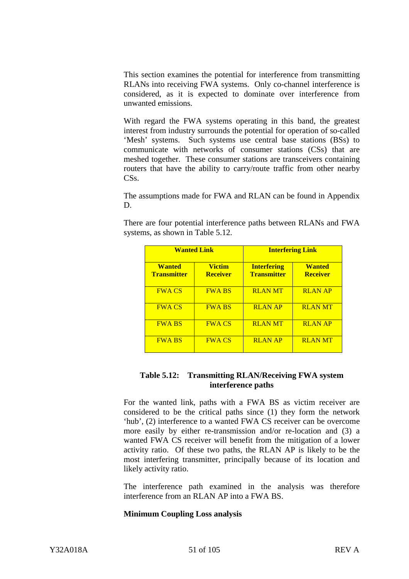This section examines the potential for interference from transmitting RLANs into receiving FWA systems. Only co-channel interference is considered, as it is expected to dominate over interference from unwanted emissions.

With regard the FWA systems operating in this band, the greatest interest from industry surrounds the potential for operation of so-called 'Mesh' systems. Such systems use central base stations (BSs) to communicate with networks of consumer stations (CSs) that are meshed together. These consumer stations are transceivers containing routers that have the ability to carry/route traffic from other nearby CS<sub>s</sub>.

The assumptions made for FWA and RLAN can be found in Appendix D.

There are four potential interference paths between RLANs and FWA systems, as shown in Table 5.12.

| <b>Wanted Link</b>                  |                                  | <b>Interfering Link</b>                  |                                  |  |
|-------------------------------------|----------------------------------|------------------------------------------|----------------------------------|--|
| <b>Wanted</b><br><b>Transmitter</b> | <b>Victim</b><br><b>Receiver</b> | <b>Interfering</b><br><b>Transmitter</b> | <b>Wanted</b><br><b>Receiver</b> |  |
| <b>FWA CS</b>                       | <b>FWA BS</b>                    | <b>RLANMT</b>                            | <b>RLAN AP</b>                   |  |
| <b>FWA CS</b>                       | <b>FWA BS</b>                    | <b>RLAN AP</b>                           | <b>RLAN MT</b>                   |  |
| <b>FWA BS</b>                       | <b>FWA CS</b>                    | <b>RLANMT</b>                            | <b>RLAN AP</b>                   |  |
| <b>FWA BS</b>                       | <b>FWA CS</b>                    | <b>RLAN AP</b>                           | <b>RLAN MT</b>                   |  |

## **Table 5.12: Transmitting RLAN/Receiving FWA system interference paths**

For the wanted link, paths with a FWA BS as victim receiver are considered to be the critical paths since (1) they form the network 'hub', (2) interference to a wanted FWA CS receiver can be overcome more easily by either re-transmission and/or re-location and (3) a wanted FWA CS receiver will benefit from the mitigation of a lower activity ratio. Of these two paths, the RLAN AP is likely to be the most interfering transmitter, principally because of its location and likely activity ratio.

The interference path examined in the analysis was therefore interference from an RLAN AP into a FWA BS.

## **Minimum Coupling Loss analysis**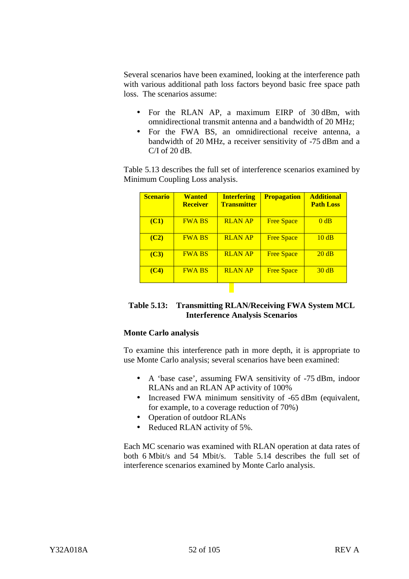Several scenarios have been examined, looking at the interference path with various additional path loss factors beyond basic free space path loss. The scenarios assume:

- For the RLAN AP, a maximum EIRP of 30 dBm, with omnidirectional transmit antenna and a bandwidth of 20 MHz;
- For the FWA BS, an omnidirectional receive antenna, a bandwidth of 20 MHz, a receiver sensitivity of -75 dBm and a C/I of 20 dB.

Table 5.13 describes the full set of interference scenarios examined by Minimum Coupling Loss analysis.

| <b>Scenario</b> | <b>Wanted</b><br><b>Receiver</b> | <b>Interfering</b><br><b>Transmitter</b> | <b>Propagation</b> | <b>Additional</b><br><b>Path Loss</b> |
|-----------------|----------------------------------|------------------------------------------|--------------------|---------------------------------------|
| <b>(C1)</b>     | <b>FWA BS</b>                    | <b>RLAN AP</b>                           | <b>Free Space</b>  | 0 dB                                  |
| (C2)            | <b>FWA BS</b>                    | <b>RLAN AP</b>                           | <b>Free Space</b>  | 10dB                                  |
| (C3)            | <b>FWA BS</b>                    | <b>RLAN AP</b>                           | <b>Free Space</b>  | 20 dB                                 |
| (C4)            | <b>FWA BS</b>                    | <b>RLAN AP</b>                           | <b>Free Space</b>  | 30dB                                  |

| Table 5.13: Transmitting RLAN/Receiving FWA System MCL |
|--------------------------------------------------------|
| <b>Interference Analysis Scenarios</b>                 |

## **Monte Carlo analysis**

To examine this interference path in more depth, it is appropriate to use Monte Carlo analysis; several scenarios have been examined:

- A 'base case', assuming FWA sensitivity of -75 dBm, indoor RLANs and an RLAN AP activity of 100%
- Increased FWA minimum sensitivity of -65 dBm (equivalent, for example, to a coverage reduction of 70%)
- Operation of outdoor RLANs
- Reduced RLAN activity of 5%.

Each MC scenario was examined with RLAN operation at data rates of both 6 Mbit/s and 54 Mbit/s. Table 5.14 describes the full set of interference scenarios examined by Monte Carlo analysis.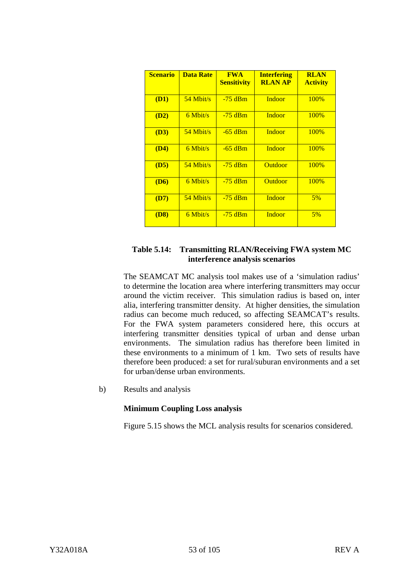| <b>Scenario</b> | <b>Data Rate</b> | <b>FWA</b><br><b>Sensitivity</b> | <b>Interfering</b><br><b>RLAN AP</b> | <b>RLAN</b><br><b>Activity</b> |
|-----------------|------------------|----------------------------------|--------------------------------------|--------------------------------|
| (D1)            | $54$ Mbit/s      | $-75$ dBm                        | <b>Indoor</b>                        | 100%                           |
| (D2)            | $6$ Mbit/s       | $-75$ dBm                        | <b>Indoor</b>                        | 100%                           |
| (D3)            | $54$ Mbit/s      | $-65$ dBm                        | <b>Indoor</b>                        | 100%                           |
| (D4)            | $6$ Mbit/s       | $-65$ dBm                        | <b>Indoor</b>                        | 100%                           |
| (D5)            | $54$ Mbit/s      | $-75$ dBm                        | <b>Outdoor</b>                       | 100%                           |
| <b>(D6)</b>     | $6$ Mbit/s       | $-75$ dBm                        | <b>Outdoor</b>                       | 100%                           |
| (D7)            | $54$ Mbit/s      | $-75$ dBm                        | Indoor                               | 5%                             |
| <b>(D8)</b>     | $6$ Mbit/s       | $-75$ dBm                        | Indoor                               | 5%                             |

## **Table 5.14: Transmitting RLAN/Receiving FWA system MC interference analysis scenarios**

The SEAMCAT MC analysis tool makes use of a 'simulation radius' to determine the location area where interfering transmitters may occur around the victim receiver. This simulation radius is based on, inter alia, interfering transmitter density. At higher densities, the simulation radius can become much reduced, so affecting SEAMCAT's results. For the FWA system parameters considered here, this occurs at interfering transmitter densities typical of urban and dense urban environments. The simulation radius has therefore been limited in these environments to a minimum of 1 km. Two sets of results have therefore been produced: a set for rural/suburan environments and a set for urban/dense urban environments.

b) Results and analysis

## **Minimum Coupling Loss analysis**

Figure 5.15 shows the MCL analysis results for scenarios considered.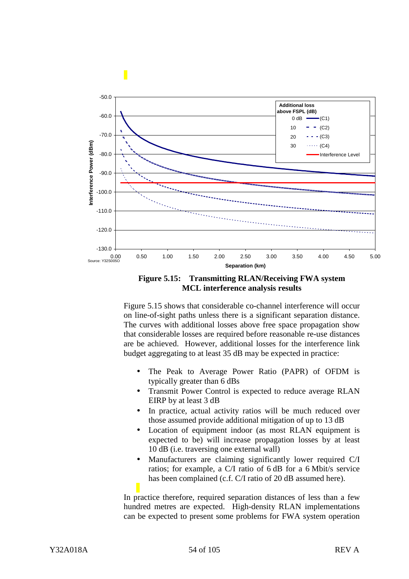

**Figure 5.15: Transmitting RLAN/Receiving FWA system MCL interference analysis results**

Figure 5.15 shows that considerable co-channel interference will occur on line-of-sight paths unless there is a significant separation distance. The curves with additional losses above free space propagation show that considerable losses are required before reasonable re-use distances are be achieved. However, additional losses for the interference link budget aggregating to at least 35 dB may be expected in practice:

- The Peak to Average Power Ratio (PAPR) of OFDM is typically greater than 6 dBs
- Transmit Power Control is expected to reduce average RLAN EIRP by at least 3 dB
- In practice, actual activity ratios will be much reduced over those assumed provide additional mitigation of up to 13 dB
- Location of equipment indoor (as most RLAN equipment is expected to be) will increase propagation losses by at least 10 dB (i.e. traversing one external wall)
- Manufacturers are claiming significantly lower required C/I ratios; for example, a C/I ratio of 6 dB for a 6 Mbit/s service has been complained (c.f. C/I ratio of 20 dB assumed here).

In practice therefore, required separation distances of less than a few hundred metres are expected. High-density RLAN implementations can be expected to present some problems for FWA system operation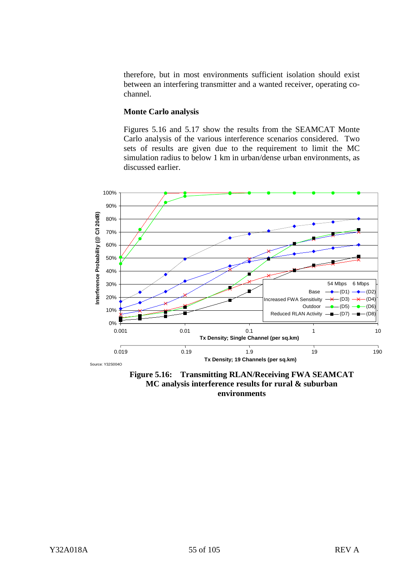therefore, but in most environments sufficient isolation should exist between an interfering transmitter and a wanted receiver, operating cochannel.

#### **Monte Carlo analysis**

Figures 5.16 and 5.17 show the results from the SEAMCAT Monte Carlo analysis of the various interference scenarios considered. Two sets of results are given due to the requirement to limit the MC simulation radius to below 1 km in urban/dense urban environments, as discussed earlier.



**Figure 5.16: Transmitting RLAN/Receiving FWA SEAMCAT MC analysis interference results for rural & suburban environments**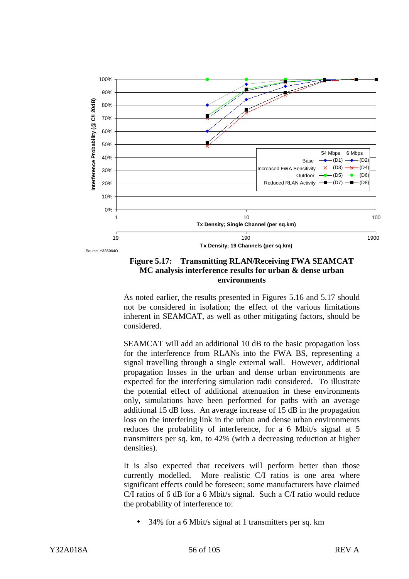

Source: Y32S004O

## **Figure 5.17: Transmitting RLAN/Receiving FWA SEAMCAT MC analysis interference results for urban & dense urban environments**

As noted earlier, the results presented in Figures 5.16 and 5.17 should not be considered in isolation; the effect of the various limitations inherent in SEAMCAT, as well as other mitigating factors, should be considered.

SEAMCAT will add an additional 10 dB to the basic propagation loss for the interference from RLANs into the FWA BS, representing a signal travelling through a single external wall. However, additional propagation losses in the urban and dense urban environments are expected for the interfering simulation radii considered. To illustrate the potential effect of additional attenuation in these environments only, simulations have been performed for paths with an average additional 15 dB loss. An average increase of 15 dB in the propagation loss on the interfering link in the urban and dense urban environments reduces the probability of interference, for a 6 Mbit/s signal at 5 transmitters per sq. km, to 42% (with a decreasing reduction at higher densities).

It is also expected that receivers will perform better than those currently modelled. More realistic C/I ratios is one area where significant effects could be foreseen; some manufacturers have claimed C/I ratios of 6 dB for a 6 Mbit/s signal. Such a C/I ratio would reduce the probability of interference to:

• 34% for a 6 Mbit/s signal at 1 transmitters per sq. km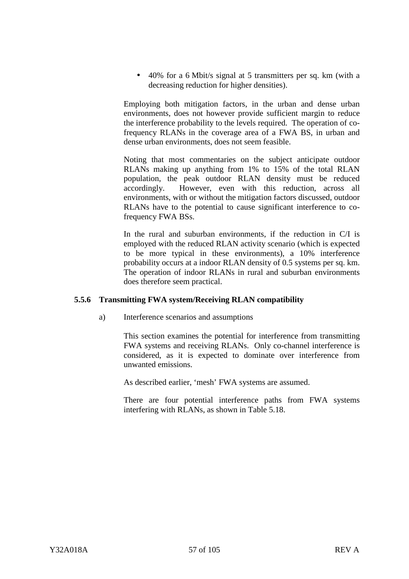• 40% for a 6 Mbit/s signal at 5 transmitters per sq. km (with a decreasing reduction for higher densities).

Employing both mitigation factors, in the urban and dense urban environments, does not however provide sufficient margin to reduce the interference probability to the levels required. The operation of cofrequency RLANs in the coverage area of a FWA BS, in urban and dense urban environments, does not seem feasible.

Noting that most commentaries on the subject anticipate outdoor RLANs making up anything from 1% to 15% of the total RLAN population, the peak outdoor RLAN density must be reduced accordingly. However, even with this reduction, across all environments, with or without the mitigation factors discussed, outdoor RLANs have to the potential to cause significant interference to cofrequency FWA BSs.

In the rural and suburban environments, if the reduction in C/I is employed with the reduced RLAN activity scenario (which is expected to be more typical in these environments), a 10% interference probability occurs at a indoor RLAN density of 0.5 systems per sq. km. The operation of indoor RLANs in rural and suburban environments does therefore seem practical.

## **5.5.6 Transmitting FWA system/Receiving RLAN compatibility**

a) Interference scenarios and assumptions

This section examines the potential for interference from transmitting FWA systems and receiving RLANs. Only co-channel interference is considered, as it is expected to dominate over interference from unwanted emissions.

As described earlier, 'mesh' FWA systems are assumed.

There are four potential interference paths from FWA systems interfering with RLANs, as shown in Table 5.18.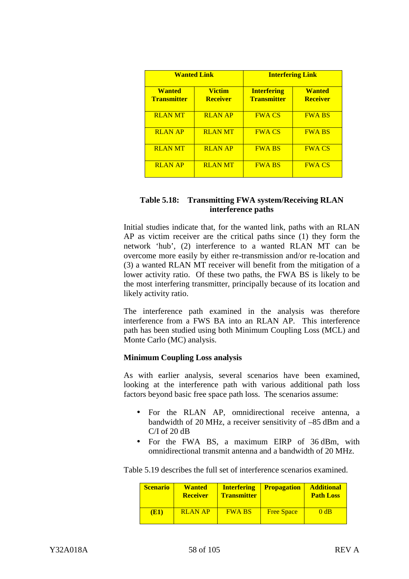| <b>Wanted Link</b>                  |                                  | <b>Interfering Link</b>                  |                                  |
|-------------------------------------|----------------------------------|------------------------------------------|----------------------------------|
| <b>Wanted</b><br><b>Transmitter</b> | <b>Victim</b><br><b>Receiver</b> | <b>Interfering</b><br><b>Transmitter</b> | <b>Wanted</b><br><b>Receiver</b> |
| <b>RLAN MT</b>                      | <b>RLAN AP</b>                   | <b>FWA CS</b>                            | <b>FWA BS</b>                    |
| <b>RLAN AP</b>                      | <b>RLANMT</b>                    | <b>FWA CS</b>                            | <b>FWA BS</b>                    |
| <b>RLAN MT</b>                      | <b>RLAN AP</b>                   | <b>FWA BS</b>                            | <b>FWA CS</b>                    |
| <b>RLAN AP</b>                      | <b>RLAN MT</b>                   | <b>FWA BS</b>                            | <b>FWA CS</b>                    |

## **Table 5.18: Transmitting FWA system/Receiving RLAN interference paths**

Initial studies indicate that, for the wanted link, paths with an RLAN AP as victim receiver are the critical paths since (1) they form the network 'hub', (2) interference to a wanted RLAN MT can be overcome more easily by either re-transmission and/or re-location and (3) a wanted RLAN MT receiver will benefit from the mitigation of a lower activity ratio. Of these two paths, the FWA BS is likely to be the most interfering transmitter, principally because of its location and likely activity ratio.

The interference path examined in the analysis was therefore interference from a FWS BA into an RLAN AP. This interference path has been studied using both Minimum Coupling Loss (MCL) and Monte Carlo (MC) analysis.

## **Minimum Coupling Loss analysis**

As with earlier analysis, several scenarios have been examined, looking at the interference path with various additional path loss factors beyond basic free space path loss. The scenarios assume:

- For the RLAN AP, omnidirectional receive antenna, a bandwidth of 20 MHz, a receiver sensitivity of –85 dBm and a C/I of 20 dB
- For the FWA BS, a maximum EIRP of 36 dBm, with omnidirectional transmit antenna and a bandwidth of 20 MHz.

Table 5.19 describes the full set of interference scenarios examined.

| <b>Scenario</b> | <b>Wanted</b><br><b>Receiver</b> | <b>Interfering</b><br><b>Transmitter</b> | <b>Propagation</b> | <b>Additional</b><br><b>Path Loss</b> |
|-----------------|----------------------------------|------------------------------------------|--------------------|---------------------------------------|
| <b>(E1)</b>     | <b>RLAN AP</b>                   | <b>FWA BS</b>                            | <b>Free Space</b>  | 0 dB                                  |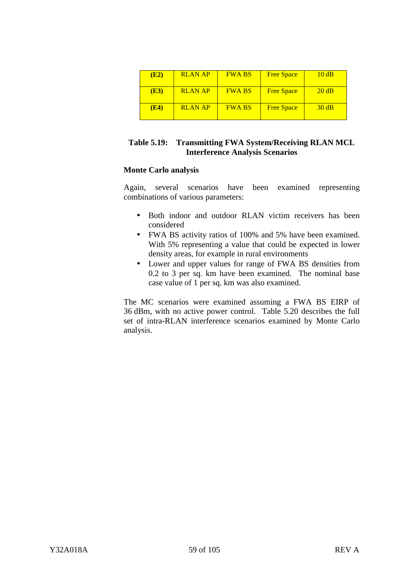| (E2) | <b>RLAN AP</b> | <b>FWA BS</b> | <b>Free Space</b> | 10dB  |
|------|----------------|---------------|-------------------|-------|
| (E3) | <b>RLAN AP</b> | <b>FWA BS</b> | <b>Free Space</b> | 20 dB |
| (E4) | <b>RLAN AP</b> | <b>FWA BS</b> | <b>Free Space</b> | 30 dB |

## **Table 5.19: Transmitting FWA System/Receiving RLAN MCL Interference Analysis Scenarios**

## **Monte Carlo analysis**

Again, several scenarios have been examined representing combinations of various parameters:

- Both indoor and outdoor RLAN victim receivers has been considered
- FWA BS activity ratios of 100% and 5% have been examined. With 5% representing a value that could be expected in lower density areas, for example in rural environments
- Lower and upper values for range of FWA BS densities from 0.2 to 3 per sq. km have been examined. The nominal base case value of 1 per sq. km was also examined.

The MC scenarios were examined assuming a FWA BS EIRP of 36 dBm, with no active power control. Table 5.20 describes the full set of intra-RLAN interference scenarios examined by Monte Carlo analysis.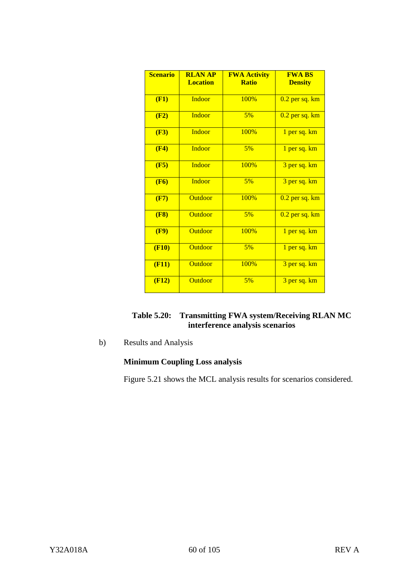| <b>Scenario</b> | <b>RLAN AP</b><br><b>Location</b> | <b>FWA Activity</b><br><b>Ratio</b> | <b>FWA BS</b><br><b>Density</b> |
|-----------------|-----------------------------------|-------------------------------------|---------------------------------|
| (F1)            | <b>Indoor</b>                     | 100%                                | $0.2$ per sq. $km$              |
| (F2)            | <b>Indoor</b>                     | 5%                                  | $0.2$ per sq. $km$              |
| (F3)            | <b>Indoor</b>                     | 100%                                | 1 per sq. km                    |
| (F4)            | Indoor                            | 5%                                  | 1 per sq. km                    |
| (F5)            | Indoor                            | 100%                                | 3 per sq. km                    |
| (F6)            | Indoor                            | 5%                                  | 3 per sq. km                    |
| (F7)            | <b>Outdoor</b>                    | 100%                                | $0.2$ per sq. $km$              |
| (F8)            | <b>Outdoor</b>                    | 5%                                  | $0.2$ per sq. $km$              |
| (F9)            | <b>Outdoor</b>                    | 100%                                | 1 per sq. km                    |
| (F10)           | <b>Outdoor</b>                    | 5%                                  | 1 per sq. km                    |
| (F11)           | <b>Outdoor</b>                    | 100%                                | 3 per sq. km                    |
| (F12)           | Outdoor                           | 5%                                  | 3 per sq. km                    |

| Table 5.20: Transmitting FWA system/Receiving RLAN MC |
|-------------------------------------------------------|
| interference analysis scenarios                       |

b) Results and Analysis

# **Minimum Coupling Loss analysis**

Figure 5.21 shows the MCL analysis results for scenarios considered.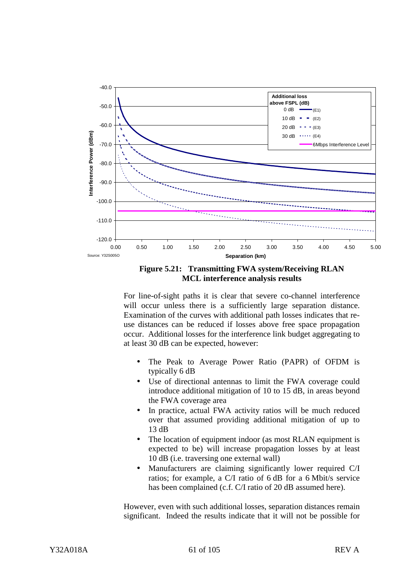

**Figure 5.21: Transmitting FWA system/Receiving RLAN MCL interference analysis results**

For line-of-sight paths it is clear that severe co-channel interference will occur unless there is a sufficiently large separation distance. Examination of the curves with additional path losses indicates that reuse distances can be reduced if losses above free space propagation occur. Additional losses for the interference link budget aggregating to at least 30 dB can be expected, however:

- The Peak to Average Power Ratio (PAPR) of OFDM is typically 6 dB
- Use of directional antennas to limit the FWA coverage could introduce additional mitigation of 10 to 15 dB, in areas beyond the FWA coverage area
- In practice, actual FWA activity ratios will be much reduced over that assumed providing additional mitigation of up to 13 dB
- The location of equipment indoor (as most RLAN equipment is expected to be) will increase propagation losses by at least 10 dB (i.e. traversing one external wall)
- Manufacturers are claiming significantly lower required C/I ratios; for example, a C/I ratio of 6 dB for a 6 Mbit/s service has been complained (c.f. C/I ratio of 20 dB assumed here).

However, even with such additional losses, separation distances remain significant. Indeed the results indicate that it will not be possible for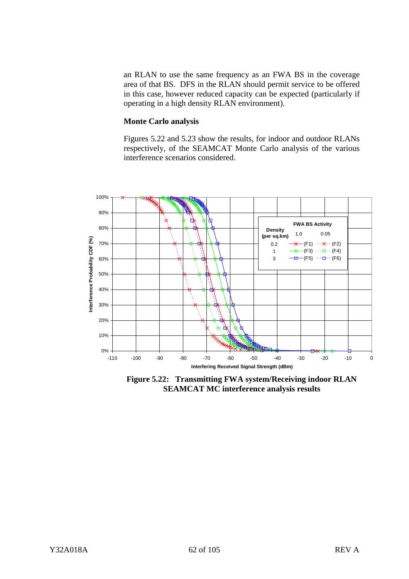an RLAN to use the same frequency as an FWA BS in the coverage area of that BS. DFS in the RLAN should permit service to be offered in this case, however reduced capacity can be expected (particularly if operating in a high density RLAN environment).

#### **Monte Carlo analysis**

Figures 5.22 and 5.23 show the results, for indoor and outdoor RLANs respectively, of the SEAMCAT Monte Carlo analysis of the various interference scenarios considered.



**Figure 5.22: Transmitting FWA system/Receiving indoor RLAN SEAMCAT MC interference analysis results**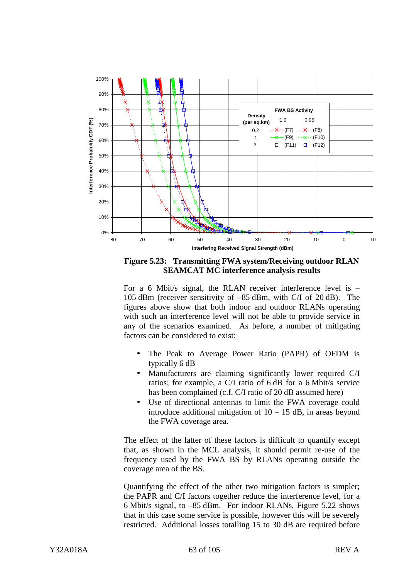

**Figure 5.23: Transmitting FWA system/Receiving outdoor RLAN SEAMCAT MC interference analysis results**

For a 6 Mbit/s signal, the RLAN receiver interference level is – 105 dBm (receiver sensitivity of –85 dBm, with C/I of 20 dB). The figures above show that both indoor and outdoor RLANs operating with such an interference level will not be able to provide service in any of the scenarios examined. As before, a number of mitigating factors can be considered to exist:

- The Peak to Average Power Ratio (PAPR) of OFDM is typically 6 dB
- Manufacturers are claiming significantly lower required C/I ratios; for example, a C/I ratio of 6 dB for a 6 Mbit/s service has been complained (c.f. C/I ratio of 20 dB assumed here)
- Use of directional antennas to limit the FWA coverage could introduce additional mitigation of  $10 - 15$  dB, in areas beyond the FWA coverage area.

The effect of the latter of these factors is difficult to quantify except that, as shown in the MCL analysis, it should permit re-use of the frequency used by the FWA BS by RLANs operating outside the coverage area of the BS.

Quantifying the effect of the other two mitigation factors is simpler; the PAPR and C/I factors together reduce the interference level, for a 6 Mbit/s signal, to –85 dBm. For indoor RLANs, Figure 5.22 shows that in this case some service is possible, however this will be severely restricted. Additional losses totalling 15 to 30 dB are required before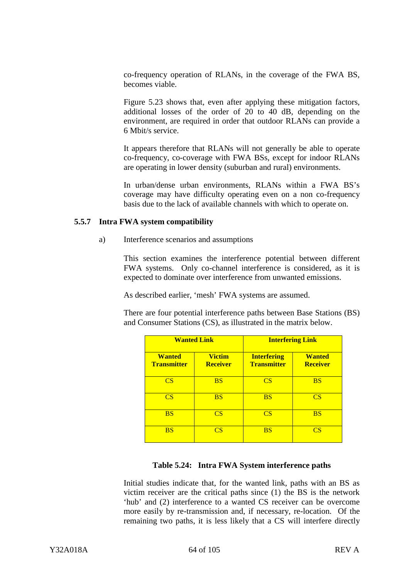co-frequency operation of RLANs, in the coverage of the FWA BS, becomes viable.

Figure 5.23 shows that, even after applying these mitigation factors, additional losses of the order of 20 to 40 dB, depending on the environment, are required in order that outdoor RLANs can provide a 6 Mbit/s service.

It appears therefore that RLANs will not generally be able to operate co-frequency, co-coverage with FWA BSs, except for indoor RLANs are operating in lower density (suburban and rural) environments.

In urban/dense urban environments, RLANs within a FWA BS's coverage may have difficulty operating even on a non co-frequency basis due to the lack of available channels with which to operate on.

#### **5.5.7 Intra FWA system compatibility**

a) Interference scenarios and assumptions

This section examines the interference potential between different FWA systems. Only co-channel interference is considered, as it is expected to dominate over interference from unwanted emissions.

As described earlier, 'mesh' FWA systems are assumed.

There are four potential interference paths between Base Stations (BS) and Consumer Stations (CS), as illustrated in the matrix below.

| <b>Wanted Link</b>                  |                                  | <b>Interfering Link</b>                  |                                  |
|-------------------------------------|----------------------------------|------------------------------------------|----------------------------------|
| <b>Wanted</b><br><b>Transmitter</b> | <b>Victim</b><br><b>Receiver</b> | <b>Interfering</b><br><b>Transmitter</b> | <b>Wanted</b><br><b>Receiver</b> |
| CS.                                 | <b>BS</b>                        | <b>CS</b>                                | <b>BS</b>                        |
| CS                                  | <b>BS</b>                        | <b>BS</b>                                | CS                               |
| <b>BS</b>                           | CS                               | <b>CS</b>                                | <b>BS</b>                        |
| <b>BS</b>                           | CS                               | <b>BS</b>                                | CS                               |

## **Table 5.24: Intra FWA System interference paths**

Initial studies indicate that, for the wanted link, paths with an BS as victim receiver are the critical paths since (1) the BS is the network 'hub' and (2) interference to a wanted CS receiver can be overcome more easily by re-transmission and, if necessary, re-location. Of the remaining two paths, it is less likely that a CS will interfere directly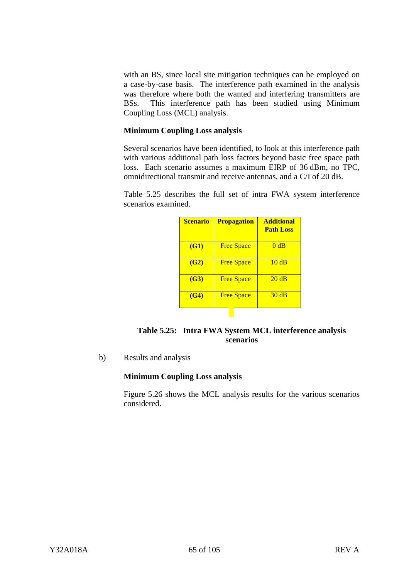with an BS, since local site mitigation techniques can be employed on a case-by-case basis. The interference path examined in the analysis was therefore where both the wanted and interfering transmitters are BSs. This interference path has been studied using Minimum Coupling Loss (MCL) analysis.

## **Minimum Coupling Loss analysis**

Several scenarios have been identified, to look at this interference path with various additional path loss factors beyond basic free space path loss. Each scenario assumes a maximum EIRP of 36 dBm, no TPC, omnidirectional transmit and receive antennas, and a C/I of 20 dB.

Table 5.25 describes the full set of intra FWA system interference scenarios examined.

| <b>Scenario</b> | <b>Propagation</b> | <b>Additional</b><br><b>Path Loss</b> |
|-----------------|--------------------|---------------------------------------|
| <b>(G1)</b>     | <b>Free Space</b>  | 0 dB                                  |
| (G2)            | <b>Free Space</b>  | 10dB                                  |
| (G3)            | <b>Free Space</b>  | 20dB                                  |
| (G4)            | <b>Free Space</b>  | 30 dB                                 |

| Table 5.25: Intra FWA System MCL interference analysis |
|--------------------------------------------------------|
| scenarios                                              |

b) Results and analysis

## **Minimum Coupling Loss analysis**

Figure 5.26 shows the MCL analysis results for the various scenarios considered.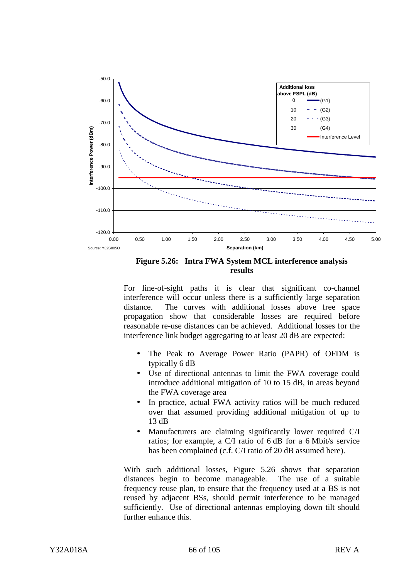

**Figure 5.26: Intra FWA System MCL interference analysis results**

For line-of-sight paths it is clear that significant co-channel interference will occur unless there is a sufficiently large separation distance. The curves with additional losses above free space propagation show that considerable losses are required before reasonable re-use distances can be achieved. Additional losses for the interference link budget aggregating to at least 20 dB are expected:

- The Peak to Average Power Ratio (PAPR) of OFDM is typically 6 dB
- Use of directional antennas to limit the FWA coverage could introduce additional mitigation of 10 to 15 dB, in areas beyond the FWA coverage area
- In practice, actual FWA activity ratios will be much reduced over that assumed providing additional mitigation of up to 13 dB
- Manufacturers are claiming significantly lower required C/I ratios; for example, a C/I ratio of 6 dB for a 6 Mbit/s service has been complained (c.f. C/I ratio of 20 dB assumed here).

With such additional losses, Figure 5.26 shows that separation distances begin to become manageable. The use of a suitable frequency reuse plan, to ensure that the frequency used at a BS is not reused by adjacent BSs, should permit interference to be managed sufficiently. Use of directional antennas employing down tilt should further enhance this.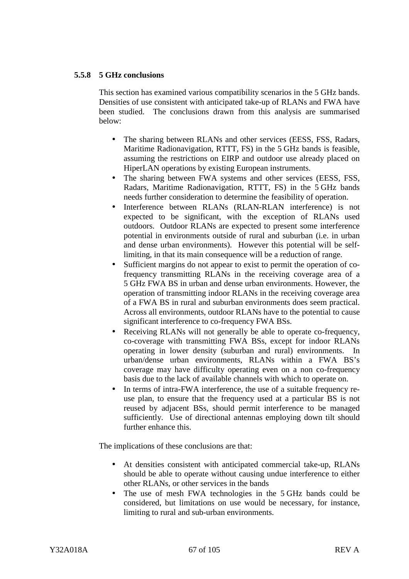## **5.5.8 5 GHz conclusions**

This section has examined various compatibility scenarios in the 5 GHz bands. Densities of use consistent with anticipated take-up of RLANs and FWA have been studied. The conclusions drawn from this analysis are summarised below:

- The sharing between RLANs and other services (EESS, FSS, Radars, Maritime Radionavigation, RTTT, FS) in the 5 GHz bands is feasible, assuming the restrictions on EIRP and outdoor use already placed on HiperLAN operations by existing European instruments.
- The sharing between FWA systems and other services (EESS, FSS, Radars, Maritime Radionavigation, RTTT, FS) in the 5 GHz bands needs further consideration to determine the feasibility of operation.
- Interference between RLANs (RLAN-RLAN interference) is not expected to be significant, with the exception of RLANs used outdoors. Outdoor RLANs are expected to present some interference potential in environments outside of rural and suburban (i.e. in urban and dense urban environments). However this potential will be selflimiting, in that its main consequence will be a reduction of range.
- Sufficient margins do not appear to exist to permit the operation of cofrequency transmitting RLANs in the receiving coverage area of a 5 GHz FWA BS in urban and dense urban environments. However, the operation of transmitting indoor RLANs in the receiving coverage area of a FWA BS in rural and suburban environments does seem practical. Across all environments, outdoor RLANs have to the potential to cause significant interference to co-frequency FWA BSs.
- Receiving RLANs will not generally be able to operate co-frequency, co-coverage with transmitting FWA BSs, except for indoor RLANs operating in lower density (suburban and rural) environments. In urban/dense urban environments, RLANs within a FWA BS's coverage may have difficulty operating even on a non co-frequency basis due to the lack of available channels with which to operate on.
- In terms of intra-FWA interference, the use of a suitable frequency reuse plan, to ensure that the frequency used at a particular BS is not reused by adjacent BSs, should permit interference to be managed sufficiently. Use of directional antennas employing down tilt should further enhance this.

The implications of these conclusions are that:

- At densities consistent with anticipated commercial take-up, RLANs should be able to operate without causing undue interference to either other RLANs, or other services in the bands
- The use of mesh FWA technologies in the 5 GHz bands could be considered, but limitations on use would be necessary, for instance, limiting to rural and sub-urban environments.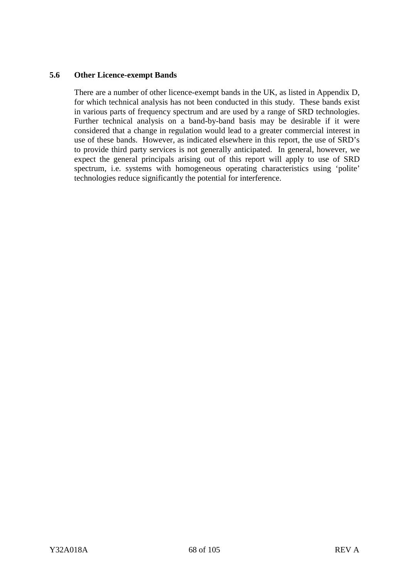## **5.6 Other Licence-exempt Bands**

There are a number of other licence-exempt bands in the UK, as listed in Appendix D, for which technical analysis has not been conducted in this study. These bands exist in various parts of frequency spectrum and are used by a range of SRD technologies. Further technical analysis on a band-by-band basis may be desirable if it were considered that a change in regulation would lead to a greater commercial interest in use of these bands. However, as indicated elsewhere in this report, the use of SRD's to provide third party services is not generally anticipated. In general, however, we expect the general principals arising out of this report will apply to use of SRD spectrum, i.e. systems with homogeneous operating characteristics using 'polite' technologies reduce significantly the potential for interference.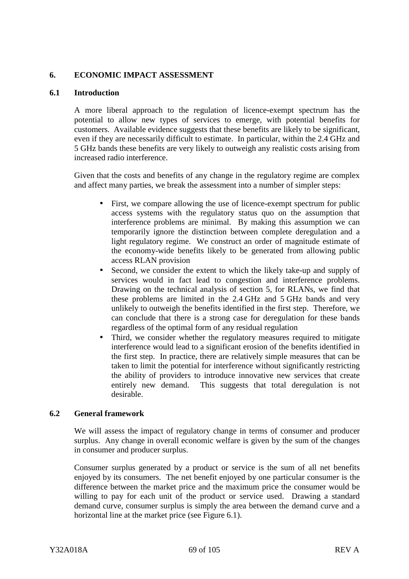## **6. ECONOMIC IMPACT ASSESSMENT**

## **6.1 Introduction**

A more liberal approach to the regulation of licence-exempt spectrum has the potential to allow new types of services to emerge, with potential benefits for customers. Available evidence suggests that these benefits are likely to be significant, even if they are necessarily difficult to estimate. In particular, within the 2.4 GHz and 5 GHz bands these benefits are very likely to outweigh any realistic costs arising from increased radio interference.

Given that the costs and benefits of any change in the regulatory regime are complex and affect many parties, we break the assessment into a number of simpler steps:

- First, we compare allowing the use of licence-exempt spectrum for public access systems with the regulatory status quo on the assumption that interference problems are minimal. By making this assumption we can temporarily ignore the distinction between complete deregulation and a light regulatory regime. We construct an order of magnitude estimate of the economy-wide benefits likely to be generated from allowing public access RLAN provision
- Second, we consider the extent to which the likely take-up and supply of services would in fact lead to congestion and interference problems. Drawing on the technical analysis of section 5, for RLANs, we find that these problems are limited in the 2.4 GHz and 5 GHz bands and very unlikely to outweigh the benefits identified in the first step. Therefore, we can conclude that there is a strong case for deregulation for these bands regardless of the optimal form of any residual regulation
- Third, we consider whether the regulatory measures required to mitigate interference would lead to a significant erosion of the benefits identified in the first step. In practice, there are relatively simple measures that can be taken to limit the potential for interference without significantly restricting the ability of providers to introduce innovative new services that create entirely new demand. This suggests that total deregulation is not desirable.

## **6.2 General framework**

We will assess the impact of regulatory change in terms of consumer and producer surplus. Any change in overall economic welfare is given by the sum of the changes in consumer and producer surplus.

Consumer surplus generated by a product or service is the sum of all net benefits enjoyed by its consumers. The net benefit enjoyed by one particular consumer is the difference between the market price and the maximum price the consumer would be willing to pay for each unit of the product or service used. Drawing a standard demand curve, consumer surplus is simply the area between the demand curve and a horizontal line at the market price (see Figure 6.1).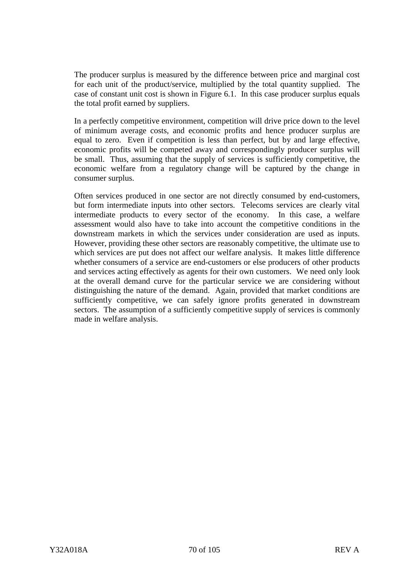The producer surplus is measured by the difference between price and marginal cost for each unit of the product/service, multiplied by the total quantity supplied. The case of constant unit cost is shown in Figure 6.1. In this case producer surplus equals the total profit earned by suppliers.

In a perfectly competitive environment, competition will drive price down to the level of minimum average costs, and economic profits and hence producer surplus are equal to zero. Even if competition is less than perfect, but by and large effective, economic profits will be competed away and correspondingly producer surplus will be small. Thus, assuming that the supply of services is sufficiently competitive, the economic welfare from a regulatory change will be captured by the change in consumer surplus.

Often services produced in one sector are not directly consumed by end-customers, but form intermediate inputs into other sectors. Telecoms services are clearly vital intermediate products to every sector of the economy. In this case, a welfare assessment would also have to take into account the competitive conditions in the downstream markets in which the services under consideration are used as inputs. However, providing these other sectors are reasonably competitive, the ultimate use to which services are put does not affect our welfare analysis. It makes little difference whether consumers of a service are end-customers or else producers of other products and services acting effectively as agents for their own customers. We need only look at the overall demand curve for the particular service we are considering without distinguishing the nature of the demand. Again, provided that market conditions are sufficiently competitive, we can safely ignore profits generated in downstream sectors. The assumption of a sufficiently competitive supply of services is commonly made in welfare analysis.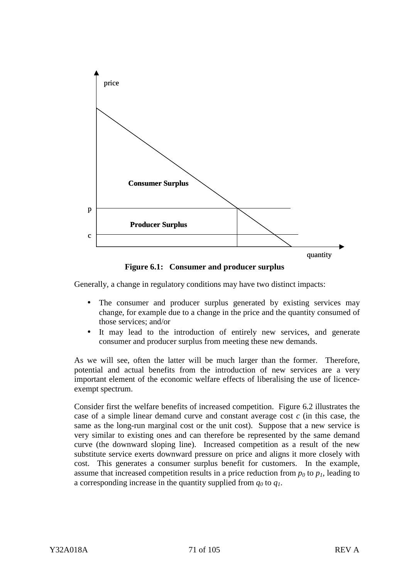

**Figure 6.1: Consumer and producer surplus**

Generally, a change in regulatory conditions may have two distinct impacts:

- The consumer and producer surplus generated by existing services may change, for example due to a change in the price and the quantity consumed of those services; and/or
- It may lead to the introduction of entirely new services, and generate consumer and producer surplus from meeting these new demands.

As we will see, often the latter will be much larger than the former. Therefore, potential and actual benefits from the introduction of new services are a very important element of the economic welfare effects of liberalising the use of licenceexempt spectrum.

Consider first the welfare benefits of increased competition. Figure 6.2 illustrates the case of a simple linear demand curve and constant average cost *c* (in this case, the same as the long-run marginal cost or the unit cost). Suppose that a new service is very similar to existing ones and can therefore be represented by the same demand curve (the downward sloping line). Increased competition as a result of the new substitute service exerts downward pressure on price and aligns it more closely with cost. This generates a consumer surplus benefit for customers. In the example, assume that increased competition results in a price reduction from  $p_0$  to  $p_1$ , leading to a corresponding increase in the quantity supplied from  $q_0$  to  $q_1$ .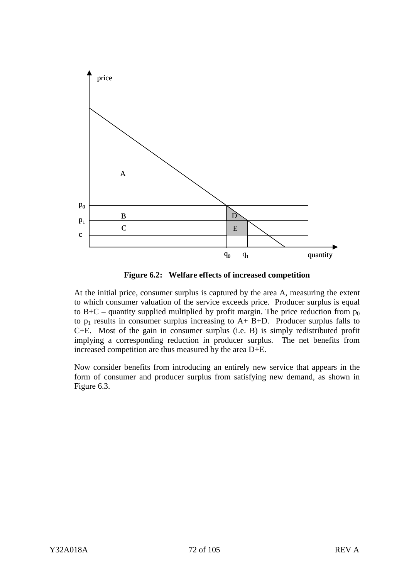

**Figure 6.2: Welfare effects of increased competition**

At the initial price, consumer surplus is captured by the area A, measuring the extent to which consumer valuation of the service exceeds price. Producer surplus is equal to B+C – quantity supplied multiplied by profit margin. The price reduction from  $p_0$ to  $p_1$  results in consumer surplus increasing to  $A + B + D$ . Producer surplus falls to C+E. Most of the gain in consumer surplus (i.e. B) is simply redistributed profit implying a corresponding reduction in producer surplus. The net benefits from increased competition are thus measured by the area D+E.

Now consider benefits from introducing an entirely new service that appears in the form of consumer and producer surplus from satisfying new demand, as shown in Figure 6.3.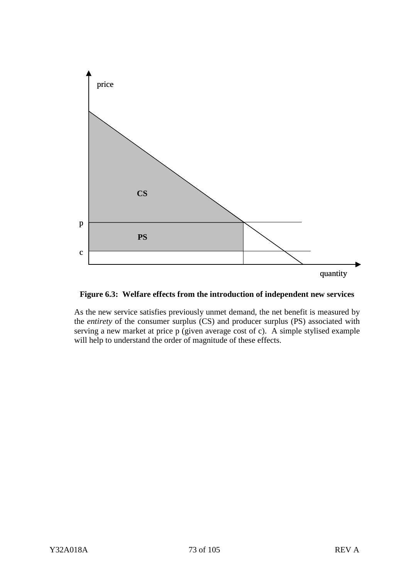



As the new service satisfies previously unmet demand, the net benefit is measured by the *entirety* of the consumer surplus (CS) and producer surplus (PS) associated with serving a new market at price p (given average cost of c). A simple stylised example will help to understand the order of magnitude of these effects.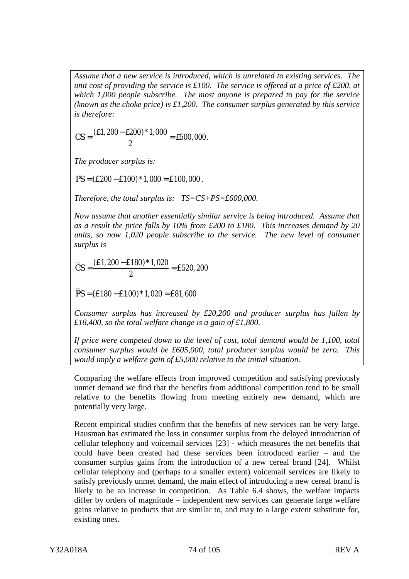*Assume that a new service is introduced, which is unrelated to existing services. The unit cost of providing the service is £100. The service is offered at a price of £200, at which 1,000 people subscribe. The most anyone is prepared to pay for the service (known as the choke price) is £1,200. The consumer surplus generated by this service is therefore:*

$$
CS = \frac{(\text{\pounds}1, 200 - \text{\pounds}200)^* 1,000}{2} = \text{\pounds}500,000.
$$

*The producer surplus is:*

 $PS = (E200 - E100)^*1$ , 000 = £100, 000.

*Therefore, the total surplus is: TS=CS+PS=£600,000.*

*Now assume that another essentially similar service is being introduced. Assume that as a result the price falls by 10% from £200 to £180. This increases demand by 20 units, so now 1,020 people subscribe to the service. The new level of consumer surplus is*

$$
\mathcal{C}S = \frac{(\text{E1}, 200 - \text{E180}) * 1,020}{2} = \text{E520,200}
$$

 $\overline{P}S$  = (£180 – £100) \* 1,020 = £81,600

*Consumer surplus has increased by £20,200 and producer surplus has fallen by £18,400, so the total welfare change is a gain of £1,800.*

*If price were competed down to the level of cost, total demand would be 1,100, total consumer surplus would be £605,000, total producer surplus would be zero. This would imply a welfare gain of £5,000 relative to the initial situation.*

Comparing the welfare effects from improved competition and satisfying previously unmet demand we find that the benefits from additional competition tend to be small relative to the benefits flowing from meeting entirely new demand, which are potentially very large.

Recent empirical studies confirm that the benefits of new services can be very large. Hausman has estimated the loss in consumer surplus from the delayed introduction of cellular telephony and voicemail services [23] - which measures the net benefits that could have been created had these services been introduced earlier – and the consumer surplus gains from the introduction of a new cereal brand [24]. Whilst cellular telephony and (perhaps to a smaller extent) voicemail services are likely to satisfy previously unmet demand, the main effect of introducing a new cereal brand is likely to be an increase in competition. As Table 6.4 shows, the welfare impacts differ by orders of magnitude – independent new services can generate large welfare gains relative to products that are similar to, and may to a large extent substitute for, existing ones.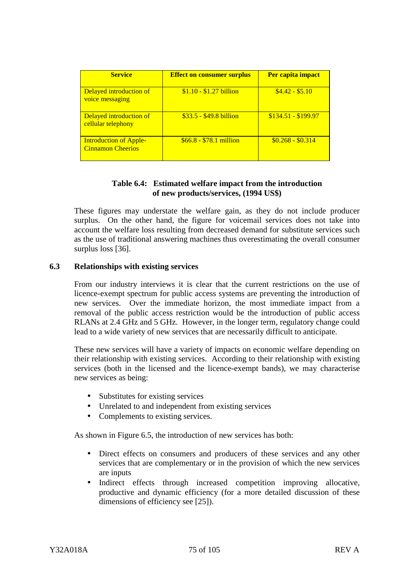| <b>Service</b>                                            | <b>Effect on consumer surplus</b> | Per capita impact   |
|-----------------------------------------------------------|-----------------------------------|---------------------|
| Delayed introduction of<br>voice messaging                | $$1.10 - $1.27$ billion           | $$4.42 - $5.10$     |
| Delayed introduction of<br>cellular telephony             | $$33.5 - $49.8 \text{ billion}$   | $$134.51 - $199.97$ |
| <b>Introduction of Apple-</b><br><b>Cinnamon Cheerios</b> | $$66.8 - $78.1$ million           | $$0.268 - $0.314$   |

# **Table 6.4: Estimated welfare impact from the introduction of new products/services, (1994 US\$)**

These figures may understate the welfare gain, as they do not include producer surplus. On the other hand, the figure for voicemail services does not take into account the welfare loss resulting from decreased demand for substitute services such as the use of traditional answering machines thus overestimating the overall consumer surplus loss [36].

### **6.3 Relationships with existing services**

From our industry interviews it is clear that the current restrictions on the use of licence-exempt spectrum for public access systems are preventing the introduction of new services. Over the immediate horizon, the most immediate impact from a removal of the public access restriction would be the introduction of public access RLANs at 2.4 GHz and 5 GHz. However, in the longer term, regulatory change could lead to a wide variety of new services that are necessarily difficult to anticipate.

These new services will have a variety of impacts on economic welfare depending on their relationship with existing services. According to their relationship with existing services (both in the licensed and the licence-exempt bands), we may characterise new services as being:

- Substitutes for existing services
- Unrelated to and independent from existing services
- Complements to existing services.

As shown in Figure 6.5, the introduction of new services has both:

- Direct effects on consumers and producers of these services and any other services that are complementary or in the provision of which the new services are inputs
- Indirect effects through increased competition improving allocative, productive and dynamic efficiency (for a more detailed discussion of these dimensions of efficiency see [25]).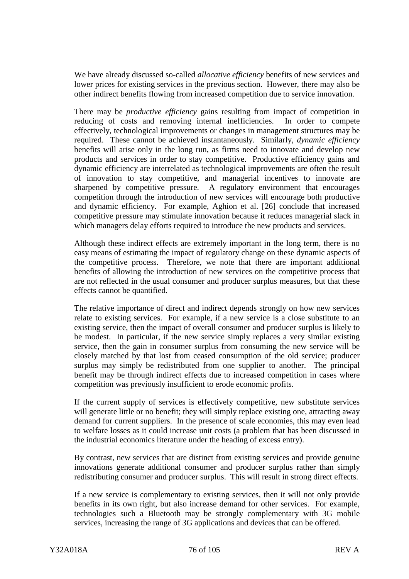We have already discussed so-called *allocative efficiency* benefits of new services and lower prices for existing services in the previous section. However, there may also be other indirect benefits flowing from increased competition due to service innovation.

There may be *productive efficiency* gains resulting from impact of competition in reducing of costs and removing internal inefficiencies. In order to compete effectively, technological improvements or changes in management structures may be required. These cannot be achieved instantaneously. Similarly, *dynamic efficiency* benefits will arise only in the long run, as firms need to innovate and develop new products and services in order to stay competitive. Productive efficiency gains and dynamic efficiency are interrelated as technological improvements are often the result of innovation to stay competitive, and managerial incentives to innovate are sharpened by competitive pressure. A regulatory environment that encourages competition through the introduction of new services will encourage both productive and dynamic efficiency. For example, Aghion et al. [26] conclude that increased competitive pressure may stimulate innovation because it reduces managerial slack in which managers delay efforts required to introduce the new products and services.

Although these indirect effects are extremely important in the long term, there is no easy means of estimating the impact of regulatory change on these dynamic aspects of the competitive process. Therefore, we note that there are important additional benefits of allowing the introduction of new services on the competitive process that are not reflected in the usual consumer and producer surplus measures, but that these effects cannot be quantified.

The relative importance of direct and indirect depends strongly on how new services relate to existing services. For example, if a new service is a close substitute to an existing service, then the impact of overall consumer and producer surplus is likely to be modest. In particular, if the new service simply replaces a very similar existing service, then the gain in consumer surplus from consuming the new service will be closely matched by that lost from ceased consumption of the old service; producer surplus may simply be redistributed from one supplier to another. The principal benefit may be through indirect effects due to increased competition in cases where competition was previously insufficient to erode economic profits.

If the current supply of services is effectively competitive, new substitute services will generate little or no benefit; they will simply replace existing one, attracting away demand for current suppliers. In the presence of scale economies, this may even lead to welfare losses as it could increase unit costs (a problem that has been discussed in the industrial economics literature under the heading of excess entry).

By contrast, new services that are distinct from existing services and provide genuine innovations generate additional consumer and producer surplus rather than simply redistributing consumer and producer surplus. This will result in strong direct effects.

If a new service is complementary to existing services, then it will not only provide benefits in its own right, but also increase demand for other services. For example, technologies such a Bluetooth may be strongly complementary with 3G mobile services, increasing the range of 3G applications and devices that can be offered.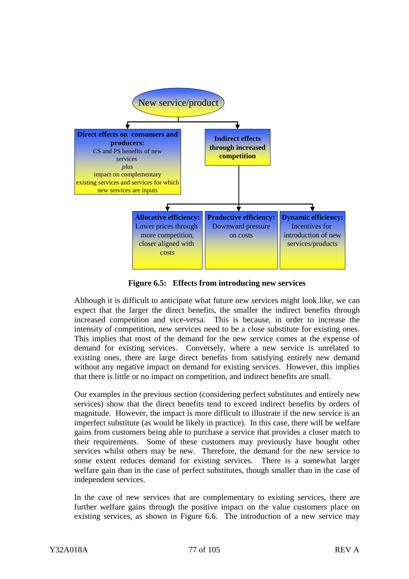

**Figure 6.5: Effects from introducing new services**

Although it is difficult to anticipate what future new services might look like, we can expect that the larger the direct benefits, the smaller the indirect benefits through increased competition and vice-versa. This is because, in order to increase the intensity of competition, new services need to be a close substitute for existing ones. This implies that most of the demand for the new service comes at the expense of demand for existing services. Conversely, where a new service is unrelated to existing ones, there are large direct benefits from satisfying entirely new demand without any negative impact on demand for existing services. However, this implies that there is little or no impact on competition, and indirect benefits are small.

Our examples in the previous section (considering perfect substitutes and entirely new services) show that the direct benefits tend to exceed indirect benefits by orders of magnitude. However, the impact is more difficult to illustrate if the new service is an imperfect substitute (as would be likely in practice). In this case, there will be welfare gains from customers being able to purchase a service that provides a closer match to their requirements. Some of these customers may previously have bought other services whilst others may be new. Therefore, the demand for the new service to some extent reduces demand for existing services. There is a somewhat larger welfare gain than in the case of perfect substitutes, though smaller than in the case of independent services.

In the case of new services that are complementary to existing services, there are further welfare gains through the positive impact on the value customers place on existing services, as shown in Figure 6.6. The introduction of a new service may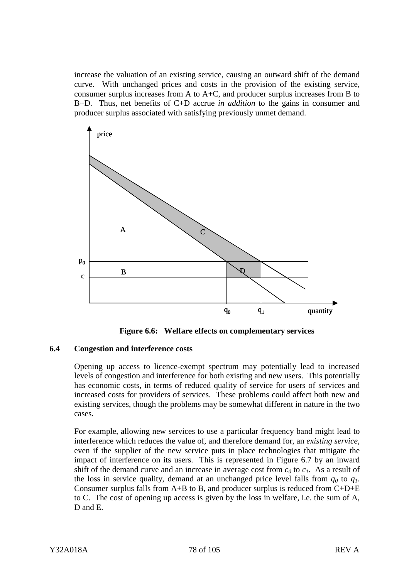increase the valuation of an existing service, causing an outward shift of the demand curve. With unchanged prices and costs in the provision of the existing service, consumer surplus increases from A to A+C, and producer surplus increases from B to B+D. Thus, net benefits of C+D accrue *in addition* to the gains in consumer and producer surplus associated with satisfying previously unmet demand.



**Figure 6.6: Welfare effects on complementary services**

### **6.4 Congestion and interference costs**

Opening up access to licence-exempt spectrum may potentially lead to increased levels of congestion and interference for both existing and new users. This potentially has economic costs, in terms of reduced quality of service for users of services and increased costs for providers of services. These problems could affect both new and existing services, though the problems may be somewhat different in nature in the two cases.

For example, allowing new services to use a particular frequency band might lead to interference which reduces the value of, and therefore demand for, an *existing service*, even if the supplier of the new service puts in place technologies that mitigate the impact of interference on its users. This is represented in Figure 6.7 by an inward shift of the demand curve and an increase in average cost from  $c_0$  to  $c_1$ . As a result of the loss in service quality, demand at an unchanged price level falls from  $q_0$  to  $q_1$ . Consumer surplus falls from  $A+B$  to B, and producer surplus is reduced from  $C+D+E$ to C. The cost of opening up access is given by the loss in welfare, i.e. the sum of A, D and E.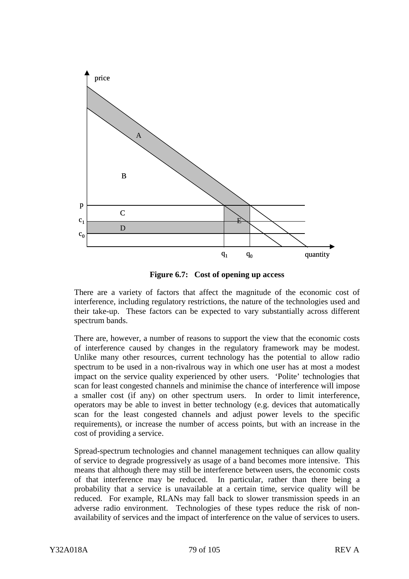

**Figure 6.7: Cost of opening up access**

There are a variety of factors that affect the magnitude of the economic cost of interference, including regulatory restrictions, the nature of the technologies used and their take-up. These factors can be expected to vary substantially across different spectrum bands.

There are, however, a number of reasons to support the view that the economic costs of interference caused by changes in the regulatory framework may be modest. Unlike many other resources, current technology has the potential to allow radio spectrum to be used in a non-rivalrous way in which one user has at most a modest impact on the service quality experienced by other users. 'Polite' technologies that scan for least congested channels and minimise the chance of interference will impose a smaller cost (if any) on other spectrum users. In order to limit interference, operators may be able to invest in better technology (e.g. devices that automatically scan for the least congested channels and adjust power levels to the specific requirements), or increase the number of access points, but with an increase in the cost of providing a service.

Spread-spectrum technologies and channel management techniques can allow quality of service to degrade progressively as usage of a band becomes more intensive. This means that although there may still be interference between users, the economic costs of that interference may be reduced. In particular, rather than there being a probability that a service is unavailable at a certain time, service quality will be reduced. For example, RLANs may fall back to slower transmission speeds in an adverse radio environment. Technologies of these types reduce the risk of nonavailability of services and the impact of interference on the value of services to users.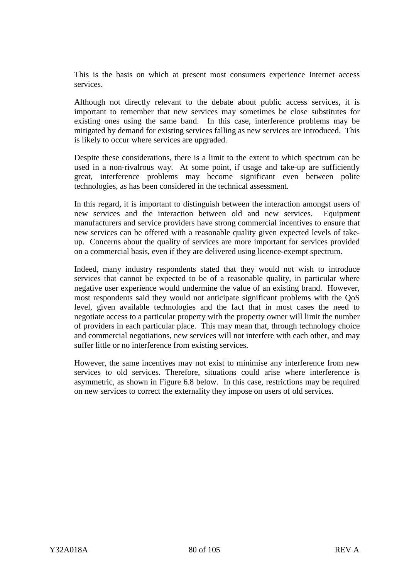This is the basis on which at present most consumers experience Internet access services.

Although not directly relevant to the debate about public access services, it is important to remember that new services may sometimes be close substitutes for existing ones using the same band. In this case, interference problems may be mitigated by demand for existing services falling as new services are introduced. This is likely to occur where services are upgraded.

Despite these considerations, there is a limit to the extent to which spectrum can be used in a non-rivalrous way. At some point, if usage and take-up are sufficiently great, interference problems may become significant even between polite technologies, as has been considered in the technical assessment.

In this regard, it is important to distinguish between the interaction amongst users of new services and the interaction between old and new services. Equipment manufacturers and service providers have strong commercial incentives to ensure that new services can be offered with a reasonable quality given expected levels of takeup. Concerns about the quality of services are more important for services provided on a commercial basis, even if they are delivered using licence-exempt spectrum.

Indeed, many industry respondents stated that they would not wish to introduce services that cannot be expected to be of a reasonable quality, in particular where negative user experience would undermine the value of an existing brand. However, most respondents said they would not anticipate significant problems with the QoS level, given available technologies and the fact that in most cases the need to negotiate access to a particular property with the property owner will limit the number of providers in each particular place. This may mean that, through technology choice and commercial negotiations, new services will not interfere with each other, and may suffer little or no interference from existing services.

However, the same incentives may not exist to minimise any interference from new services *to* old services. Therefore, situations could arise where interference is asymmetric, as shown in Figure 6.8 below. In this case, restrictions may be required on new services to correct the externality they impose on users of old services.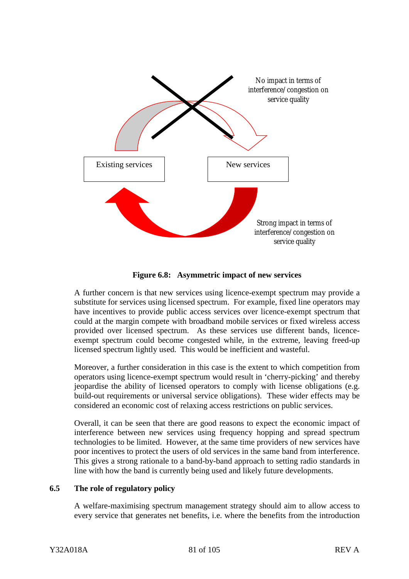

**Figure 6.8: Asymmetric impact of new services**

A further concern is that new services using licence-exempt spectrum may provide a substitute for services using licensed spectrum. For example, fixed line operators may have incentives to provide public access services over licence-exempt spectrum that could at the margin compete with broadband mobile services or fixed wireless access provided over licensed spectrum. As these services use different bands, licenceexempt spectrum could become congested while, in the extreme, leaving freed-up licensed spectrum lightly used. This would be inefficient and wasteful.

Moreover, a further consideration in this case is the extent to which competition from operators using licence-exempt spectrum would result in 'cherry-picking' and thereby jeopardise the ability of licensed operators to comply with license obligations (e.g. build-out requirements or universal service obligations). These wider effects may be considered an economic cost of relaxing access restrictions on public services.

Overall, it can be seen that there are good reasons to expect the economic impact of interference between new services using frequency hopping and spread spectrum technologies to be limited. However, at the same time providers of new services have poor incentives to protect the users of old services in the same band from interference. This gives a strong rationale to a band-by-band approach to setting radio standards in line with how the band is currently being used and likely future developments.

# **6.5 The role of regulatory policy**

A welfare-maximising spectrum management strategy should aim to allow access to every service that generates net benefits, i.e. where the benefits from the introduction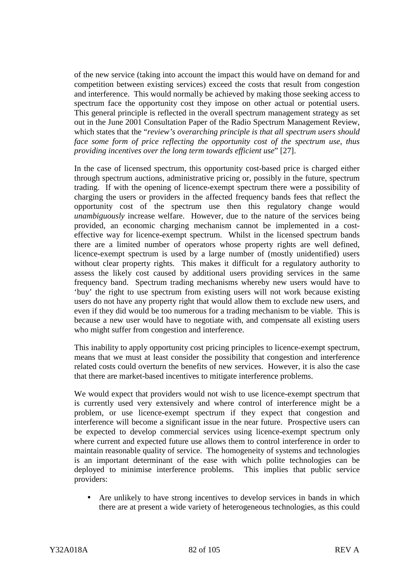of the new service (taking into account the impact this would have on demand for and competition between existing services) exceed the costs that result from congestion and interference. This would normally be achieved by making those seeking access to spectrum face the opportunity cost they impose on other actual or potential users. This general principle is reflected in the overall spectrum management strategy as set out in the June 2001 Consultation Paper of the Radio Spectrum Management Review, which states that the "*review's overarching principle is that all spectrum users should face some form of price reflecting the opportunity cost of the spectrum use, thus providing incentives over the long term towards efficient use*" [27].

In the case of licensed spectrum, this opportunity cost-based price is charged either through spectrum auctions, administrative pricing or, possibly in the future, spectrum trading. If with the opening of licence-exempt spectrum there were a possibility of charging the users or providers in the affected frequency bands fees that reflect the opportunity cost of the spectrum use then this regulatory change would *unambiguously* increase welfare. However, due to the nature of the services being provided, an economic charging mechanism cannot be implemented in a costeffective way for licence-exempt spectrum. Whilst in the licensed spectrum bands there are a limited number of operators whose property rights are well defined, licence-exempt spectrum is used by a large number of (mostly unidentified) users without clear property rights. This makes it difficult for a regulatory authority to assess the likely cost caused by additional users providing services in the same frequency band. Spectrum trading mechanisms whereby new users would have to 'buy' the right to use spectrum from existing users will not work because existing users do not have any property right that would allow them to exclude new users, and even if they did would be too numerous for a trading mechanism to be viable. This is because a new user would have to negotiate with, and compensate all existing users who might suffer from congestion and interference.

This inability to apply opportunity cost pricing principles to licence-exempt spectrum, means that we must at least consider the possibility that congestion and interference related costs could overturn the benefits of new services. However, it is also the case that there are market-based incentives to mitigate interference problems.

We would expect that providers would not wish to use licence-exempt spectrum that is currently used very extensively and where control of interference might be a problem, or use licence-exempt spectrum if they expect that congestion and interference will become a significant issue in the near future. Prospective users can be expected to develop commercial services using licence-exempt spectrum only where current and expected future use allows them to control interference in order to maintain reasonable quality of service. The homogeneity of systems and technologies is an important determinant of the ease with which polite technologies can be deployed to minimise interference problems. This implies that public service providers:

• Are unlikely to have strong incentives to develop services in bands in which there are at present a wide variety of heterogeneous technologies, as this could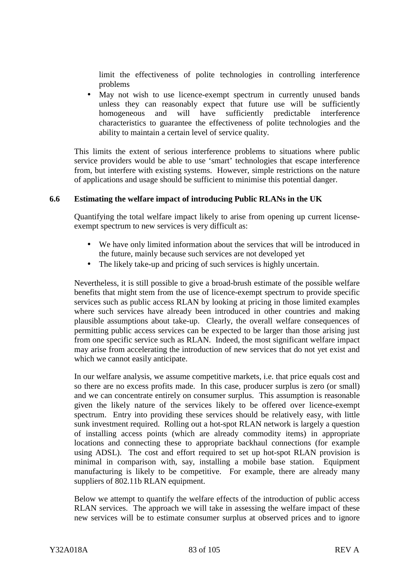limit the effectiveness of polite technologies in controlling interference problems

May not wish to use licence-exempt spectrum in currently unused bands unless they can reasonably expect that future use will be sufficiently homogeneous and will have sufficiently predictable interference characteristics to guarantee the effectiveness of polite technologies and the ability to maintain a certain level of service quality.

This limits the extent of serious interference problems to situations where public service providers would be able to use 'smart' technologies that escape interference from, but interfere with existing systems. However, simple restrictions on the nature of applications and usage should be sufficient to minimise this potential danger.

# **6.6 Estimating the welfare impact of introducing Public RLANs in the UK**

Quantifying the total welfare impact likely to arise from opening up current licenseexempt spectrum to new services is very difficult as:

- We have only limited information about the services that will be introduced in the future, mainly because such services are not developed yet
- The likely take-up and pricing of such services is highly uncertain.

Nevertheless, it is still possible to give a broad-brush estimate of the possible welfare benefits that might stem from the use of licence-exempt spectrum to provide specific services such as public access RLAN by looking at pricing in those limited examples where such services have already been introduced in other countries and making plausible assumptions about take-up. Clearly, the overall welfare consequences of permitting public access services can be expected to be larger than those arising just from one specific service such as RLAN. Indeed, the most significant welfare impact may arise from accelerating the introduction of new services that do not yet exist and which we cannot easily anticipate.

In our welfare analysis, we assume competitive markets, i.e. that price equals cost and so there are no excess profits made. In this case, producer surplus is zero (or small) and we can concentrate entirely on consumer surplus. This assumption is reasonable given the likely nature of the services likely to be offered over licence-exempt spectrum. Entry into providing these services should be relatively easy, with little sunk investment required. Rolling out a hot-spot RLAN network is largely a question of installing access points (which are already commodity items) in appropriate locations and connecting these to appropriate backhaul connections (for example using ADSL). The cost and effort required to set up hot-spot RLAN provision is minimal in comparison with, say, installing a mobile base station. Equipment manufacturing is likely to be competitive. For example, there are already many suppliers of 802.11b RLAN equipment.

Below we attempt to quantify the welfare effects of the introduction of public access RLAN services. The approach we will take in assessing the welfare impact of these new services will be to estimate consumer surplus at observed prices and to ignore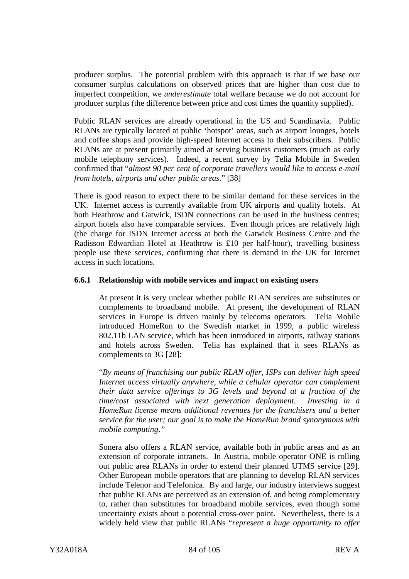producer surplus. The potential problem with this approach is that if we base our consumer surplus calculations on observed prices that are higher than cost due to imperfect competition, we *underestimate* total welfare because we do not account for producer surplus (the difference between price and cost times the quantity supplied).

Public RLAN services are already operational in the US and Scandinavia. Public RLANs are typically located at public 'hotspot' areas, such as airport lounges, hotels and coffee shops and provide high-speed Internet access to their subscribers. Public RLANs are at present primarily aimed at serving business customers (much as early mobile telephony services). Indeed, a recent survey by Telia Mobile in Sweden confirmed that "*almost 90 per cent of corporate travellers would like to access e-mail from hotels, airports and other public areas*." [38]

There is good reason to expect there to be similar demand for these services in the UK. Internet access is currently available from UK airports and quality hotels. At both Heathrow and Gatwick, ISDN connections can be used in the business centres; airport hotels also have comparable services. Even though prices are relatively high (the charge for ISDN Internet access at both the Gatwick Business Centre and the Radisson Edwardian Hotel at Heathrow is £10 per half-hour), travelling business people use these services, confirming that there is demand in the UK for Internet access in such locations.

# **6.6.1 Relationship with mobile services and impact on existing users**

At present it is very unclear whether public RLAN services are substitutes or complements to broadband mobile. At present, the development of RLAN services in Europe is driven mainly by telecoms operators. Telia Mobile introduced HomeRun to the Swedish market in 1999, a public wireless 802.11b LAN service, which has been introduced in airports, railway stations and hotels across Sweden. Telia has explained that it sees RLANs as complements to 3G [28]:

"*By means of franchising our public RLAN offer, ISPs can deliver high speed Internet access virtually anywhere, while a cellular operator can complement their data service offerings to 3G levels and beyond at a fraction of the time/cost associated with next generation deployment. Investing in a HomeRun license means additional revenues for the franchisers and a better service for the user; our goal is to make the HomeRun brand synonymous with mobile computing*.*"*

Sonera also offers a RLAN service, available both in public areas and as an extension of corporate intranets. In Austria, mobile operator ONE is rolling out public area RLANs in order to extend their planned UTMS service [29]. Other European mobile operators that are planning to develop RLAN services include Telenor and Telefonica. By and large, our industry interviews suggest that public RLANs are perceived as an extension of, and being complementary to, rather than substitutes for broadband mobile services, even though some uncertainty exists about a potential cross-over point. Nevertheless, there is a widely held view that public RLANs "*represent a huge opportunity to offer*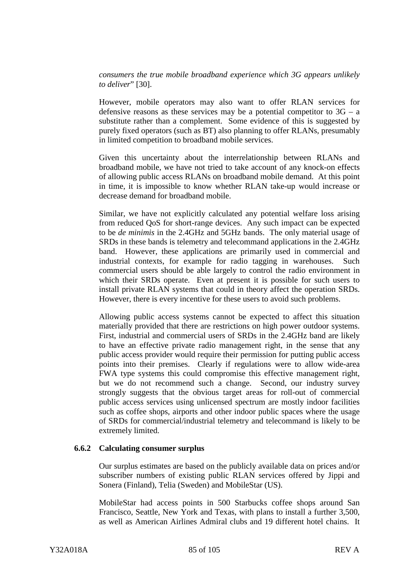*consumers the true mobile broadband experience which 3G appears unlikely to deliver*" [30].

However, mobile operators may also want to offer RLAN services for defensive reasons as these services may be a potential competitor to  $3G - a$ substitute rather than a complement. Some evidence of this is suggested by purely fixed operators (such as BT) also planning to offer RLANs, presumably in limited competition to broadband mobile services.

Given this uncertainty about the interrelationship between RLANs and broadband mobile, we have not tried to take account of any knock-on effects of allowing public access RLANs on broadband mobile demand. At this point in time, it is impossible to know whether RLAN take-up would increase or decrease demand for broadband mobile.

Similar, we have not explicitly calculated any potential welfare loss arising from reduced QoS for short-range devices. Any such impact can be expected to be *de minimis* in the 2.4GHz and 5GHz bands. The only material usage of SRDs in these bands is telemetry and telecommand applications in the 2.4GHz band. However, these applications are primarily used in commercial and industrial contexts, for example for radio tagging in warehouses. Such commercial users should be able largely to control the radio environment in which their SRDs operate. Even at present it is possible for such users to install private RLAN systems that could in theory affect the operation SRDs. However, there is every incentive for these users to avoid such problems.

Allowing public access systems cannot be expected to affect this situation materially provided that there are restrictions on high power outdoor systems. First, industrial and commercial users of SRDs in the 2.4GHz band are likely to have an effective private radio management right, in the sense that any public access provider would require their permission for putting public access points into their premises. Clearly if regulations were to allow wide-area FWA type systems this could compromise this effective management right, but we do not recommend such a change. Second, our industry survey strongly suggests that the obvious target areas for roll-out of commercial public access services using unlicensed spectrum are mostly indoor facilities such as coffee shops, airports and other indoor public spaces where the usage of SRDs for commercial/industrial telemetry and telecommand is likely to be extremely limited.

#### **6.6.2 Calculating consumer surplus**

Our surplus estimates are based on the publicly available data on prices and/or subscriber numbers of existing public RLAN services offered by Jippi and Sonera (Finland), Telia (Sweden) and MobileStar (US).

MobileStar had access points in 500 Starbucks coffee shops around San Francisco, Seattle, New York and Texas, with plans to install a further 3,500, as well as American Airlines Admiral clubs and 19 different hotel chains. It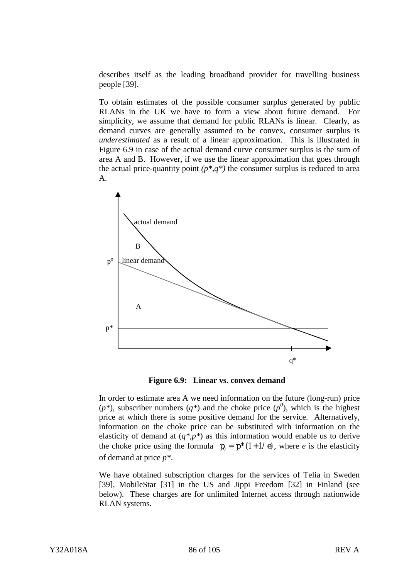describes itself as the leading broadband provider for travelling business people [39].

To obtain estimates of the possible consumer surplus generated by public RLANs in the UK we have to form a view about future demand. For simplicity, we assume that demand for public RLANs is linear. Clearly, as demand curves are generally assumed to be convex, consumer surplus is *underestimated* as a result of a linear approximation. This is illustrated in Figure 6.9 in case of the actual demand curve consumer surplus is the sum of area A and B. However, if we use the linear approximation that goes through the actual price-quantity point  $(p^*,q^*)$  the consumer surplus is reduced to area A.



**Figure 6.9: Linear vs. convex demand**

In order to estimate area A we need information on the future (long-run) price  $(p^*)$ , subscriber numbers  $(q^*)$  and the choke price  $(p^0)$ , which is the highest price at which there is some positive demand for the service. Alternatively, information on the choke price can be substituted with information on the elasticity of demand at  $(q^*, p^*)$  as this information would enable us to derive the choke price using the formula  $p_0 = p^* (1 + 1/e)$ , where *e* is the elasticity of demand at price *p\**.

We have obtained subscription charges for the services of Telia in Sweden [39], MobileStar [31] in the US and Jippi Freedom [32] in Finland (see below). These charges are for unlimited Internet access through nationwide RLAN systems.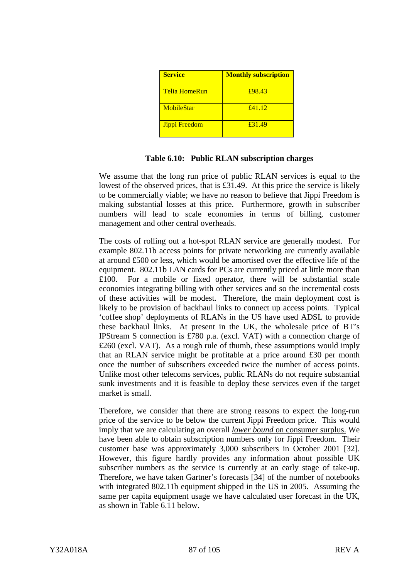| <b>Service</b>       | <b>Monthly subscription</b> |
|----------------------|-----------------------------|
| <b>Telia HomeRun</b> | £98.43                      |
| <b>MobileStar</b>    | f41.12                      |
| Jippi Freedom        | £31.49                      |

We assume that the long run price of public RLAN services is equal to the lowest of the observed prices, that is £31.49. At this price the service is likely to be commercially viable; we have no reason to believe that Jippi Freedom is making substantial losses at this price. Furthermore, growth in subscriber numbers will lead to scale economies in terms of billing, customer management and other central overheads.

The costs of rolling out a hot-spot RLAN service are generally modest. For example 802.11b access points for private networking are currently available at around £500 or less, which would be amortised over the effective life of the equipment. 802.11b LAN cards for PCs are currently priced at little more than £100. For a mobile or fixed operator, there will be substantial scale economies integrating billing with other services and so the incremental costs of these activities will be modest. Therefore, the main deployment cost is likely to be provision of backhaul links to connect up access points. Typical 'coffee shop' deployments of RLANs in the US have used ADSL to provide these backhaul links. At present in the UK, the wholesale price of BT's IPStream S connection is £780 p.a. (excl. VAT) with a connection charge of £260 (excl. VAT). As a rough rule of thumb, these assumptions would imply that an RLAN service might be profitable at a price around £30 per month once the number of subscribers exceeded twice the number of access points. Unlike most other telecoms services, public RLANs do not require substantial sunk investments and it is feasible to deploy these services even if the target market is small.

Therefore, we consider that there are strong reasons to expect the long-run price of the service to be below the current Jippi Freedom price. This would imply that we are calculating an overall *lower bound* on consumer surplus. We have been able to obtain subscription numbers only for Jippi Freedom. Their customer base was approximately 3,000 subscribers in October 2001 [32]. However, this figure hardly provides any information about possible UK subscriber numbers as the service is currently at an early stage of take-up. Therefore, we have taken Gartner's forecasts [34] of the number of notebooks with integrated 802.11b equipment shipped in the US in 2005. Assuming the same per capita equipment usage we have calculated user forecast in the UK, as shown in Table 6.11 below.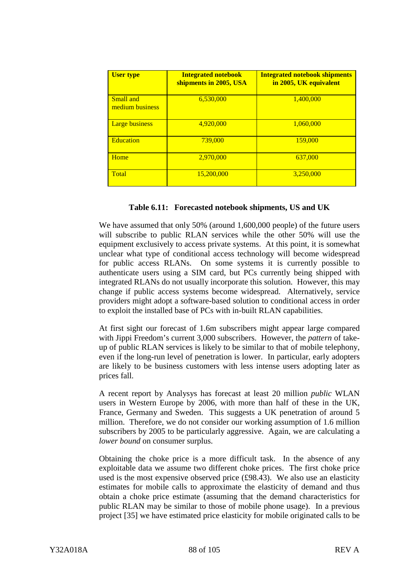| <b>User type</b>             | <b>Integrated notebook</b><br>shipments in 2005, USA | <b>Integrated notebook shipments</b><br>in 2005, UK equivalent |
|------------------------------|------------------------------------------------------|----------------------------------------------------------------|
| Small and<br>medium business | 6,530,000                                            | 1.400,000                                                      |
| <b>Large business</b>        | 4,920,000                                            | 1.060.000                                                      |
| <b>Education</b>             | 739,000                                              | 159,000                                                        |
| Home                         | 2,970,000                                            | 637,000                                                        |
| Total                        | 15,200,000                                           | 3.250,000                                                      |

#### **Table 6.11: Forecasted notebook shipments, US and UK**

We have assumed that only 50% (around 1,600,000 people) of the future users will subscribe to public RLAN services while the other 50% will use the equipment exclusively to access private systems. At this point, it is somewhat unclear what type of conditional access technology will become widespread for public access RLANs. On some systems it is currently possible to authenticate users using a SIM card, but PCs currently being shipped with integrated RLANs do not usually incorporate this solution. However, this may change if public access systems become widespread. Alternatively, service providers might adopt a software-based solution to conditional access in order to exploit the installed base of PCs with in-built RLAN capabilities.

At first sight our forecast of 1.6m subscribers might appear large compared with Jippi Freedom's current 3,000 subscribers. However, the *pattern* of takeup of public RLAN services is likely to be similar to that of mobile telephony, even if the long-run level of penetration is lower. In particular, early adopters are likely to be business customers with less intense users adopting later as prices fall.

A recent report by Analysys has forecast at least 20 million *public* WLAN users in Western Europe by 2006, with more than half of these in the UK, France, Germany and Sweden. This suggests a UK penetration of around 5 million. Therefore, we do not consider our working assumption of 1.6 million subscribers by 2005 to be particularly aggressive. Again, we are calculating a *lower bound* on consumer surplus.

Obtaining the choke price is a more difficult task. In the absence of any exploitable data we assume two different choke prices. The first choke price used is the most expensive observed price (£98.43). We also use an elasticity estimates for mobile calls to approximate the elasticity of demand and thus obtain a choke price estimate (assuming that the demand characteristics for public RLAN may be similar to those of mobile phone usage). In a previous project [35] we have estimated price elasticity for mobile originated calls to be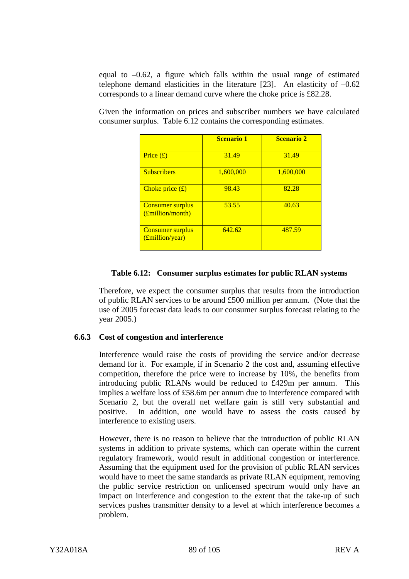equal to  $-0.62$ , a figure which falls within the usual range of estimated telephone demand elasticities in the literature [23]. An elasticity of –0.62 corresponds to a linear demand curve where the choke price is £82.28.

Given the information on prices and subscriber numbers we have calculated consumer surplus. Table 6.12 contains the corresponding estimates.

|                                             | <b>Scenario 1</b> | <b>Scenario 2</b> |
|---------------------------------------------|-------------------|-------------------|
| Price $(f)$                                 | 31.49             | 31.49             |
| <b>Subscribers</b>                          | 1,600,000         | 1,600,000         |
| Choke price $(f)$                           | 98.43             | 82.28             |
| <b>Consumer surplus</b><br>(£million/month) | 53.55             | 40.63             |
| <b>Consumer surplus</b><br>(£million/year)  | 642.62            | 487.59            |

# **Table 6.12: Consumer surplus estimates for public RLAN systems**

Therefore, we expect the consumer surplus that results from the introduction of public RLAN services to be around £500 million per annum. (Note that the use of 2005 forecast data leads to our consumer surplus forecast relating to the year 2005.)

### **6.6.3 Cost of congestion and interference**

Interference would raise the costs of providing the service and/or decrease demand for it. For example, if in Scenario 2 the cost and, assuming effective competition, therefore the price were to increase by 10%, the benefits from introducing public RLANs would be reduced to £429m per annum. This implies a welfare loss of £58.6m per annum due to interference compared with Scenario 2, but the overall net welfare gain is still very substantial and positive. In addition, one would have to assess the costs caused by interference to existing users.

However, there is no reason to believe that the introduction of public RLAN systems in addition to private systems, which can operate within the current regulatory framework, would result in additional congestion or interference. Assuming that the equipment used for the provision of public RLAN services would have to meet the same standards as private RLAN equipment, removing the public service restriction on unlicensed spectrum would only have an impact on interference and congestion to the extent that the take-up of such services pushes transmitter density to a level at which interference becomes a problem.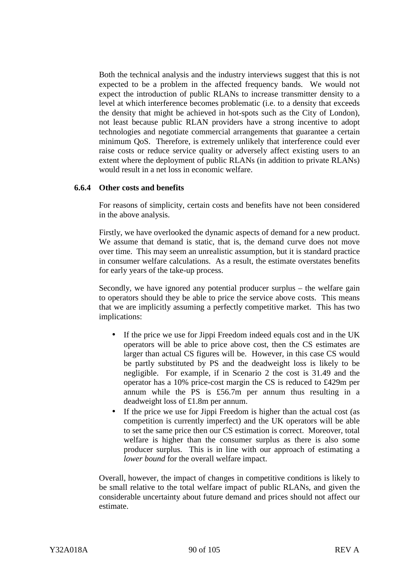Both the technical analysis and the industry interviews suggest that this is not expected to be a problem in the affected frequency bands. We would not expect the introduction of public RLANs to increase transmitter density to a level at which interference becomes problematic (i.e. to a density that exceeds the density that might be achieved in hot-spots such as the City of London), not least because public RLAN providers have a strong incentive to adopt technologies and negotiate commercial arrangements that guarantee a certain minimum QoS. Therefore, is extremely unlikely that interference could ever raise costs or reduce service quality or adversely affect existing users to an extent where the deployment of public RLANs (in addition to private RLANs) would result in a net loss in economic welfare.

#### **6.6.4 Other costs and benefits**

For reasons of simplicity, certain costs and benefits have not been considered in the above analysis.

Firstly, we have overlooked the dynamic aspects of demand for a new product. We assume that demand is static, that is, the demand curve does not move over time. This may seem an unrealistic assumption, but it is standard practice in consumer welfare calculations. As a result, the estimate overstates benefits for early years of the take-up process.

Secondly, we have ignored any potential producer surplus – the welfare gain to operators should they be able to price the service above costs. This means that we are implicitly assuming a perfectly competitive market. This has two implications:

- If the price we use for Jippi Freedom indeed equals cost and in the UK operators will be able to price above cost, then the CS estimates are larger than actual CS figures will be. However, in this case CS would be partly substituted by PS and the deadweight loss is likely to be negligible. For example, if in Scenario 2 the cost is 31.49 and the operator has a 10% price-cost margin the CS is reduced to £429m per annum while the PS is £56.7m per annum thus resulting in a deadweight loss of £1.8m per annum.
- If the price we use for Jippi Freedom is higher than the actual cost (as competition is currently imperfect) and the UK operators will be able to set the same price then our CS estimation is correct. Moreover, total welfare is higher than the consumer surplus as there is also some producer surplus. This is in line with our approach of estimating a *lower bound* for the overall welfare impact.

Overall, however, the impact of changes in competitive conditions is likely to be small relative to the total welfare impact of public RLANs, and given the considerable uncertainty about future demand and prices should not affect our estimate.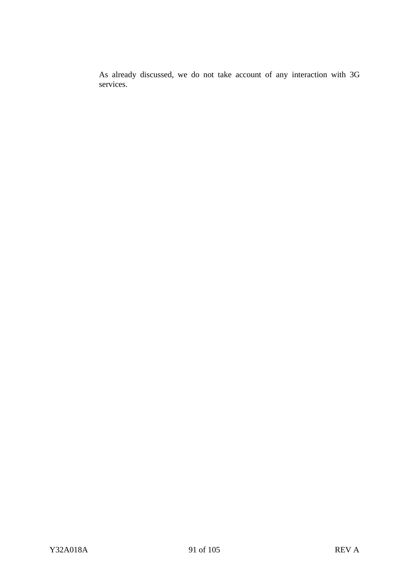As already discussed, we do not take account of any interaction with 3G services.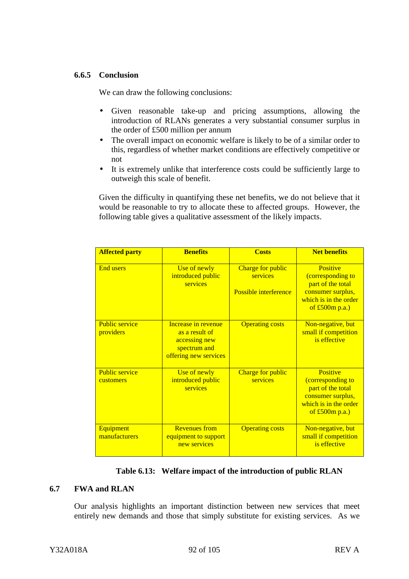### **6.6.5 Conclusion**

We can draw the following conclusions:

- Given reasonable take-up and pricing assumptions, allowing the introduction of RLANs generates a very substantial consumer surplus in the order of £500 million per annum
- The overall impact on economic welfare is likely to be of a similar order to this, regardless of whether market conditions are effectively competitive or not
- It is extremely unlike that interference costs could be sufficiently large to outweigh this scale of benefit.

Given the difficulty in quantifying these net benefits, we do not believe that it would be reasonable to try to allocate these to affected groups. However, the following table gives a qualitative assessment of the likely impacts.

| <b>Affected party</b>              | <b>Benefits</b>                                                                                 | <b>Costs</b>                                                  | <b>Net benefits</b>                                                                                                  |
|------------------------------------|-------------------------------------------------------------------------------------------------|---------------------------------------------------------------|----------------------------------------------------------------------------------------------------------------------|
| <b>End users</b>                   | Use of newly<br>introduced public<br>services                                                   | Charge for public<br>services<br><b>Possible interference</b> | Positive<br>(corresponding to<br>part of the total<br>consumer surplus,<br>which is in the order<br>of $£500m p.a.)$ |
| <b>Public service</b><br>providers | Increase in revenue<br>as a result of<br>accessing new<br>spectrum and<br>offering new services | <b>Operating costs</b>                                        | Non-negative, but<br>small if competition<br>is effective                                                            |
| <b>Public service</b><br>customers | Use of newly<br>introduced public<br>services                                                   | Charge for public<br>services                                 | Positive<br>(corresponding to<br>part of the total<br>consumer surplus,<br>which is in the order<br>of $£500m p.a.)$ |
| Equipment<br>manufacturers         | <b>Revenues</b> from<br>equipment to support<br>new services                                    | <b>Operating costs</b>                                        | Non-negative, but<br>small if competition<br>is effective                                                            |

# **Table 6.13: Welfare impact of the introduction of public RLAN**

# **6.7 FWA and RLAN**

Our analysis highlights an important distinction between new services that meet entirely new demands and those that simply substitute for existing services. As we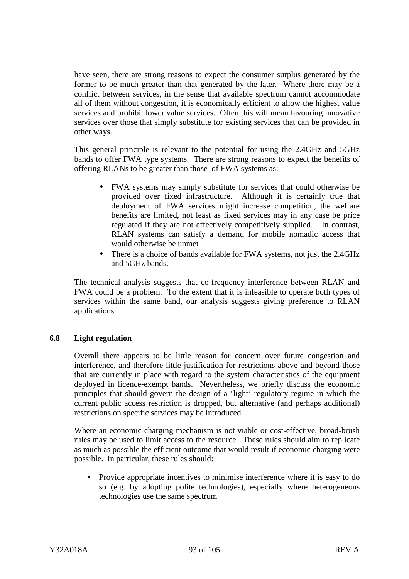have seen, there are strong reasons to expect the consumer surplus generated by the former to be much greater than that generated by the later. Where there may be a conflict between services, in the sense that available spectrum cannot accommodate all of them without congestion, it is economically efficient to allow the highest value services and prohibit lower value services. Often this will mean favouring innovative services over those that simply substitute for existing services that can be provided in other ways.

This general principle is relevant to the potential for using the 2.4GHz and 5GHz bands to offer FWA type systems. There are strong reasons to expect the benefits of offering RLANs to be greater than those of FWA systems as:

- FWA systems may simply substitute for services that could otherwise be provided over fixed infrastructure. Although it is certainly true that deployment of FWA services might increase competition, the welfare benefits are limited, not least as fixed services may in any case be price regulated if they are not effectively competitively supplied. In contrast, RLAN systems can satisfy a demand for mobile nomadic access that would otherwise be unmet
- There is a choice of bands available for FWA systems, not just the 2.4GHz and 5GHz bands.

The technical analysis suggests that co-frequency interference between RLAN and FWA could be a problem. To the extent that it is infeasible to operate both types of services within the same band, our analysis suggests giving preference to RLAN applications.

### **6.8 Light regulation**

Overall there appears to be little reason for concern over future congestion and interference, and therefore little justification for restrictions above and beyond those that are currently in place with regard to the system characteristics of the equipment deployed in licence-exempt bands. Nevertheless, we briefly discuss the economic principles that should govern the design of a 'light' regulatory regime in which the current public access restriction is dropped, but alternative (and perhaps additional) restrictions on specific services may be introduced.

Where an economic charging mechanism is not viable or cost-effective, broad-brush rules may be used to limit access to the resource. These rules should aim to replicate as much as possible the efficient outcome that would result if economic charging were possible. In particular, these rules should:

• Provide appropriate incentives to minimise interference where it is easy to do so (e.g. by adopting polite technologies), especially where heterogeneous technologies use the same spectrum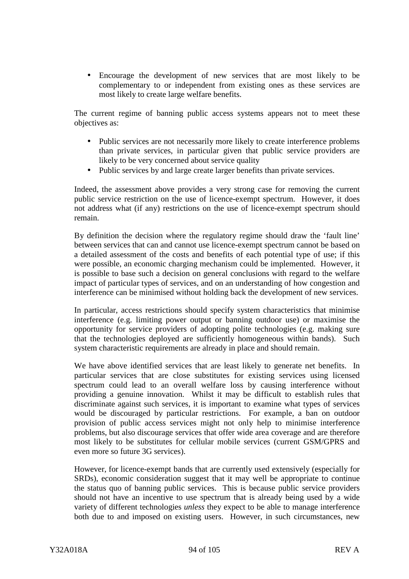• Encourage the development of new services that are most likely to be complementary to or independent from existing ones as these services are most likely to create large welfare benefits.

The current regime of banning public access systems appears not to meet these objectives as:

- Public services are not necessarily more likely to create interference problems than private services, in particular given that public service providers are likely to be very concerned about service quality
- Public services by and large create larger benefits than private services.

Indeed, the assessment above provides a very strong case for removing the current public service restriction on the use of licence-exempt spectrum. However, it does not address what (if any) restrictions on the use of licence-exempt spectrum should remain.

By definition the decision where the regulatory regime should draw the 'fault line' between services that can and cannot use licence-exempt spectrum cannot be based on a detailed assessment of the costs and benefits of each potential type of use; if this were possible, an economic charging mechanism could be implemented. However, it is possible to base such a decision on general conclusions with regard to the welfare impact of particular types of services, and on an understanding of how congestion and interference can be minimised without holding back the development of new services.

In particular, access restrictions should specify system characteristics that minimise interference (e.g. limiting power output or banning outdoor use) or maximise the opportunity for service providers of adopting polite technologies (e.g. making sure that the technologies deployed are sufficiently homogeneous within bands). Such system characteristic requirements are already in place and should remain.

We have above identified services that are least likely to generate net benefits. In particular services that are close substitutes for existing services using licensed spectrum could lead to an overall welfare loss by causing interference without providing a genuine innovation. Whilst it may be difficult to establish rules that discriminate against such services, it is important to examine what types of services would be discouraged by particular restrictions. For example, a ban on outdoor provision of public access services might not only help to minimise interference problems, but also discourage services that offer wide area coverage and are therefore most likely to be substitutes for cellular mobile services (current GSM/GPRS and even more so future 3G services).

However, for licence-exempt bands that are currently used extensively (especially for SRDs), economic consideration suggest that it may well be appropriate to continue the status quo of banning public services. This is because public service providers should not have an incentive to use spectrum that is already being used by a wide variety of different technologies *unless* they expect to be able to manage interference both due to and imposed on existing users. However, in such circumstances, new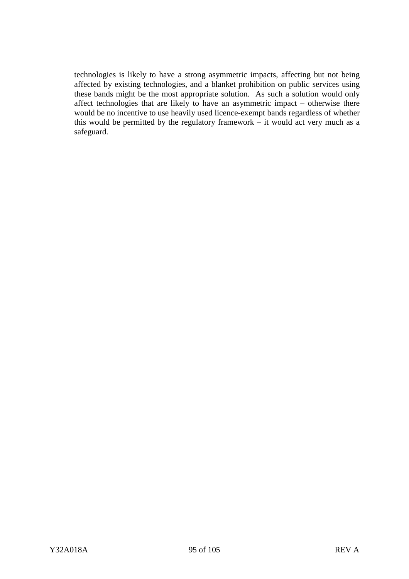technologies is likely to have a strong asymmetric impacts, affecting but not being affected by existing technologies, and a blanket prohibition on public services using these bands might be the most appropriate solution. As such a solution would only affect technologies that are likely to have an asymmetric impact – otherwise there would be no incentive to use heavily used licence-exempt bands regardless of whether this would be permitted by the regulatory framework – it would act very much as a safeguard.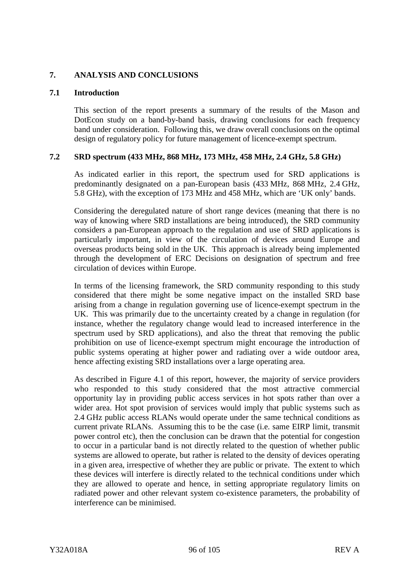### **7. ANALYSIS AND CONCLUSIONS**

### **7.1 Introduction**

This section of the report presents a summary of the results of the Mason and DotEcon study on a band-by-band basis, drawing conclusions for each frequency band under consideration. Following this, we draw overall conclusions on the optimal design of regulatory policy for future management of licence-exempt spectrum.

# **7.2 SRD spectrum (433 MHz, 868 MHz, 173 MHz, 458 MHz, 2.4 GHz, 5.8 GHz)**

As indicated earlier in this report, the spectrum used for SRD applications is predominantly designated on a pan-European basis (433 MHz, 868 MHz, 2.4 GHz, 5.8 GHz), with the exception of 173 MHz and 458 MHz, which are 'UK only' bands.

Considering the deregulated nature of short range devices (meaning that there is no way of knowing where SRD installations are being introduced), the SRD community considers a pan-European approach to the regulation and use of SRD applications is particularly important, in view of the circulation of devices around Europe and overseas products being sold in the UK. This approach is already being implemented through the development of ERC Decisions on designation of spectrum and free circulation of devices within Europe.

In terms of the licensing framework, the SRD community responding to this study considered that there might be some negative impact on the installed SRD base arising from a change in regulation governing use of licence-exempt spectrum in the UK. This was primarily due to the uncertainty created by a change in regulation (for instance, whether the regulatory change would lead to increased interference in the spectrum used by SRD applications), and also the threat that removing the public prohibition on use of licence-exempt spectrum might encourage the introduction of public systems operating at higher power and radiating over a wide outdoor area, hence affecting existing SRD installations over a large operating area.

As described in Figure 4.1 of this report, however, the majority of service providers who responded to this study considered that the most attractive commercial opportunity lay in providing public access services in hot spots rather than over a wider area. Hot spot provision of services would imply that public systems such as 2.4 GHz public access RLANs would operate under the same technical conditions as current private RLANs. Assuming this to be the case (i.e. same EIRP limit, transmit power control etc), then the conclusion can be drawn that the potential for congestion to occur in a particular band is not directly related to the question of whether public systems are allowed to operate, but rather is related to the density of devices operating in a given area, irrespective of whether they are public or private. The extent to which these devices will interfere is directly related to the technical conditions under which they are allowed to operate and hence, in setting appropriate regulatory limits on radiated power and other relevant system co-existence parameters, the probability of interference can be minimised.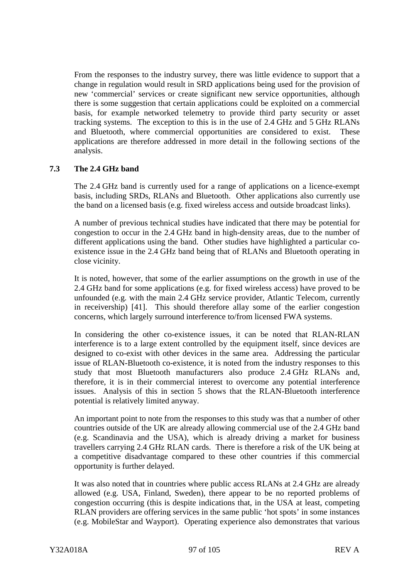From the responses to the industry survey, there was little evidence to support that a change in regulation would result in SRD applications being used for the provision of new 'commercial' services or create significant new service opportunities, although there is some suggestion that certain applications could be exploited on a commercial basis, for example networked telemetry to provide third party security or asset tracking systems. The exception to this is in the use of 2.4 GHz and 5 GHz RLANs and Bluetooth, where commercial opportunities are considered to exist. These applications are therefore addressed in more detail in the following sections of the analysis.

# **7.3 The 2.4 GHz band**

The 2.4 GHz band is currently used for a range of applications on a licence-exempt basis, including SRDs, RLANs and Bluetooth. Other applications also currently use the band on a licensed basis (e.g. fixed wireless access and outside broadcast links).

A number of previous technical studies have indicated that there may be potential for congestion to occur in the 2.4 GHz band in high-density areas, due to the number of different applications using the band. Other studies have highlighted a particular coexistence issue in the 2.4 GHz band being that of RLANs and Bluetooth operating in close vicinity.

It is noted, however, that some of the earlier assumptions on the growth in use of the 2.4 GHz band for some applications (e.g. for fixed wireless access) have proved to be unfounded (e.g. with the main 2.4 GHz service provider, Atlantic Telecom, currently in receivership) [41]. This should therefore allay some of the earlier congestion concerns, which largely surround interference to/from licensed FWA systems.

In considering the other co-existence issues, it can be noted that RLAN-RLAN interference is to a large extent controlled by the equipment itself, since devices are designed to co-exist with other devices in the same area. Addressing the particular issue of RLAN-Bluetooth co-existence, it is noted from the industry responses to this study that most Bluetooth manufacturers also produce 2.4 GHz RLANs and, therefore, it is in their commercial interest to overcome any potential interference issues. Analysis of this in section 5 shows that the RLAN-Bluetooth interference potential is relatively limited anyway.

An important point to note from the responses to this study was that a number of other countries outside of the UK are already allowing commercial use of the 2.4 GHz band (e.g. Scandinavia and the USA), which is already driving a market for business travellers carrying 2.4 GHz RLAN cards. There is therefore a risk of the UK being at a competitive disadvantage compared to these other countries if this commercial opportunity is further delayed.

It was also noted that in countries where public access RLANs at 2.4 GHz are already allowed (e.g. USA, Finland, Sweden), there appear to be no reported problems of congestion occurring (this is despite indications that, in the USA at least, competing RLAN providers are offering services in the same public 'hot spots' in some instances (e.g. MobileStar and Wayport). Operating experience also demonstrates that various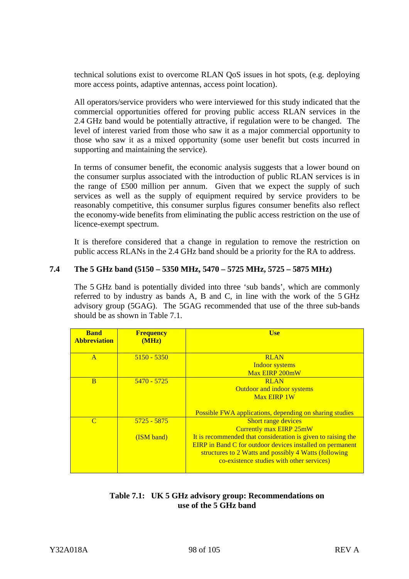technical solutions exist to overcome RLAN QoS issues in hot spots, (e.g. deploying more access points, adaptive antennas, access point location).

All operators/service providers who were interviewed for this study indicated that the commercial opportunities offered for proving public access RLAN services in the 2.4 GHz band would be potentially attractive, if regulation were to be changed. The level of interest varied from those who saw it as a major commercial opportunity to those who saw it as a mixed opportunity (some user benefit but costs incurred in supporting and maintaining the service).

In terms of consumer benefit, the economic analysis suggests that a lower bound on the consumer surplus associated with the introduction of public RLAN services is in the range of £500 million per annum. Given that we expect the supply of such services as well as the supply of equipment required by service providers to be reasonably competitive, this consumer surplus figures consumer benefits also reflect the economy-wide benefits from eliminating the public access restriction on the use of licence-exempt spectrum.

It is therefore considered that a change in regulation to remove the restriction on public access RLANs in the 2.4 GHz band should be a priority for the RA to address.

# **7.4 The 5 GHz band (5150 – 5350 MHz, 5470 – 5725 MHz, 5725 – 5875 MHz)**

The 5 GHz band is potentially divided into three 'sub bands', which are commonly referred to by industry as bands A, B and C, in line with the work of the 5 GHz advisory group (5GAG). The 5GAG recommended that use of the three sub-bands should be as shown in Table 7.1.

| <b>Band</b><br><b>Abbreviation</b> | <b>Frequency</b><br>(MHz) | <b>Use</b>                                                       |
|------------------------------------|---------------------------|------------------------------------------------------------------|
| $\mathbf{A}$                       | $5150 - 5350$             | <b>RLAN</b>                                                      |
|                                    |                           | <b>Indoor systems</b>                                            |
|                                    |                           | Max EIRP 200mW                                                   |
| B                                  | $5470 - 5725$             | <b>RLAN</b>                                                      |
|                                    |                           | <b>Outdoor and indoor systems</b>                                |
|                                    |                           | <b>Max EIRP 1W</b>                                               |
|                                    |                           | <b>Possible FWA applications, depending on sharing studies</b>   |
| $\mathcal{C}$                      | 5725 - 5875               | <b>Short range devices</b>                                       |
|                                    |                           | <b>Currently max EIRP 25mW</b>                                   |
|                                    | (ISM band)                | It is recommended that consideration is given to raising the     |
|                                    |                           | <b>EIRP</b> in Band C for outdoor devices installed on permanent |
|                                    |                           | structures to 2 Watts and possibly 4 Watts (following            |
|                                    |                           | co-existence studies with other services)                        |
|                                    |                           |                                                                  |

# **Table 7.1: UK 5 GHz advisory group: Recommendations on use of the 5 GHz band**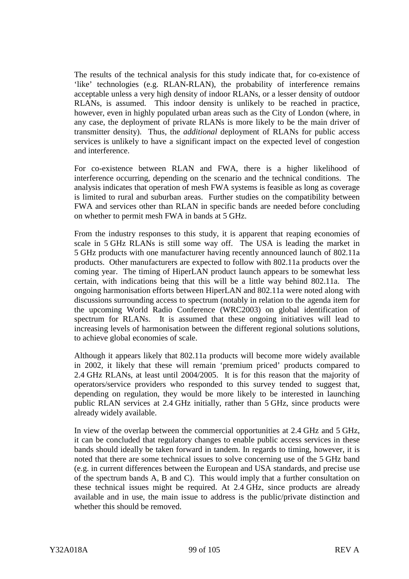The results of the technical analysis for this study indicate that, for co-existence of 'like' technologies (e.g. RLAN-RLAN), the probability of interference remains acceptable unless a very high density of indoor RLANs, or a lesser density of outdoor RLANs, is assumed. This indoor density is unlikely to be reached in practice, however, even in highly populated urban areas such as the City of London (where, in any case, the deployment of private RLANs is more likely to be the main driver of transmitter density). Thus, the *additional* deployment of RLANs for public access services is unlikely to have a significant impact on the expected level of congestion and interference.

For co-existence between RLAN and FWA, there is a higher likelihood of interference occurring, depending on the scenario and the technical conditions. The analysis indicates that operation of mesh FWA systems is feasible as long as coverage is limited to rural and suburban areas. Further studies on the compatibility between FWA and services other than RLAN in specific bands are needed before concluding on whether to permit mesh FWA in bands at 5 GHz.

From the industry responses to this study, it is apparent that reaping economies of scale in 5 GHz RLANs is still some way off. The USA is leading the market in 5 GHz products with one manufacturer having recently announced launch of 802.11a products. Other manufacturers are expected to follow with 802.11a products over the coming year. The timing of HiperLAN product launch appears to be somewhat less certain, with indications being that this will be a little way behind 802.11a. The ongoing harmonisation efforts between HiperLAN and 802.11a were noted along with discussions surrounding access to spectrum (notably in relation to the agenda item for the upcoming World Radio Conference (WRC2003) on global identification of spectrum for RLANs. It is assumed that these ongoing initiatives will lead to increasing levels of harmonisation between the different regional solutions solutions, to achieve global economies of scale.

Although it appears likely that 802.11a products will become more widely available in 2002, it likely that these will remain 'premium priced' products compared to 2.4 GHz RLANs, at least until 2004/2005. It is for this reason that the majority of operators/service providers who responded to this survey tended to suggest that, depending on regulation, they would be more likely to be interested in launching public RLAN services at 2.4 GHz initially, rather than 5 GHz, since products were already widely available.

In view of the overlap between the commercial opportunities at 2.4 GHz and 5 GHz, it can be concluded that regulatory changes to enable public access services in these bands should ideally be taken forward in tandem. In regards to timing, however, it is noted that there are some technical issues to solve concerning use of the 5 GHz band (e.g. in current differences between the European and USA standards, and precise use of the spectrum bands A, B and C). This would imply that a further consultation on these technical issues might be required. At 2.4 GHz, since products are already available and in use, the main issue to address is the public/private distinction and whether this should be removed.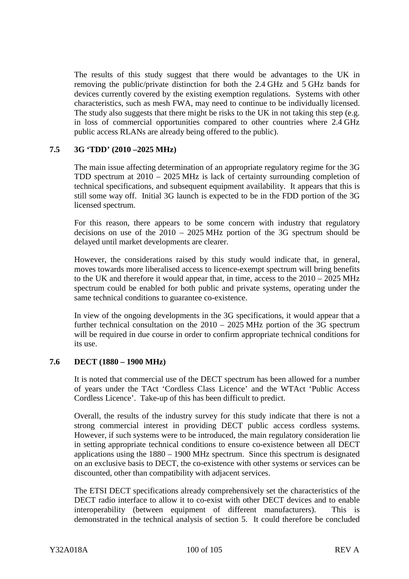The results of this study suggest that there would be advantages to the UK in removing the public/private distinction for both the 2.4 GHz and 5 GHz bands for devices currently covered by the existing exemption regulations. Systems with other characteristics, such as mesh FWA, may need to continue to be individually licensed. The study also suggests that there might be risks to the UK in not taking this step (e.g. in loss of commercial opportunities compared to other countries where 2.4 GHz public access RLANs are already being offered to the public).

### **7.5 3G 'TDD' (2010 –2025 MHz)**

The main issue affecting determination of an appropriate regulatory regime for the 3G TDD spectrum at 2010 – 2025 MHz is lack of certainty surrounding completion of technical specifications, and subsequent equipment availability. It appears that this is still some way off. Initial 3G launch is expected to be in the FDD portion of the 3G licensed spectrum.

For this reason, there appears to be some concern with industry that regulatory decisions on use of the 2010 – 2025 MHz portion of the 3G spectrum should be delayed until market developments are clearer.

However, the considerations raised by this study would indicate that, in general, moves towards more liberalised access to licence-exempt spectrum will bring benefits to the UK and therefore it would appear that, in time, access to the 2010 – 2025 MHz spectrum could be enabled for both public and private systems, operating under the same technical conditions to guarantee co-existence.

In view of the ongoing developments in the 3G specifications, it would appear that a further technical consultation on the 2010 – 2025 MHz portion of the 3G spectrum will be required in due course in order to confirm appropriate technical conditions for its use.

### **7.6 DECT (1880 – 1900 MHz)**

It is noted that commercial use of the DECT spectrum has been allowed for a number of years under the TAct 'Cordless Class Licence' and the WTAct 'Public Access Cordless Licence'. Take-up of this has been difficult to predict.

Overall, the results of the industry survey for this study indicate that there is not a strong commercial interest in providing DECT public access cordless systems. However, if such systems were to be introduced, the main regulatory consideration lie in setting appropriate technical conditions to ensure co-existence between all DECT applications using the 1880 – 1900 MHz spectrum. Since this spectrum is designated on an exclusive basis to DECT, the co-existence with other systems or services can be discounted, other than compatibility with adjacent services.

The ETSI DECT specifications already comprehensively set the characteristics of the DECT radio interface to allow it to co-exist with other DECT devices and to enable interoperability (between equipment of different manufacturers). This is demonstrated in the technical analysis of section 5. It could therefore be concluded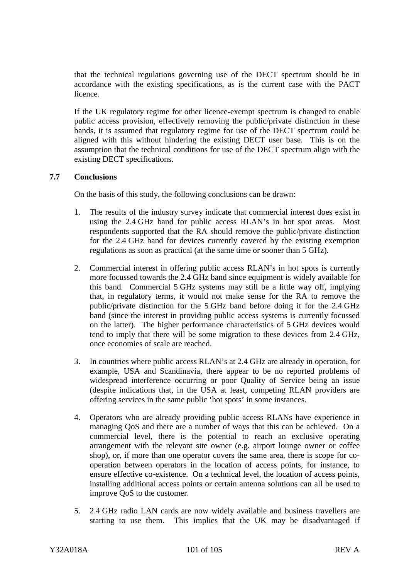that the technical regulations governing use of the DECT spectrum should be in accordance with the existing specifications, as is the current case with the PACT licence.

If the UK regulatory regime for other licence-exempt spectrum is changed to enable public access provision, effectively removing the public/private distinction in these bands, it is assumed that regulatory regime for use of the DECT spectrum could be aligned with this without hindering the existing DECT user base. This is on the assumption that the technical conditions for use of the DECT spectrum align with the existing DECT specifications.

# **7.7 Conclusions**

On the basis of this study, the following conclusions can be drawn:

- 1. The results of the industry survey indicate that commercial interest does exist in using the 2.4 GHz band for public access RLAN's in hot spot areas. Most respondents supported that the RA should remove the public/private distinction for the 2.4 GHz band for devices currently covered by the existing exemption regulations as soon as practical (at the same time or sooner than 5 GHz).
- 2. Commercial interest in offering public access RLAN's in hot spots is currently more focussed towards the 2.4 GHz band since equipment is widely available for this band. Commercial 5 GHz systems may still be a little way off, implying that, in regulatory terms, it would not make sense for the RA to remove the public/private distinction for the 5 GHz band before doing it for the 2.4 GHz band (since the interest in providing public access systems is currently focussed on the latter). The higher performance characteristics of 5 GHz devices would tend to imply that there will be some migration to these devices from 2.4 GHz, once economies of scale are reached.
- 3. In countries where public access RLAN's at 2.4 GHz are already in operation, for example, USA and Scandinavia, there appear to be no reported problems of widespread interference occurring or poor Quality of Service being an issue (despite indications that, in the USA at least, competing RLAN providers are offering services in the same public 'hot spots' in some instances.
- 4. Operators who are already providing public access RLANs have experience in managing QoS and there are a number of ways that this can be achieved. On a commercial level, there is the potential to reach an exclusive operating arrangement with the relevant site owner (e.g. airport lounge owner or coffee shop), or, if more than one operator covers the same area, there is scope for cooperation between operators in the location of access points, for instance, to ensure effective co-existence. On a technical level, the location of access points, installing additional access points or certain antenna solutions can all be used to improve QoS to the customer.
- 5. 2.4 GHz radio LAN cards are now widely available and business travellers are starting to use them. This implies that the UK may be disadvantaged if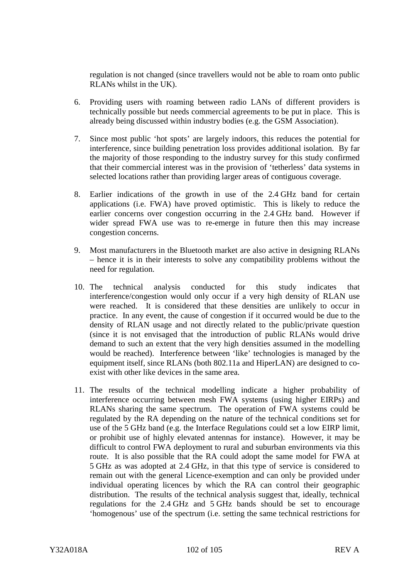regulation is not changed (since travellers would not be able to roam onto public RLANs whilst in the UK).

- 6. Providing users with roaming between radio LANs of different providers is technically possible but needs commercial agreements to be put in place. This is already being discussed within industry bodies (e.g. the GSM Association).
- 7. Since most public 'hot spots' are largely indoors, this reduces the potential for interference, since building penetration loss provides additional isolation. By far the majority of those responding to the industry survey for this study confirmed that their commercial interest was in the provision of 'tetherless' data systems in selected locations rather than providing larger areas of contiguous coverage.
- 8. Earlier indications of the growth in use of the 2.4 GHz band for certain applications (i.e. FWA) have proved optimistic. This is likely to reduce the earlier concerns over congestion occurring in the 2.4 GHz band. However if wider spread FWA use was to re-emerge in future then this may increase congestion concerns.
- 9. Most manufacturers in the Bluetooth market are also active in designing RLANs – hence it is in their interests to solve any compatibility problems without the need for regulation.
- 10. The technical analysis conducted for this study indicates that interference/congestion would only occur if a very high density of RLAN use were reached. It is considered that these densities are unlikely to occur in practice. In any event, the cause of congestion if it occurred would be due to the density of RLAN usage and not directly related to the public/private question (since it is not envisaged that the introduction of public RLANs would drive demand to such an extent that the very high densities assumed in the modelling would be reached). Interference between 'like' technologies is managed by the equipment itself, since RLANs (both 802.11a and HiperLAN) are designed to coexist with other like devices in the same area.
- 11. The results of the technical modelling indicate a higher probability of interference occurring between mesh FWA systems (using higher EIRPs) and RLANs sharing the same spectrum. The operation of FWA systems could be regulated by the RA depending on the nature of the technical conditions set for use of the 5 GHz band (e.g. the Interface Regulations could set a low EIRP limit, or prohibit use of highly elevated antennas for instance). However, it may be difficult to control FWA deployment to rural and suburban environments via this route. It is also possible that the RA could adopt the same model for FWA at 5 GHz as was adopted at 2.4 GHz, in that this type of service is considered to remain out with the general Licence-exemption and can only be provided under individual operating licences by which the RA can control their geographic distribution. The results of the technical analysis suggest that, ideally, technical regulations for the 2.4 GHz and 5 GHz bands should be set to encourage 'homogenous' use of the spectrum (i.e. setting the same technical restrictions for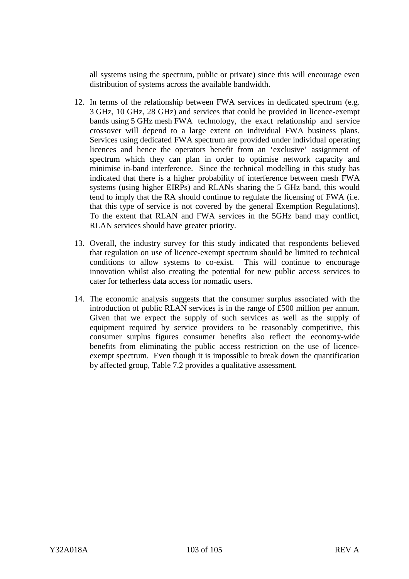all systems using the spectrum, public or private) since this will encourage even distribution of systems across the available bandwidth.

- 12. In terms of the relationship between FWA services in dedicated spectrum (e.g. 3 GHz, 10 GHz, 28 GHz) and services that could be provided in licence-exempt bands using 5 GHz mesh FWA technology, the exact relationship and service crossover will depend to a large extent on individual FWA business plans. Services using dedicated FWA spectrum are provided under individual operating licences and hence the operators benefit from an 'exclusive' assignment of spectrum which they can plan in order to optimise network capacity and minimise in-band interference. Since the technical modelling in this study has indicated that there is a higher probability of interference between mesh FWA systems (using higher EIRPs) and RLANs sharing the 5 GHz band, this would tend to imply that the RA should continue to regulate the licensing of FWA (i.e. that this type of service is not covered by the general Exemption Regulations). To the extent that RLAN and FWA services in the 5GHz band may conflict, RLAN services should have greater priority.
- 13. Overall, the industry survey for this study indicated that respondents believed that regulation on use of licence-exempt spectrum should be limited to technical conditions to allow systems to co-exist. This will continue to encourage innovation whilst also creating the potential for new public access services to cater for tetherless data access for nomadic users.
- 14. The economic analysis suggests that the consumer surplus associated with the introduction of public RLAN services is in the range of £500 million per annum. Given that we expect the supply of such services as well as the supply of equipment required by service providers to be reasonably competitive, this consumer surplus figures consumer benefits also reflect the economy-wide benefits from eliminating the public access restriction on the use of licenceexempt spectrum. Even though it is impossible to break down the quantification by affected group, Table 7.2 provides a qualitative assessment.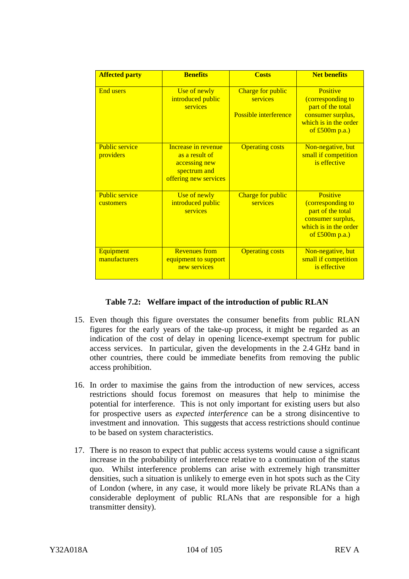| <b>Affected party</b>              | <b>Benefits</b>                                                                                 | <b>Costs</b>                                                  | <b>Net benefits</b>                                                                                                  |
|------------------------------------|-------------------------------------------------------------------------------------------------|---------------------------------------------------------------|----------------------------------------------------------------------------------------------------------------------|
| <b>End users</b>                   | Use of newly<br>introduced public<br>services                                                   | Charge for public<br>services<br><b>Possible interference</b> | Positive<br>(corresponding to<br>part of the total<br>consumer surplus,<br>which is in the order<br>of $£500m$ p.a.) |
| <b>Public service</b><br>providers | Increase in revenue<br>as a result of<br>accessing new<br>spectrum and<br>offering new services | <b>Operating costs</b>                                        | Non-negative, but<br>small if competition<br>is effective                                                            |
| <b>Public service</b><br>customers | Use of newly<br>introduced public<br>services                                                   | Charge for public<br>services                                 | Positive<br>(corresponding to<br>part of the total<br>consumer surplus,<br>which is in the order<br>of $£500m$ p.a.) |
| <b>Equipment</b><br>manufacturers  | <b>Revenues from</b><br>equipment to support<br>new services                                    | <b>Operating costs</b>                                        | Non-negative, but<br>small if competition<br>is effective                                                            |

### **Table 7.2: Welfare impact of the introduction of public RLAN**

- 15. Even though this figure overstates the consumer benefits from public RLAN figures for the early years of the take-up process, it might be regarded as an indication of the cost of delay in opening licence-exempt spectrum for public access services. In particular, given the developments in the 2.4 GHz band in other countries, there could be immediate benefits from removing the public access prohibition.
- 16. In order to maximise the gains from the introduction of new services, access restrictions should focus foremost on measures that help to minimise the potential for interference. This is not only important for existing users but also for prospective users as *expected interference* can be a strong disincentive to investment and innovation. This suggests that access restrictions should continue to be based on system characteristics.
- 17. There is no reason to expect that public access systems would cause a significant increase in the probability of interference relative to a continuation of the status quo. Whilst interference problems can arise with extremely high transmitter densities, such a situation is unlikely to emerge even in hot spots such as the City of London (where, in any case, it would more likely be private RLANs than a considerable deployment of public RLANs that are responsible for a high transmitter density).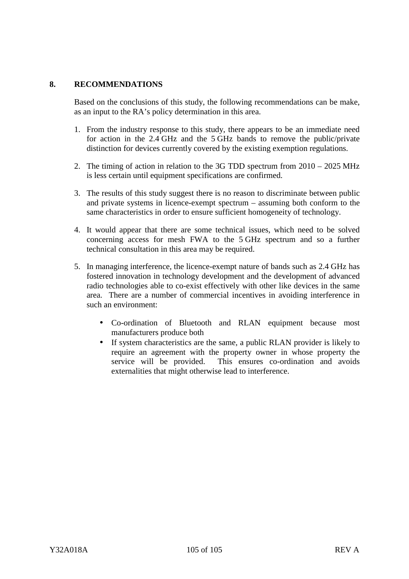# **8. RECOMMENDATIONS**

Based on the conclusions of this study, the following recommendations can be make, as an input to the RA's policy determination in this area.

- 1. From the industry response to this study, there appears to be an immediate need for action in the 2.4 GHz and the 5 GHz bands to remove the public/private distinction for devices currently covered by the existing exemption regulations.
- 2. The timing of action in relation to the 3G TDD spectrum from 2010 2025 MHz is less certain until equipment specifications are confirmed.
- 3. The results of this study suggest there is no reason to discriminate between public and private systems in licence-exempt spectrum – assuming both conform to the same characteristics in order to ensure sufficient homogeneity of technology.
- 4. It would appear that there are some technical issues, which need to be solved concerning access for mesh FWA to the 5 GHz spectrum and so a further technical consultation in this area may be required.
- 5. In managing interference, the licence-exempt nature of bands such as 2.4 GHz has fostered innovation in technology development and the development of advanced radio technologies able to co-exist effectively with other like devices in the same area. There are a number of commercial incentives in avoiding interference in such an environment:
	- Co-ordination of Bluetooth and RLAN equipment because most manufacturers produce both
	- If system characteristics are the same, a public RLAN provider is likely to require an agreement with the property owner in whose property the service will be provided. This ensures co-ordination and avoids externalities that might otherwise lead to interference.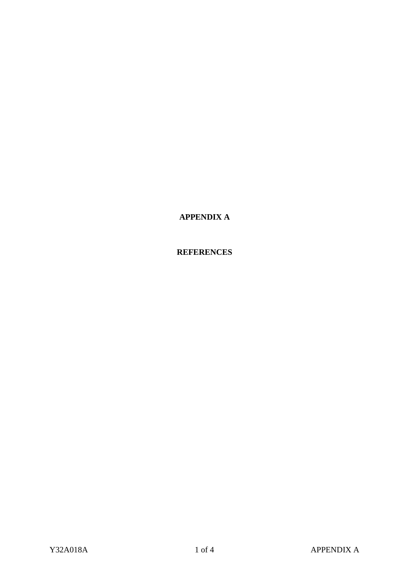**APPENDIX A**

### **REFERENCES**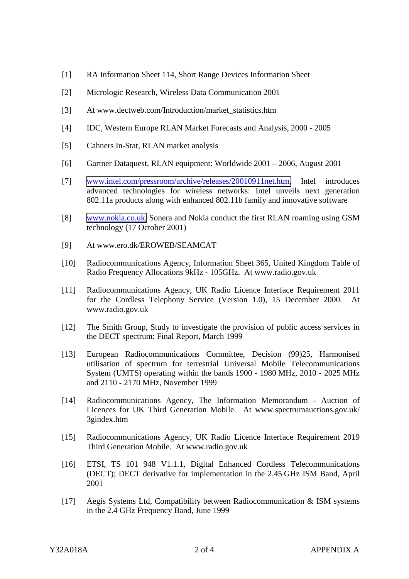- [1] RA Information Sheet 114, Short Range Devices Information Sheet
- [2] Micrologic Research, Wireless Data Communication 2001
- [3] At www.dectweb.com/Introduction/market\_statistics.htm
- [4] IDC, Western Europe RLAN Market Forecasts and Analysis, 2000 2005
- [5] Cahners In-Stat, RLAN market analysis
- [6] Gartner Dataquest, RLAN equipment: Worldwide 2001 2006, August 2001
- [7] [www.intel.com/pressroom/archive/releases/20010911net.htm,](http://www.intel.com/pressroom/archive/releases/20010911net.htm) Intel introduces advanced technologies for wireless networks: Intel unveils next generation 802.11a products along with enhanced 802.11b family and innovative software
- [8] [www.nokia.co.uk,](http://www.nokia.co.uk/) Sonera and Nokia conduct the first RLAN roaming using GSM technology (17 October 2001)
- [9] At www.ero.dk/EROWEB/SEAMCAT
- [10] Radiocommunications Agency, Information Sheet 365, United Kingdom Table of Radio Frequency Allocations 9kHz - 105GHz. At www.radio.gov.uk
- [11] Radiocommunications Agency, UK Radio Licence Interface Requirement 2011 for the Cordless Telephony Service (Version 1.0), 15 December 2000. At www.radio.gov.uk
- [12] The Smith Group, Study to investigate the provision of public access services in the DECT spectrum: Final Report, March 1999
- [13] European Radiocommunications Committee, Decision (99)25, Harmonised utilisation of spectrum for terrestrial Universal Mobile Telecommunications System (UMTS) operating within the bands 1900 - 1980 MHz, 2010 - 2025 MHz and 2110 - 2170 MHz, November 1999
- [14] Radiocommunications Agency, The Information Memorandum Auction of Licences for UK Third Generation Mobile. At www.spectrumauctions.gov.uk/ 3gindex.htm
- [15] Radiocommunications Agency, UK Radio Licence Interface Requirement 2019 Third Generation Mobile. At www.radio.gov.uk
- [16] ETSI, TS 101 948 V1.1.1, Digital Enhanced Cordless Telecommunications (DECT); DECT derivative for implementation in the 2.45 GHz ISM Band, April 2001
- [17] Aegis Systems Ltd, Compatibility between Radiocommunication & ISM systems in the 2.4 GHz Frequency Band, June 1999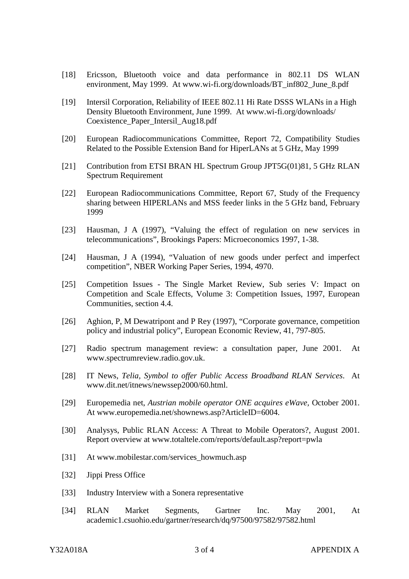- [18] Ericsson, Bluetooth voice and data performance in 802.11 DS WLAN environment, May 1999. At www.wi-fi.org/downloads/BT\_inf802\_June\_8.pdf
- [19] Intersil Corporation, Reliability of IEEE 802.11 Hi Rate DSSS WLANs in a High Density Bluetooth Environment, June 1999. At www.wi-fi.org/downloads/ Coexistence\_Paper\_Intersil\_Aug18.pdf
- [20] European Radiocommunications Committee, Report 72, Compatibility Studies Related to the Possible Extension Band for HiperLANs at 5 GHz, May 1999
- [21] Contribution from ETSI BRAN HL Spectrum Group JPT5G(01)81, 5 GHz RLAN Spectrum Requirement
- [22] European Radiocommunications Committee, Report 67, Study of the Frequency sharing between HIPERLANs and MSS feeder links in the 5 GHz band, February 1999
- [23] Hausman, J A (1997), "Valuing the effect of regulation on new services in telecommunications", Brookings Papers: Microeconomics 1997, 1-38.
- [24] Hausman, J A (1994), "Valuation of new goods under perfect and imperfect competition", NBER Working Paper Series, 1994, 4970.
- [25] Competition Issues The Single Market Review, Sub series V: Impact on Competition and Scale Effects, Volume 3: Competition Issues, 1997, European Communities, section 4.4.
- [26] Aghion, P, M Dewatripont and P Rey (1997), "Corporate governance, competition policy and industrial policy", European Economic Review, 41, 797-805.
- [27] Radio spectrum management review: a consultation paper, June 2001. At www.spectrumreview.radio.gov.uk.
- [28] IT News, *Telia, Symbol to offer Public Access Broadband RLAN Services*. At www.dit.net/itnews/newssep2000/60.html.
- [29] Europemedia net, *Austrian mobile operator ONE acquires eWave,* October 2001. At www.europemedia.net/shownews.asp?ArticleID=6004.
- [30] Analysys, Public RLAN Access: A Threat to Mobile Operators?, August 2001. Report overview at www.totaltele.com/reports/default.asp?report=pwla
- [31] At www.mobilestar.com/services\_howmuch.asp
- [32] Jippi Press Office
- [33] Industry Interview with a Sonera representative
- [34] RLAN Market Segments, Gartner Inc. May 2001, At academic1.csuohio.edu/gartner/research/dq/97500/97582/97582.html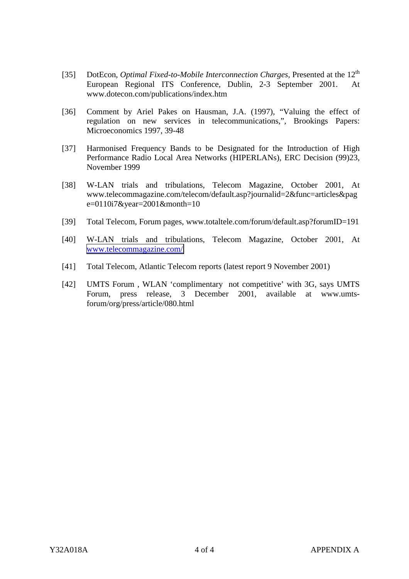- [35] DotEcon, *Optimal Fixed-to-Mobile Interconnection Charges*, Presented at the 12<sup>th</sup> European Regional ITS Conference, Dublin, 2-3 September 2001. At www.dotecon.com/publications/index.htm
- [36] Comment by Ariel Pakes on Hausman, J.A. (1997), "Valuing the effect of regulation on new services in telecommunications,", Brookings Papers: Microeconomics 1997, 39-48
- [37] Harmonised Frequency Bands to be Designated for the Introduction of High Performance Radio Local Area Networks (HIPERLANs), ERC Decision (99)23, November 1999
- [38] W-LAN trials and tribulations, Telecom Magazine, October 2001, At www.telecommagazine.com/telecom/default.asp?journalid=2&func=articles&pag e=0110i7&year=2001&month=10
- [39] Total Telecom, Forum pages, www.totaltele.com/forum/default.asp?forumID=191
- [40] W-LAN trials and tribulations, Telecom Magazine, October 2001, At [www.telecommagazine.com/](http://www.telecommagazine.com/)
- [41] Total Telecom, Atlantic Telecom reports (latest report 9 November 2001)
- [42] UMTS Forum , WLAN 'complimentary not competitive' with 3G, says UMTS Forum, press release, 3 December 2001, available at www.umtsforum/org/press/article/080.html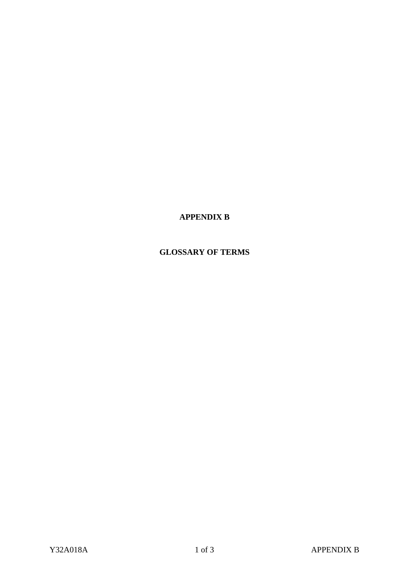**APPENDIX B**

## **GLOSSARY OF TERMS**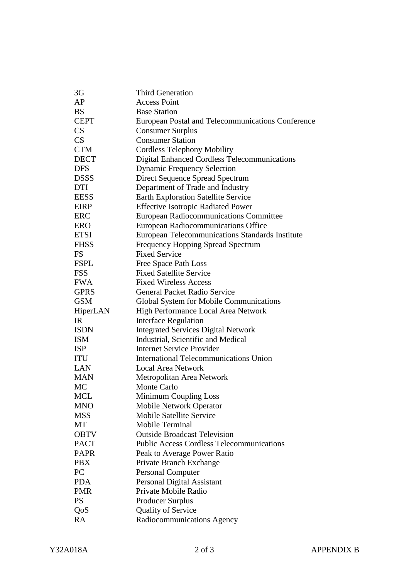| 3G          | <b>Third Generation</b>                             |
|-------------|-----------------------------------------------------|
| AP          | <b>Access Point</b>                                 |
| <b>BS</b>   | <b>Base Station</b>                                 |
| <b>CEPT</b> | European Postal and Telecommunications Conference   |
| CS          | <b>Consumer Surplus</b>                             |
| CS          | <b>Consumer Station</b>                             |
| <b>CTM</b>  | <b>Cordless Telephony Mobility</b>                  |
| <b>DECT</b> | <b>Digital Enhanced Cordless Telecommunications</b> |
| <b>DFS</b>  | <b>Dynamic Frequency Selection</b>                  |
| <b>DSSS</b> | <b>Direct Sequence Spread Spectrum</b>              |
| <b>DTI</b>  | Department of Trade and Industry                    |
| <b>EESS</b> | <b>Earth Exploration Satellite Service</b>          |
| <b>EIRP</b> | <b>Effective Isotropic Radiated Power</b>           |
| ERC         | European Radiocommunications Committee              |
| <b>ERO</b>  | <b>European Radiocommunications Office</b>          |
| <b>ETSI</b> | European Telecommunications Standards Institute     |
| <b>FHSS</b> | <b>Frequency Hopping Spread Spectrum</b>            |
| <b>FS</b>   | <b>Fixed Service</b>                                |
| <b>FSPL</b> | Free Space Path Loss                                |
| <b>FSS</b>  | <b>Fixed Satellite Service</b>                      |
| <b>FWA</b>  | <b>Fixed Wireless Access</b>                        |
| <b>GPRS</b> | <b>General Packet Radio Service</b>                 |
| <b>GSM</b>  | Global System for Mobile Communications             |
| HiperLAN    | High Performance Local Area Network                 |
| IR          | <b>Interface Regulation</b>                         |
| <b>ISDN</b> | <b>Integrated Services Digital Network</b>          |
| <b>ISM</b>  | Industrial, Scientific and Medical                  |
| <b>ISP</b>  | <b>Internet Service Provider</b>                    |
| <b>ITU</b>  | <b>International Telecommunications Union</b>       |
| LAN         | <b>Local Area Network</b>                           |
| <b>MAN</b>  | Metropolitan Area Network                           |
| <b>MC</b>   | <b>Monte Carlo</b>                                  |
| MCL         | <b>Minimum Coupling Loss</b>                        |
| MNO         | <b>Mobile Network Operator</b>                      |
| <b>MSS</b>  | <b>Mobile Satellite Service</b>                     |
| МT          | <b>Mobile Terminal</b>                              |
| <b>OBTV</b> | <b>Outside Broadcast Television</b>                 |
| <b>PACT</b> | <b>Public Access Cordless Telecommunications</b>    |
| <b>PAPR</b> | Peak to Average Power Ratio                         |
| <b>PBX</b>  | Private Branch Exchange                             |
| PC          | <b>Personal Computer</b>                            |
| <b>PDA</b>  | Personal Digital Assistant                          |
| <b>PMR</b>  | Private Mobile Radio                                |
| <b>PS</b>   | <b>Producer Surplus</b>                             |
| QoS         | <b>Quality of Service</b>                           |
| RA          | Radiocommunications Agency                          |
|             |                                                     |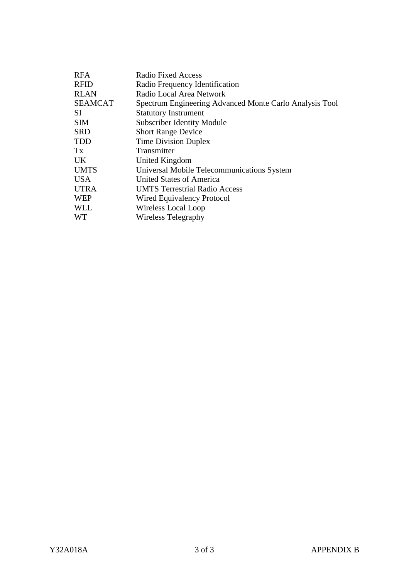| <b>RFA</b>     | <b>Radio Fixed Access</b>                               |  |  |
|----------------|---------------------------------------------------------|--|--|
| <b>RFID</b>    | Radio Frequency Identification                          |  |  |
| <b>RLAN</b>    | Radio Local Area Network                                |  |  |
| <b>SEAMCAT</b> | Spectrum Engineering Advanced Monte Carlo Analysis Tool |  |  |
| SI             | <b>Statutory Instrument</b>                             |  |  |
| <b>SIM</b>     | <b>Subscriber Identity Module</b>                       |  |  |
| <b>SRD</b>     | <b>Short Range Device</b>                               |  |  |
| <b>TDD</b>     | <b>Time Division Duplex</b>                             |  |  |
| Tx             | Transmitter                                             |  |  |
| UK.            | United Kingdom                                          |  |  |
| <b>UMTS</b>    | Universal Mobile Telecommunications System              |  |  |
| <b>USA</b>     | United States of America                                |  |  |
| <b>UTRA</b>    | <b>UMTS Terrestrial Radio Access</b>                    |  |  |
| <b>WEP</b>     | Wired Equivalency Protocol                              |  |  |
| <b>WLL</b>     | Wireless Local Loop                                     |  |  |
| <b>WT</b>      | <b>Wireless Telegraphy</b>                              |  |  |
|                |                                                         |  |  |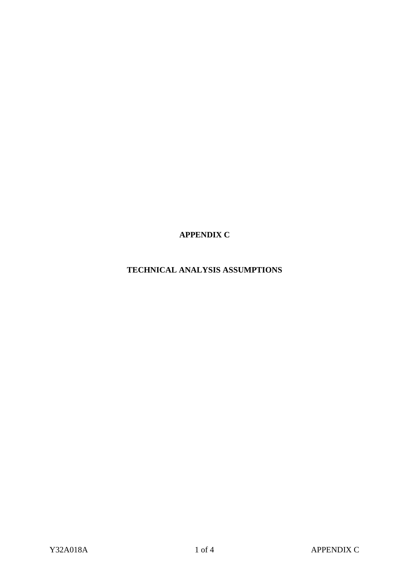**APPENDIX C**

**TECHNICAL ANALYSIS ASSUMPTIONS**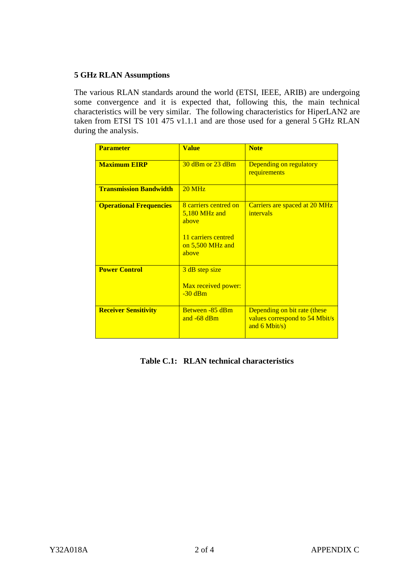### **5 GHz RLAN Assumptions**

The various RLAN standards around the world (ETSI, IEEE, ARIB) are undergoing some convergence and it is expected that, following this, the main technical characteristics will be very similar. The following characteristics for HiperLAN2 are taken from ETSI TS 101 475 v1.1.1 and are those used for a general 5 GHz RLAN during the analysis.

| <b>Parameter</b>               | <b>Value</b>                                                                                          | <b>Note</b>                                                                       |
|--------------------------------|-------------------------------------------------------------------------------------------------------|-----------------------------------------------------------------------------------|
| <b>Maximum EIRP</b>            | $30$ dBm or $23$ dBm                                                                                  | Depending on regulatory<br>requirements                                           |
| <b>Transmission Bandwidth</b>  | $20$ MHz                                                                                              |                                                                                   |
| <b>Operational Frequencies</b> | 8 carriers centred on<br>$5,180$ MHz and<br>above<br>11 carriers centred<br>on 5,500 MHz and<br>above | Carriers are spaced at 20 MHz<br>intervals                                        |
| <b>Power Control</b>           | 3 dB step size<br>Max received power:<br>$-30$ dBm                                                    |                                                                                   |
| <b>Receiver Sensitivity</b>    | Between -85 dBm<br>and $-68$ dBm                                                                      | Depending on bit rate (these<br>values correspond to 54 Mbit/s<br>and $6$ Mbit/s) |

**Table C.1: RLAN technical characteristics**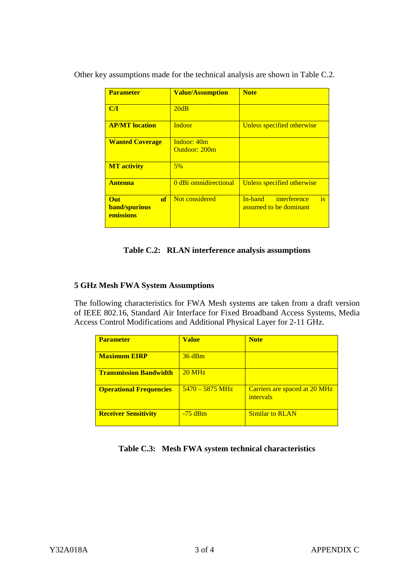| <b>Parameter</b>                                      | <b>Value/Assumption</b>      | <b>Note</b>                                             |
|-------------------------------------------------------|------------------------------|---------------------------------------------------------|
| C/I                                                   | 20dB                         |                                                         |
| <b>AP/MT</b> location                                 | Indoor                       | Unless specified otherwise                              |
| <b>Wanted Coverage</b>                                | Indoor: 40m<br>Outdoor: 200m |                                                         |
| <b>MT</b> activity                                    | 5%                           |                                                         |
| <b>Antenna</b>                                        | 0 dBi omnidirectional        | Unless specified otherwise                              |
| of<br><b>Out</b><br><b>band/spurious</b><br>emissions | Not considered               | is<br>interference<br>In-band<br>assumed to be dominant |

Other key assumptions made for the technical analysis are shown in Table C.2.

### **Table C.2: RLAN interference analysis assumptions**

#### **5 GHz Mesh FWA System Assumptions**

The following characteristics for FWA Mesh systems are taken from a draft version of IEEE 802.16, Standard Air Interface for Fixed Broadband Access Systems, Media Access Control Modifications and Additional Physical Layer for 2-11 GHz.

| <b>Parameter</b>               | <b>Value</b>              | <b>Note</b>                                |
|--------------------------------|---------------------------|--------------------------------------------|
| <b>Maximum EIRP</b>            | 36 dBm                    |                                            |
| <b>Transmission Bandwidth</b>  | $20 \text{ MHz}$          |                                            |
| <b>Operational Frequencies</b> | $5470 - 5875 \text{ MHz}$ | Carriers are spaced at 20 MHz<br>intervals |
| <b>Receiver Sensitivity</b>    | $-75$ dBm                 | Similar to RLAN                            |

**Table C.3: Mesh FWA system technical characteristics**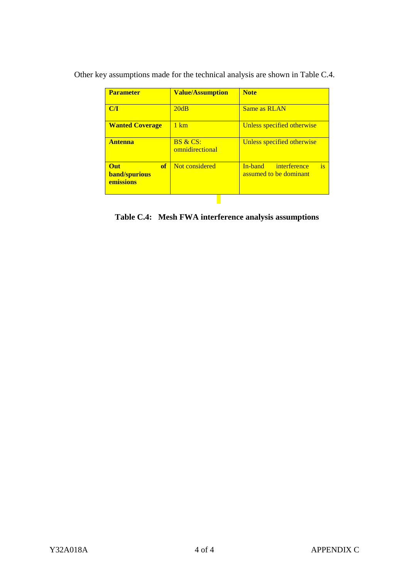| <b>Parameter</b>                                      | <b>Value/Assumption</b>     | <b>Note</b>                                             |
|-------------------------------------------------------|-----------------------------|---------------------------------------------------------|
| C/I                                                   | 20dB                        | Same as RLAN                                            |
| <b>Wanted Coverage</b>                                | $1 \text{ km}$              | Unless specified otherwise                              |
| <b>Antenna</b>                                        | BS & CS:<br>omnidirectional | Unless specified otherwise                              |
| of<br><b>Out</b><br><b>band/spurious</b><br>emissions | Not considered              | is<br>interference<br>In-band<br>assumed to be dominant |

Other key assumptions made for the technical analysis are shown in Table C.4.

**Table C.4: Mesh FWA interference analysis assumptions**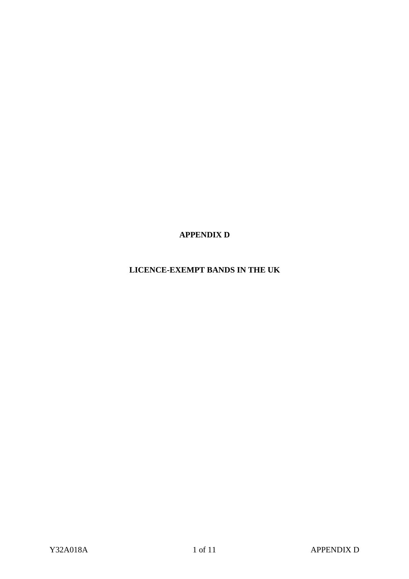**APPENDIX D**

**LICENCE-EXEMPT BANDS IN THE UK**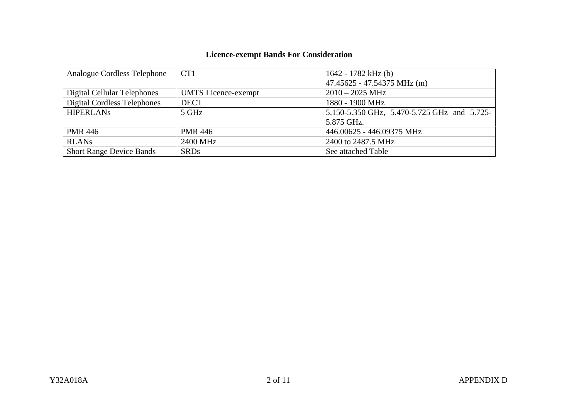# **Licence-exempt Bands For Consideration**

| Analogue Cordless Telephone        | CT <sub>1</sub>            | 1642 - 1782 kHz (b)                         |
|------------------------------------|----------------------------|---------------------------------------------|
|                                    |                            | 47.45625 - 47.54375 MHz (m)                 |
| Digital Cellular Telephones        | <b>UMTS</b> Licence-exempt | $2010 - 2025$ MHz                           |
| <b>Digital Cordless Telephones</b> | <b>DECT</b>                | 1880 - 1900 MHz                             |
| <b>HIPERLANS</b>                   | 5 GHz                      | 5.150-5.350 GHz, 5.470-5.725 GHz and 5.725- |
|                                    |                            | 5.875 GHz.                                  |
| <b>PMR 446</b>                     | <b>PMR 446</b>             | 446.00625 - 446.09375 MHz                   |
| <b>RLANs</b>                       | 2400 MHz                   | 2400 to 2487.5 MHz                          |
| <b>Short Range Device Bands</b>    | <b>SRDs</b>                | See attached Table                          |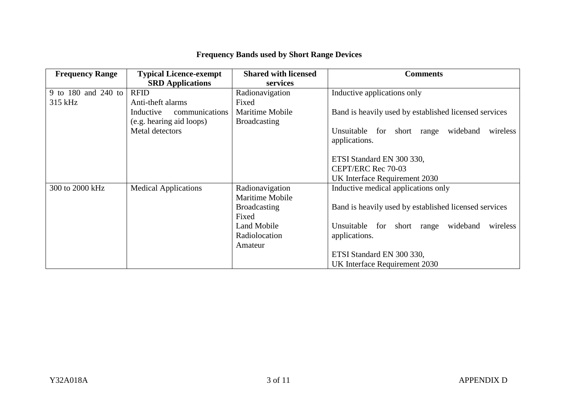| <b>Frequency Range</b> | <b>Typical Licence-exempt</b> | <b>Shared with licensed</b> | <b>Comments</b>                                       |
|------------------------|-------------------------------|-----------------------------|-------------------------------------------------------|
|                        | <b>SRD</b> Applications       | services                    |                                                       |
| 9 to 180 and 240 to    | <b>RFID</b>                   | Radionavigation             | Inductive applications only                           |
| 315 kHz                | Anti-theft alarms             | Fixed                       |                                                       |
|                        | communications<br>Inductive   | Maritime Mobile             | Band is heavily used by established licensed services |
|                        | (e.g. hearing aid loops)      | <b>Broadcasting</b>         |                                                       |
|                        | Metal detectors               |                             | wideband<br>Unsuitable for short range<br>wireless    |
|                        |                               |                             | applications.                                         |
|                        |                               |                             |                                                       |
|                        |                               |                             | ETSI Standard EN 300 330,                             |
|                        |                               |                             | CEPT/ERC Rec 70-03                                    |
|                        |                               |                             | UK Interface Requirement 2030                         |
| 300 to 2000 kHz        | <b>Medical Applications</b>   | Radionavigation             | Inductive medical applications only                   |
|                        |                               | Maritime Mobile             |                                                       |
|                        |                               | <b>Broadcasting</b>         | Band is heavily used by established licensed services |
|                        |                               | Fixed                       |                                                       |
|                        |                               | Land Mobile                 | Unsuitable for short range wideband<br>wireless       |
|                        |                               | Radiolocation               | applications.                                         |
|                        |                               | Amateur                     |                                                       |
|                        |                               |                             | ETSI Standard EN 300 330,                             |
|                        |                               |                             | UK Interface Requirement 2030                         |

# **Frequency Bands used by Short Range Devices**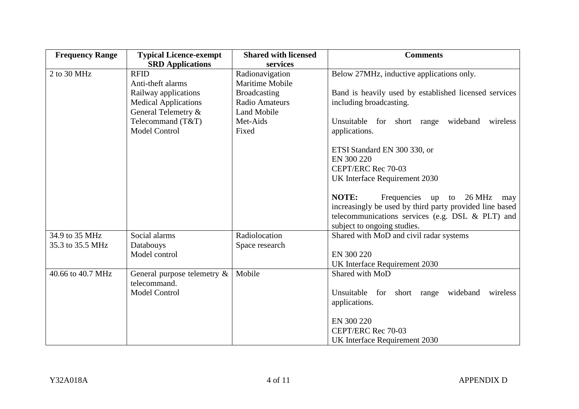| <b>Frequency Range</b> | <b>Typical Licence-exempt</b>  | <b>Shared with licensed</b> | <b>Comments</b>                                         |
|------------------------|--------------------------------|-----------------------------|---------------------------------------------------------|
|                        | <b>SRD</b> Applications        | services                    |                                                         |
| 2 to 30 MHz            | <b>RFID</b>                    | Radionavigation             | Below 27MHz, inductive applications only.               |
|                        | Anti-theft alarms              | <b>Maritime Mobile</b>      |                                                         |
|                        | Railway applications           | <b>Broadcasting</b>         | Band is heavily used by established licensed services   |
|                        | <b>Medical Applications</b>    | <b>Radio Amateurs</b>       | including broadcasting.                                 |
|                        | General Telemetry &            | <b>Land Mobile</b>          |                                                         |
|                        | Telecommand (T&T)              | Met-Aids                    | Unsuitable for short range wideband<br>wireless         |
|                        | <b>Model Control</b>           | Fixed                       | applications.                                           |
|                        |                                |                             | ETSI Standard EN 300 330, or                            |
|                        |                                |                             | EN 300 220                                              |
|                        |                                |                             | CEPT/ERC Rec 70-03                                      |
|                        |                                |                             | UK Interface Requirement 2030                           |
|                        |                                |                             | NOTE:<br>Frequencies up to 26 MHz<br>may                |
|                        |                                |                             | increasingly be used by third party provided line based |
|                        |                                |                             | telecommunications services (e.g. DSL & PLT) and        |
|                        |                                |                             | subject to ongoing studies.                             |
| 34.9 to 35 MHz         | Social alarms                  | Radiolocation               | Shared with MoD and civil radar systems                 |
| 35.3 to 35.5 MHz       | Databouys                      | Space research              |                                                         |
|                        | Model control                  |                             | EN 300 220                                              |
|                        |                                |                             | UK Interface Requirement 2030                           |
| 40.66 to 40.7 MHz      | General purpose telemetry $\&$ | Mobile                      | Shared with MoD                                         |
|                        | telecommand.                   |                             |                                                         |
|                        | <b>Model Control</b>           |                             | Unsuitable for short range wideband<br>wireless         |
|                        |                                |                             | applications.                                           |
|                        |                                |                             | EN 300 220                                              |
|                        |                                |                             | CEPT/ERC Rec 70-03                                      |
|                        |                                |                             | UK Interface Requirement 2030                           |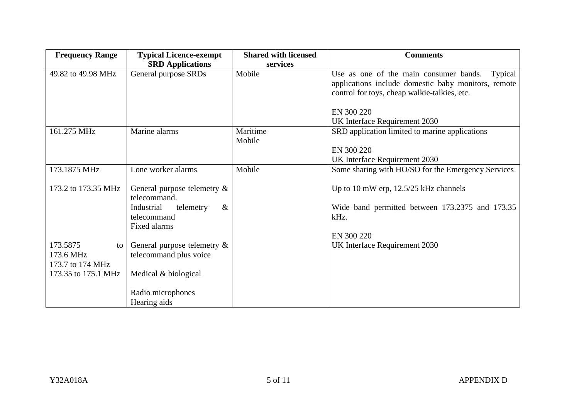| <b>Frequency Range</b> | <b>Typical Licence-exempt</b>               | <b>Shared with licensed</b> | <b>Comments</b>                                                                                          |
|------------------------|---------------------------------------------|-----------------------------|----------------------------------------------------------------------------------------------------------|
|                        | <b>SRD</b> Applications                     | services                    |                                                                                                          |
| 49.82 to 49.98 MHz     | General purpose SRDs                        | Mobile                      | Use as one of the main consumer bands.<br>Typical<br>applications include domestic baby monitors, remote |
|                        |                                             |                             | control for toys, cheap walkie-talkies, etc.                                                             |
|                        |                                             |                             | EN 300 220                                                                                               |
|                        |                                             |                             |                                                                                                          |
|                        |                                             | Maritime                    | UK Interface Requirement 2030                                                                            |
| 161.275 MHz            | Marine alarms                               | Mobile                      | SRD application limited to marine applications                                                           |
|                        |                                             |                             | EN 300 220                                                                                               |
|                        |                                             |                             | UK Interface Requirement 2030                                                                            |
| 173.1875 MHz           | Lone worker alarms                          | Mobile                      | Some sharing with HO/SO for the Emergency Services                                                       |
| 173.2 to 173.35 MHz    | General purpose telemetry &<br>telecommand. |                             | Up to 10 mW erp, $12.5/25$ kHz channels                                                                  |
|                        | Industrial<br>telemetry<br>$\&$             |                             | Wide band permitted between 173.2375 and 173.35                                                          |
|                        | telecommand                                 |                             | kHz.                                                                                                     |
|                        | Fixed alarms                                |                             |                                                                                                          |
|                        |                                             |                             | EN 300 220                                                                                               |
| 173.5875<br>to I       | General purpose telemetry &                 |                             | UK Interface Requirement 2030                                                                            |
| 173.6 MHz              | telecommand plus voice                      |                             |                                                                                                          |
| 173.7 to 174 MHz       |                                             |                             |                                                                                                          |
| 173.35 to 175.1 MHz    | Medical & biological                        |                             |                                                                                                          |
|                        |                                             |                             |                                                                                                          |
|                        | Radio microphones                           |                             |                                                                                                          |
|                        | Hearing aids                                |                             |                                                                                                          |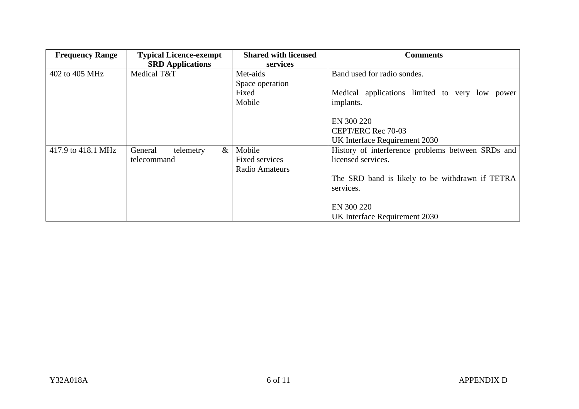| <b>Frequency Range</b> | <b>Typical Licence-exempt</b> | <b>Shared with licensed</b> | <b>Comments</b>                                   |
|------------------------|-------------------------------|-----------------------------|---------------------------------------------------|
|                        | <b>SRD</b> Applications       | services                    |                                                   |
| 402 to 405 MHz         | Medical T&T                   | Met-aids                    | Band used for radio sondes.                       |
|                        |                               | Space operation             |                                                   |
|                        |                               | Fixed                       | Medical applications limited to very low power    |
|                        |                               | Mobile                      | implants.                                         |
|                        |                               |                             | EN 300 220                                        |
|                        |                               |                             | CEPT/ERC Rec 70-03                                |
|                        |                               |                             | UK Interface Requirement 2030                     |
| 417.9 to 418.1 MHz     | $\&$<br>General<br>telemetry  | Mobile                      | History of interference problems between SRDs and |
|                        | telecommand                   | Fixed services              | licensed services.                                |
|                        |                               | Radio Amateurs              |                                                   |
|                        |                               |                             | The SRD band is likely to be withdrawn if TETRA   |
|                        |                               |                             | services.                                         |
|                        |                               |                             |                                                   |
|                        |                               |                             | EN 300 220                                        |
|                        |                               |                             | UK Interface Requirement 2030                     |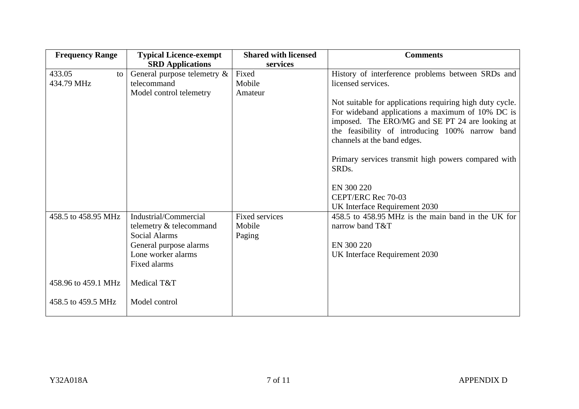| <b>Frequency Range</b> | <b>Typical Licence-exempt</b>  | <b>Shared with licensed</b> | <b>Comments</b>                                          |
|------------------------|--------------------------------|-----------------------------|----------------------------------------------------------|
|                        | <b>SRD</b> Applications        | services                    |                                                          |
| 433.05<br>to           | General purpose telemetry $\&$ | Fixed                       | History of interference problems between SRDs and        |
| 434.79 MHz             | telecommand                    | Mobile                      | licensed services.                                       |
|                        | Model control telemetry        | Amateur                     |                                                          |
|                        |                                |                             | Not suitable for applications requiring high duty cycle. |
|                        |                                |                             | For wideband applications a maximum of 10% DC is         |
|                        |                                |                             | imposed. The ERO/MG and SE PT 24 are looking at          |
|                        |                                |                             | the feasibility of introducing 100% narrow band          |
|                        |                                |                             | channels at the band edges.                              |
|                        |                                |                             | Primary services transmit high powers compared with      |
|                        |                                |                             | SRD <sub>s</sub> .                                       |
|                        |                                |                             |                                                          |
|                        |                                |                             | EN 300 220                                               |
|                        |                                |                             | CEPT/ERC Rec 70-03                                       |
|                        |                                |                             | UK Interface Requirement 2030                            |
| 458.5 to 458.95 MHz    | Industrial/Commercial          | <b>Fixed services</b>       | 458.5 to 458.95 MHz is the main band in the UK for       |
|                        | telemetry & telecommand        | Mobile                      | narrow band T&T                                          |
|                        | <b>Social Alarms</b>           | Paging                      |                                                          |
|                        | General purpose alarms         |                             | EN 300 220                                               |
|                        | Lone worker alarms             |                             | UK Interface Requirement 2030                            |
|                        | Fixed alarms                   |                             |                                                          |
| 458.96 to 459.1 MHz    | Medical T&T                    |                             |                                                          |
|                        |                                |                             |                                                          |
| 458.5 to 459.5 MHz     | Model control                  |                             |                                                          |
|                        |                                |                             |                                                          |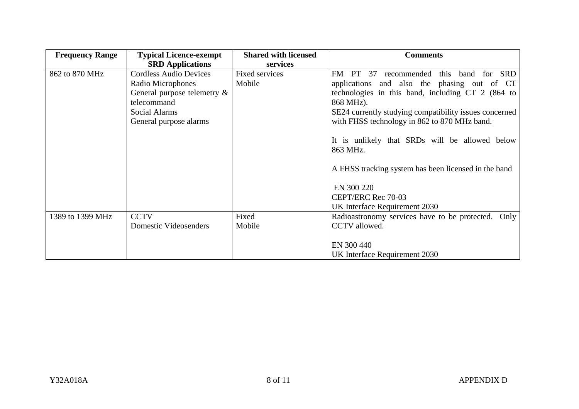| <b>Frequency Range</b> | <b>Typical Licence-exempt</b> | <b>Shared with licensed</b> | <b>Comments</b>                                        |
|------------------------|-------------------------------|-----------------------------|--------------------------------------------------------|
|                        | <b>SRD</b> Applications       | services                    |                                                        |
| 862 to 870 MHz         | <b>Cordless Audio Devices</b> | <b>Fixed services</b>       | this band<br>for SRD<br>recommended<br>FM<br>PT 37     |
|                        | Radio Microphones             | Mobile                      | applications and also the phasing out of CT            |
|                        | General purpose telemetry &   |                             | technologies in this band, including CT 2 (864 to      |
|                        | telecommand                   |                             | 868 MHz).                                              |
|                        | Social Alarms                 |                             | SE24 currently studying compatibility issues concerned |
|                        | General purpose alarms        |                             | with FHSS technology in 862 to 870 MHz band.           |
|                        |                               |                             |                                                        |
|                        |                               |                             | It is unlikely that SRDs will be allowed below         |
|                        |                               |                             | 863 MHz.                                               |
|                        |                               |                             | A FHSS tracking system has been licensed in the band   |
|                        |                               |                             | EN 300 220                                             |
|                        |                               |                             | CEPT/ERC Rec 70-03                                     |
|                        |                               |                             | UK Interface Requirement 2030                          |
| 1389 to 1399 MHz       | <b>CCTV</b>                   | Fixed                       | Radioastronomy services have to be protected. Only     |
|                        | Domestic Videosenders         | Mobile                      | CCTV allowed.                                          |
|                        |                               |                             |                                                        |
|                        |                               |                             | EN 300 440                                             |
|                        |                               |                             | UK Interface Requirement 2030                          |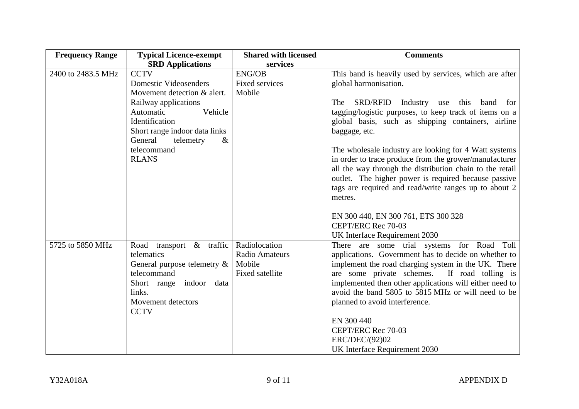| <b>Frequency Range</b> | <b>Typical Licence-exempt</b>                                                                                                                                     | <b>Shared with licensed</b>                                  | <b>Comments</b>                                                                                                                                                                                                                                                                                                                                                                                                                                                                                                                                                                                                                                                               |
|------------------------|-------------------------------------------------------------------------------------------------------------------------------------------------------------------|--------------------------------------------------------------|-------------------------------------------------------------------------------------------------------------------------------------------------------------------------------------------------------------------------------------------------------------------------------------------------------------------------------------------------------------------------------------------------------------------------------------------------------------------------------------------------------------------------------------------------------------------------------------------------------------------------------------------------------------------------------|
|                        | <b>SRD</b> Applications                                                                                                                                           | services                                                     |                                                                                                                                                                                                                                                                                                                                                                                                                                                                                                                                                                                                                                                                               |
| 2400 to 2483.5 MHz     | <b>CCTV</b>                                                                                                                                                       | <b>ENG/OB</b>                                                | This band is heavily used by services, which are after                                                                                                                                                                                                                                                                                                                                                                                                                                                                                                                                                                                                                        |
|                        | <b>Domestic Videosenders</b>                                                                                                                                      | <b>Fixed services</b>                                        | global harmonisation.                                                                                                                                                                                                                                                                                                                                                                                                                                                                                                                                                                                                                                                         |
|                        | Movement detection & alert.                                                                                                                                       | Mobile                                                       |                                                                                                                                                                                                                                                                                                                                                                                                                                                                                                                                                                                                                                                                               |
|                        | Railway applications                                                                                                                                              |                                                              | SRD/RFID Industry use this band<br>The<br>for                                                                                                                                                                                                                                                                                                                                                                                                                                                                                                                                                                                                                                 |
|                        | Automatic<br>Vehicle                                                                                                                                              |                                                              | tagging/logistic purposes, to keep track of items on a                                                                                                                                                                                                                                                                                                                                                                                                                                                                                                                                                                                                                        |
|                        | Identification                                                                                                                                                    |                                                              | global basis, such as shipping containers, airline                                                                                                                                                                                                                                                                                                                                                                                                                                                                                                                                                                                                                            |
|                        | Short range indoor data links                                                                                                                                     |                                                              | baggage, etc.                                                                                                                                                                                                                                                                                                                                                                                                                                                                                                                                                                                                                                                                 |
|                        | General<br>telemetry<br>$\&$                                                                                                                                      |                                                              |                                                                                                                                                                                                                                                                                                                                                                                                                                                                                                                                                                                                                                                                               |
|                        | telecommand                                                                                                                                                       |                                                              | The wholesale industry are looking for 4 Watt systems                                                                                                                                                                                                                                                                                                                                                                                                                                                                                                                                                                                                                         |
|                        | <b>RLANS</b>                                                                                                                                                      |                                                              | in order to trace produce from the grower/manufacturer                                                                                                                                                                                                                                                                                                                                                                                                                                                                                                                                                                                                                        |
|                        |                                                                                                                                                                   |                                                              | all the way through the distribution chain to the retail                                                                                                                                                                                                                                                                                                                                                                                                                                                                                                                                                                                                                      |
|                        |                                                                                                                                                                   |                                                              |                                                                                                                                                                                                                                                                                                                                                                                                                                                                                                                                                                                                                                                                               |
|                        |                                                                                                                                                                   |                                                              |                                                                                                                                                                                                                                                                                                                                                                                                                                                                                                                                                                                                                                                                               |
|                        |                                                                                                                                                                   |                                                              |                                                                                                                                                                                                                                                                                                                                                                                                                                                                                                                                                                                                                                                                               |
|                        |                                                                                                                                                                   |                                                              |                                                                                                                                                                                                                                                                                                                                                                                                                                                                                                                                                                                                                                                                               |
|                        |                                                                                                                                                                   |                                                              |                                                                                                                                                                                                                                                                                                                                                                                                                                                                                                                                                                                                                                                                               |
|                        |                                                                                                                                                                   |                                                              |                                                                                                                                                                                                                                                                                                                                                                                                                                                                                                                                                                                                                                                                               |
|                        |                                                                                                                                                                   |                                                              |                                                                                                                                                                                                                                                                                                                                                                                                                                                                                                                                                                                                                                                                               |
|                        |                                                                                                                                                                   |                                                              |                                                                                                                                                                                                                                                                                                                                                                                                                                                                                                                                                                                                                                                                               |
|                        |                                                                                                                                                                   |                                                              |                                                                                                                                                                                                                                                                                                                                                                                                                                                                                                                                                                                                                                                                               |
|                        |                                                                                                                                                                   |                                                              |                                                                                                                                                                                                                                                                                                                                                                                                                                                                                                                                                                                                                                                                               |
|                        |                                                                                                                                                                   |                                                              |                                                                                                                                                                                                                                                                                                                                                                                                                                                                                                                                                                                                                                                                               |
|                        |                                                                                                                                                                   |                                                              |                                                                                                                                                                                                                                                                                                                                                                                                                                                                                                                                                                                                                                                                               |
|                        |                                                                                                                                                                   |                                                              |                                                                                                                                                                                                                                                                                                                                                                                                                                                                                                                                                                                                                                                                               |
|                        |                                                                                                                                                                   |                                                              |                                                                                                                                                                                                                                                                                                                                                                                                                                                                                                                                                                                                                                                                               |
|                        |                                                                                                                                                                   |                                                              |                                                                                                                                                                                                                                                                                                                                                                                                                                                                                                                                                                                                                                                                               |
|                        |                                                                                                                                                                   |                                                              |                                                                                                                                                                                                                                                                                                                                                                                                                                                                                                                                                                                                                                                                               |
|                        |                                                                                                                                                                   |                                                              |                                                                                                                                                                                                                                                                                                                                                                                                                                                                                                                                                                                                                                                                               |
|                        |                                                                                                                                                                   |                                                              |                                                                                                                                                                                                                                                                                                                                                                                                                                                                                                                                                                                                                                                                               |
| 5725 to 5850 MHz       | Road transport & traffic<br>telematics<br>General purpose telemetry &<br>telecommand<br>Short range indoor<br>data<br>links.<br>Movement detectors<br><b>CCTV</b> | Radiolocation<br>Radio Amateurs<br>Mobile<br>Fixed satellite | outlet. The higher power is required because passive<br>tags are required and read/write ranges up to about 2<br>metres.<br>EN 300 440, EN 300 761, ETS 300 328<br>CEPT/ERC Rec 70-03<br>UK Interface Requirement 2030<br>There are some trial systems for Road Toll<br>applications. Government has to decide on whether to<br>implement the road charging system in the UK. There<br>are some private schemes. If road tolling is<br>implemented then other applications will either need to<br>avoid the band 5805 to 5815 MHz or will need to be<br>planned to avoid interference.<br>EN 300 440<br>CEPT/ERC Rec 70-03<br>ERC/DEC/(92)02<br>UK Interface Requirement 2030 |